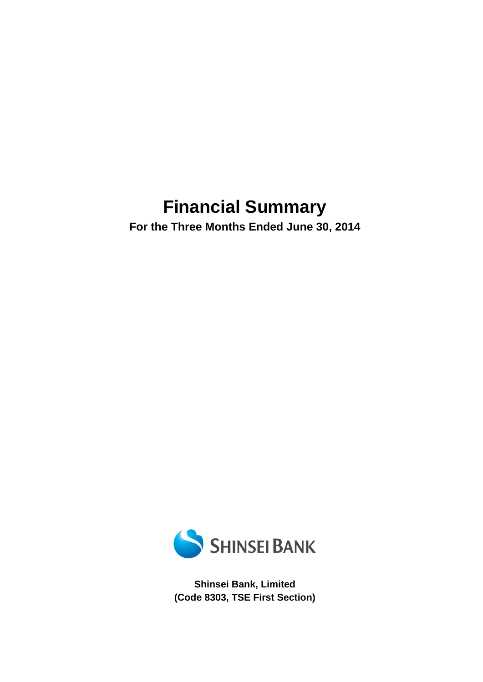# **Financial Summary**

**For the Three Months Ended June 30, 2014** 



**Shinsei Bank, Limited (Code 8303, TSE First Section)**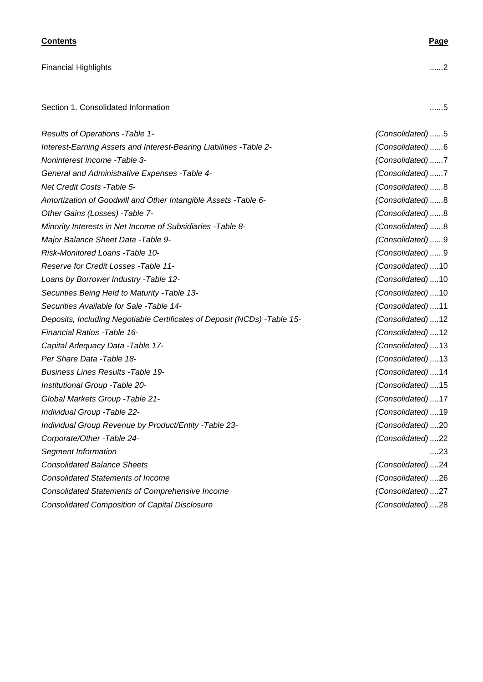### **Contents Page**

Financial Highlights ...... 2

Section 1. Consolidated Information ........ 5

| Results of Operations - Table 1-                                         | (Consolidated)5   |
|--------------------------------------------------------------------------|-------------------|
| Interest-Earning Assets and Interest-Bearing Liabilities - Table 2-      | (Consolidated)6   |
| Noninterest Income - Table 3-                                            | (Consolidated)7   |
| General and Administrative Expenses - Table 4-                           | (Consolidated)7   |
| Net Credit Costs - Table 5-                                              | (Consolidated) 8  |
| Amortization of Goodwill and Other Intangible Assets - Table 6-          | (Consolidated)8   |
| Other Gains (Losses) - Table 7-                                          | (Consolidated)8   |
| Minority Interests in Net Income of Subsidiaries - Table 8-              | (Consolidated)8   |
| Major Balance Sheet Data - Table 9-                                      | (Consolidated)9   |
| Risk-Monitored Loans - Table 10-                                         | (Consolidated)9   |
| Reserve for Credit Losses - Table 11-                                    | (Consolidated)10  |
| Loans by Borrower Industry - Table 12-                                   | (Consolidated)10  |
| Securities Being Held to Maturity - Table 13-                            | (Consolidated)10  |
| Securities Available for Sale -Table 14-                                 | (Consolidated)11  |
| Deposits, Including Negotiable Certificates of Deposit (NCDs) -Table 15- | (Consolidated)12  |
| <b>Financial Ratios -Table 16-</b>                                       | (Consolidated)12  |
| Capital Adequacy Data - Table 17-                                        | (Consolidated)13  |
| Per Share Data - Table 18-                                               | (Consolidated)13  |
| <b>Business Lines Results - Table 19-</b>                                | (Consolidated)14  |
| Institutional Group - Table 20-                                          | (Consolidated)15  |
| Global Markets Group - Table 21-                                         | (Consolidated)17  |
| Individual Group - Table 22-                                             | (Consolidated)19  |
| Individual Group Revenue by Product/Entity - Table 23-                   | (Consolidated)20  |
| Corporate/Other -Table 24-                                               | (Consolidated)22  |
| Segment Information                                                      | ….23              |
| <b>Consolidated Balance Sheets</b>                                       | (Consolidated) 24 |
| <b>Consolidated Statements of Income</b>                                 | (Consolidated)26  |
| <b>Consolidated Statements of Comprehensive Income</b>                   | (Consolidated)27  |
| <b>Consolidated Composition of Capital Disclosure</b>                    | (Consolidated)28  |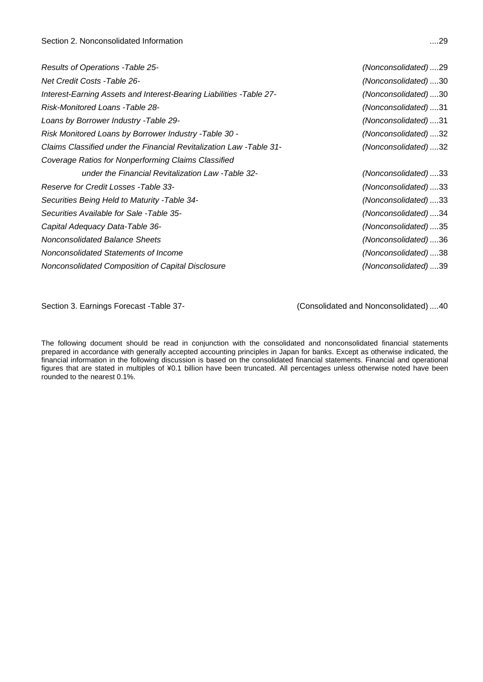| Results of Operations - Table 25-                                    | (Nonconsolidated)29 |
|----------------------------------------------------------------------|---------------------|
| <b>Net Credit Costs - Table 26-</b>                                  | (Nonconsolidated)30 |
| Interest-Earning Assets and Interest-Bearing Liabilities - Table 27- | (Nonconsolidated)30 |
| Risk-Monitored Loans -Table 28-                                      | (Nonconsolidated)31 |
| Loans by Borrower Industry - Table 29-                               | (Nonconsolidated)31 |
| Risk Monitored Loans by Borrower Industry - Table 30 -               | (Nonconsolidated)32 |
| Claims Classified under the Financial Revitalization Law -Table 31-  | (Nonconsolidated)32 |
| Coverage Ratios for Nonperforming Claims Classified                  |                     |
| under the Financial Revitalization Law -Table 32-                    | (Nonconsolidated)33 |
| Reserve for Credit Losses - Table 33-                                | (Nonconsolidated)33 |
| Securities Being Held to Maturity - Table 34-                        | (Nonconsolidated)33 |
| Securities Available for Sale -Table 35-                             | (Nonconsolidated)34 |
| Capital Adequacy Data-Table 36-                                      | (Nonconsolidated)35 |
| Nonconsolidated Balance Sheets                                       | (Nonconsolidated)36 |
| Nonconsolidated Statements of Income                                 | (Nonconsolidated)38 |
| Nonconsolidated Composition of Capital Disclosure                    | (Nonconsolidated)39 |
|                                                                      |                     |

Section 3. Earnings Forecast -Table 37- (Consolidated and Nonconsolidated) .... 40

The following document should be read in conjunction with the consolidated and nonconsolidated financial statements prepared in accordance with generally accepted accounting principles in Japan for banks. Except as otherwise indicated, the financial information in the following discussion is based on the consolidated financial statements. Financial and operational figures that are stated in multiples of ¥0.1 billion have been truncated. All percentages unless otherwise noted have been rounded to the nearest 0.1%.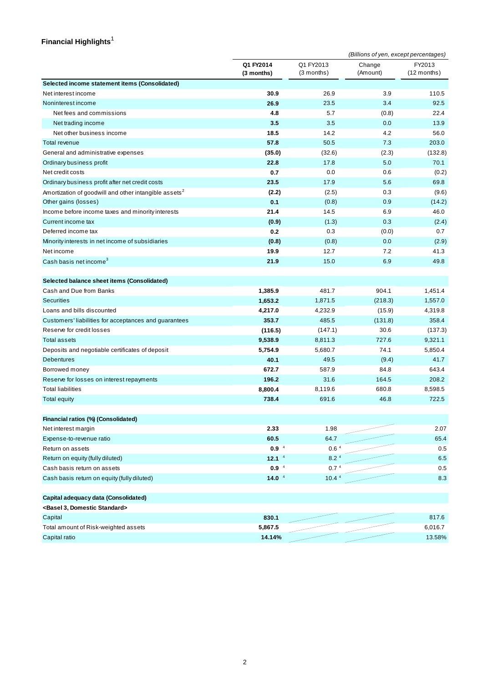### **Financial Highlights**  1

|                                                                   |                         |                           | (Billions of yen, except percentages) |                         |  |  |
|-------------------------------------------------------------------|-------------------------|---------------------------|---------------------------------------|-------------------------|--|--|
|                                                                   | Q1 FY2014<br>(3 months) | Q1 FY2013<br>$(3$ months) | Change<br>(Amount)                    | FY2013<br>$(12$ months) |  |  |
| Selected income statement items (Consolidated)                    |                         |                           |                                       |                         |  |  |
| Net interest income                                               | 30.9                    | 26.9                      | 3.9                                   | 110.5                   |  |  |
| Noninterest income                                                | 26.9                    | 23.5                      | 3.4                                   | 92.5                    |  |  |
| Net fees and commissions                                          | 4.8                     | 5.7                       | (0.8)                                 | 22.4                    |  |  |
| Net trading income                                                | 3.5                     | 3.5                       | 0.0                                   | 13.9                    |  |  |
| Net other business income                                         | 18.5                    | 14.2                      | 4.2                                   | 56.0                    |  |  |
| Total revenue                                                     | 57.8                    | 50.5                      | 7.3                                   | 203.0                   |  |  |
| General and administrative expenses                               | (35.0)                  | (32.6)                    | (2.3)                                 | (132.8)                 |  |  |
| Ordinary business profit                                          | 22.8                    | 17.8                      | 5.0                                   | 70.1                    |  |  |
| Net credit costs                                                  | 0.7                     | 0.0                       | 0.6                                   | (0.2)                   |  |  |
| Ordinary business profit after net credit costs                   | 23.5                    | 17.9                      | 5.6                                   | 69.8                    |  |  |
| Amortization of goodwill and other intangible assets <sup>2</sup> | (2.2)                   | (2.5)                     | 0.3                                   | (9.6)                   |  |  |
| Other gains (losses)                                              | 0.1                     | (0.8)                     | 0.9                                   | (14.2)                  |  |  |
| Income before income taxes and minority interests                 | 21.4                    | 14.5                      | 6.9                                   | 46.0                    |  |  |
| Current income tax                                                | (0.9)                   | (1.3)                     | 0.3                                   | (2.4)                   |  |  |
| Deferred income tax                                               | 0.2                     | 0.3                       | (0.0)                                 | 0.7                     |  |  |
| Minority interests in net income of subsidiaries                  | (0.8)                   | (0.8)                     | 0.0                                   | (2.9)                   |  |  |
| Net income                                                        | 19.9                    | 12.7                      | 7.2                                   | 41.3                    |  |  |
| Cash basis net income <sup>3</sup>                                | 21.9                    | 15.0                      | 6.9                                   | 49.8                    |  |  |
| Selected balance sheet items (Consolidated)                       |                         |                           |                                       |                         |  |  |
| Cash and Due from Banks                                           | 1,385.9                 | 481.7                     | 904.1                                 | 1,451.4                 |  |  |
| <b>Securities</b>                                                 | 1,653.2                 | 1,871.5                   | (218.3)                               | 1,557.0                 |  |  |
| Loans and bills discounted                                        | 4,217.0                 | 4,232.9                   | (15.9)                                | 4,319.8                 |  |  |
| Customers' liabilities for acceptances and guarantees             | 353.7                   | 485.5                     | (131.8)                               | 358.4                   |  |  |
| Reserve for credit losses                                         | (116.5)                 | (147.1)                   | 30.6                                  | (137.3)                 |  |  |
| <b>Total assets</b>                                               | 9,538.9                 | 8,811.3                   | 727.6                                 | 9,321.1                 |  |  |
| Deposits and negotiable certificates of deposit                   | 5,754.9                 | 5,680.7                   | 74.1                                  | 5,850.4                 |  |  |
| <b>Debentures</b>                                                 | 40.1                    | 49.5                      | (9.4)                                 | 41.7                    |  |  |
| Borrowed money                                                    | 672.7                   | 587.9                     | 84.8                                  | 643.4                   |  |  |
| Reserve for losses on interest repayments                         | 196.2                   | 31.6                      | 164.5                                 | 208.2                   |  |  |
| <b>Total liabilities</b>                                          | 8,800.4                 | 8,119.6                   | 680.8                                 | 8,598.5                 |  |  |
| <b>Total equity</b>                                               | 738.4                   | 691.6                     | 46.8                                  | 722.5                   |  |  |
| Financial ratios (%) (Consolidated)                               |                         |                           |                                       |                         |  |  |
| Net interest margin                                               | 2.33                    | 1.98                      |                                       | 2.07                    |  |  |
| Expense-to-revenue ratio                                          | 60.5                    | 64.7                      |                                       | 65.4                    |  |  |
| Return on assets                                                  | 0.9 <sup>4</sup>        | 0.6 <sup>4</sup>          |                                       | 0.5                     |  |  |
| Return on equity (fully diluted)                                  | 12.1 <sup>4</sup>       | 8.2 <sup>4</sup>          |                                       | 6.5                     |  |  |
| Cash basis return on assets                                       | $0.9-4$                 | 0.7 <sup>4</sup>          |                                       | 0.5                     |  |  |
| Cash basis return on equity (fully diluted)                       | $14.0-4$                | 10.4 <sup>4</sup>         |                                       | 8.3                     |  |  |
| Capital adequacy data (Consolidated)                              |                         |                           |                                       |                         |  |  |
| <basel 3,="" domestic="" standard=""></basel>                     |                         |                           |                                       |                         |  |  |
| Capital                                                           | 830.1                   |                           |                                       | 817.6                   |  |  |
| Total amount of Risk-weighted assets                              | 5,867.5                 |                           |                                       | 6,016.7                 |  |  |

Capital ratio **14.14%** 13.58%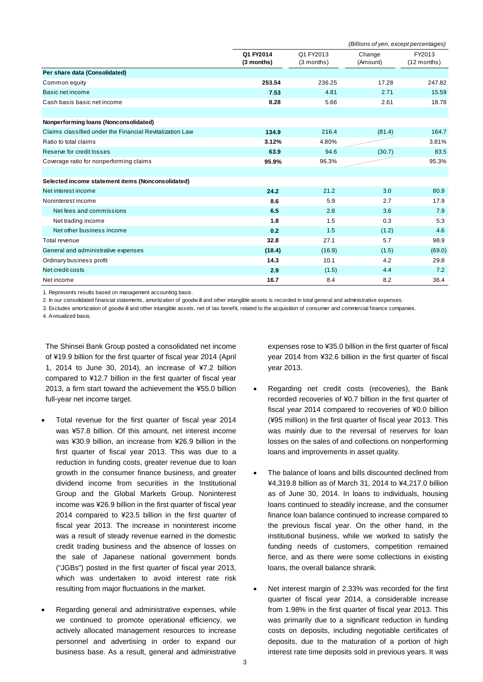|                                                          |            | (Billions of yen, except percentages) |          |               |  |
|----------------------------------------------------------|------------|---------------------------------------|----------|---------------|--|
|                                                          | Q1 FY2014  | Q1 FY2013                             | Change   | FY2013        |  |
|                                                          | (3 months) | $(3$ months)                          | (Amount) | $(12$ months) |  |
| Per share data (Consolidated)                            |            |                                       |          |               |  |
| Common equity                                            | 253.54     | 236.25                                | 17.28    | 247.82        |  |
| Basic net income                                         | 7.53       | 4.81                                  | 2.71     | 15.59         |  |
| Cash basis basic net income                              | 8.28       | 5.66                                  | 2.61     | 18.78         |  |
| Nonperforming loans (Nonconsolidated)                    |            |                                       |          |               |  |
| Claims classified under the Financial Revitalization Law | 134.9      | 216.4                                 | (81.4)   | 164.7         |  |
| Ratio to total claims                                    | 3.12%      | 4.80%                                 |          | 3.81%         |  |
| Reserve for credit losses                                | 63.9       | 94.6                                  | (30.7)   | 83.5          |  |
| Coverage ratio for nonperforming claims                  | 95.9%      | 96.3%                                 |          | 95.3%         |  |
|                                                          |            |                                       |          |               |  |
| Selected income statement items (Nonconsolidated)        |            |                                       |          |               |  |
| Net interest income                                      | 24.2       | 21.2                                  | 3.0      | 80.9          |  |
| Noninterest income                                       | 8.6        | 5.9                                   | 2.7      | 17.9          |  |
| Net fees and commissions                                 | 6.5        | 2.8                                   | 3.6      | 7.9           |  |
| Net trading income                                       | 1.8        | 1.5                                   | 0.3      | 5.3           |  |
| Net other business income                                | 0.2        | 1.5                                   | (1.2)    | 4.6           |  |
| Total revenue                                            | 32.8       | 27.1                                  | 5.7      | 98.9          |  |
| General and administrative expenses                      | (18.4)     | (16.9)                                | (1.5)    | (69.0)        |  |
| Ordinary business profit                                 | 14.3       | 10.1                                  | 4.2      | 29.8          |  |
| Net credit costs                                         | 2.9        | (1.5)                                 | 4.4      | 7.2           |  |
| Net income                                               | 16.7       | 8.4                                   | 8.2      | 36.4          |  |

1. Represents results based on management accounting basis.

2. In our consolidated financial statements, amortization of goodw ill and other intangible assets is recorded in total general and administrative expenses.

3. Excludes amortization of goodw ill and other intangible assets, net of tax benefit, related to the acquisition of consumer and commercial finance companies.

4. Annualized basis.

The Shinsei Bank Group posted a consolidated net income of ¥19.9 billion for the first quarter of fiscal year 2014 (April 1, 2014 to June 30, 2014), an increase of ¥7.2 billion compared to ¥12.7 billion in the first quarter of fiscal year 2013, a firm start toward the achievement the ¥55.0 billion full-year net income target.

- Total revenue for the first quarter of fiscal year 2014 was ¥57.8 billion. Of this amount, net interest income was ¥30.9 billion, an increase from ¥26.9 billion in the first quarter of fiscal year 2013. This was due to a reduction in funding costs, greater revenue due to loan growth in the consumer finance business, and greater dividend income from securities in the Institutional Group and the Global Markets Group. Noninterest income was ¥26.9 billion in the first quarter of fiscal year 2014 compared to ¥23.5 billion in the first quarter of fiscal year 2013. The increase in noninterest income was a result of steady revenue earned in the domestic credit trading business and the absence of losses on the sale of Japanese national government bonds ("JGBs") posted in the first quarter of fiscal year 2013, which was undertaken to avoid interest rate risk resulting from major fluctuations in the market.
- Regarding general and administrative expenses, while we continued to promote operational efficiency, we actively allocated management resources to increase personnel and advertising in order to expand our business base. As a result, general and administrative

expenses rose to ¥35.0 billion in the first quarter of fiscal year 2014 from ¥32.6 billion in the first quarter of fiscal year 2013.

- Regarding net credit costs (recoveries), the Bank recorded recoveries of ¥0.7 billion in the first quarter of fiscal year 2014 compared to recoveries of ¥0.0 billion (¥95 million) in the first quarter of fiscal year 2013. This was mainly due to the reversal of reserves for loan losses on the sales of and collections on nonperforming loans and improvements in asset quality.
- The balance of loans and bills discounted declined from ¥4,319.8 billion as of March 31, 2014 to ¥4,217.0 billion as of June 30, 2014. In loans to individuals, housing loans continued to steadily increase, and the consumer finance loan balance continued to increase compared to the previous fiscal year. On the other hand, in the institutional business, while we worked to satisfy the funding needs of customers, competition remained fierce, and as there were some collections in existing loans, the overall balance shrank.
- Net interest margin of 2.33% was recorded for the first quarter of fiscal year 2014, a considerable increase from 1.98% in the first quarter of fiscal year 2013. This was primarily due to a significant reduction in funding costs on deposits, including negotiable certificates of deposits, due to the maturation of a portion of high interest rate time deposits sold in previous years. It was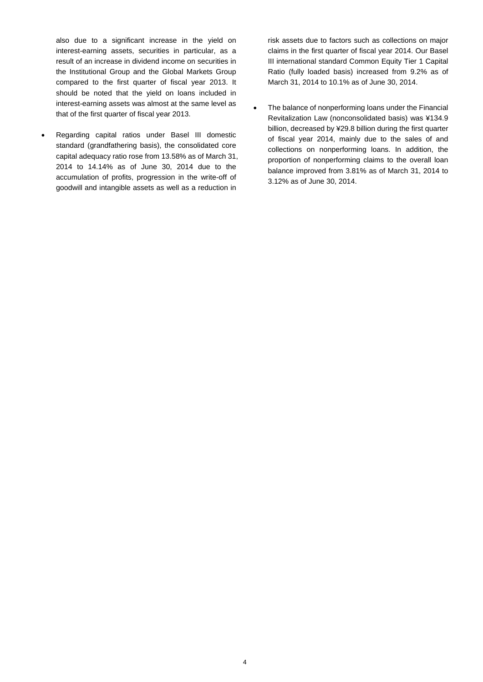also due to a significant increase in the yield on interest-earning assets, securities in particular, as a result of an increase in dividend income on securities in the Institutional Group and the Global Markets Group compared to the first quarter of fiscal year 2013. It should be noted that the yield on loans included in interest-earning assets was almost at the same level as that of the first quarter of fiscal year 2013.

 Regarding capital ratios under Basel III domestic standard (grandfathering basis), the consolidated core capital adequacy ratio rose from 13.58% as of March 31, 2014 to 14.14% as of June 30, 2014 due to the accumulation of profits, progression in the write-off of goodwill and intangible assets as well as a reduction in

risk assets due to factors such as collections on major claims in the first quarter of fiscal year 2014. Our Basel III international standard Common Equity Tier 1 Capital Ratio (fully loaded basis) increased from 9.2% as of March 31, 2014 to 10.1% as of June 30, 2014.

• The balance of nonperforming loans under the Financial Revitalization Law (nonconsolidated basis) was ¥134.9 billion, decreased by ¥29.8 billion during the first quarter of fiscal year 2014, mainly due to the sales of and collections on nonperforming loans. In addition, the proportion of nonperforming claims to the overall loan balance improved from 3.81% as of March 31, 2014 to 3.12% as of June 30, 2014.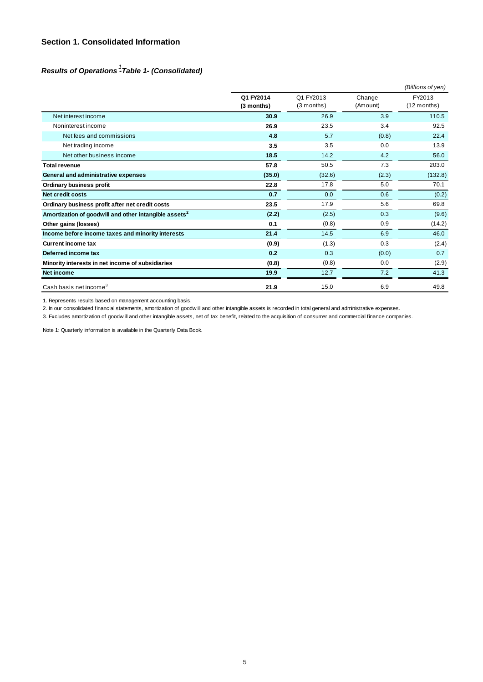### **Section 1. Consolidated Information**

### *Results of Operations -Table 1- (Consolidated) 1*

|                                                                   |                         |                           |                    | (Billions of yen)       |
|-------------------------------------------------------------------|-------------------------|---------------------------|--------------------|-------------------------|
|                                                                   | Q1 FY2014<br>(3 months) | Q1 FY2013<br>$(3$ months) | Change<br>(Amount) | FY2013<br>$(12$ months) |
| Net interest income                                               | 30.9                    | 26.9                      | 3.9                | 110.5                   |
| Noninterest income                                                | 26.9                    | 23.5                      | 3.4                | 92.5                    |
| Net fees and commissions                                          | 4.8                     | 5.7                       | (0.8)              | 22.4                    |
| Net trading income                                                | 3.5                     | 3.5                       | 0.0                | 13.9                    |
| Net other business income                                         | 18.5                    | 14.2                      | 4.2                | 56.0                    |
| <b>Total revenue</b>                                              | 57.8                    | 50.5                      | 7.3                | 203.0                   |
| General and administrative expenses                               | (35.0)                  | (32.6)                    | (2.3)              | (132.8)                 |
| Ordinary business profit                                          | 22.8                    | 17.8                      | 5.0                | 70.1                    |
| <b>Net credit costs</b>                                           | 0.7                     | 0.0                       | 0.6                | (0.2)                   |
| Ordinary business profit after net credit costs                   | 23.5                    | 17.9                      | 5.6                | 69.8                    |
| Amortization of goodwill and other intangible assets <sup>2</sup> | (2.2)                   | (2.5)                     | 0.3                | (9.6)                   |
| Other gains (losses)                                              | 0.1                     | (0.8)                     | 0.9                | (14.2)                  |
| Income before income taxes and minority interests                 | 21.4                    | 14.5                      | 6.9                | 46.0                    |
| <b>Current income tax</b>                                         | (0.9)                   | (1.3)                     | 0.3                | (2.4)                   |
| Deferred income tax                                               | 0.2                     | 0.3                       | (0.0)              | 0.7                     |
| Minority interests in net income of subsidiaries                  | (0.8)                   | (0.8)                     | 0.0                | (2.9)                   |
| Net income                                                        | 19.9                    | 12.7                      | 7.2                | 41.3                    |
| Cash basis net income <sup>3</sup>                                | 21.9                    | 15.0                      | 6.9                | 49.8                    |

1. Represents results based on management accounting basis.

2. In our consolidated financial statements, amortization of goodw ill and other intangible assets is recorded in total general and administrative expenses.

3. Excludes amortization of goodw ill and other intangible assets, net of tax benefit, related to the acquisition of consumer and commercial finance companies.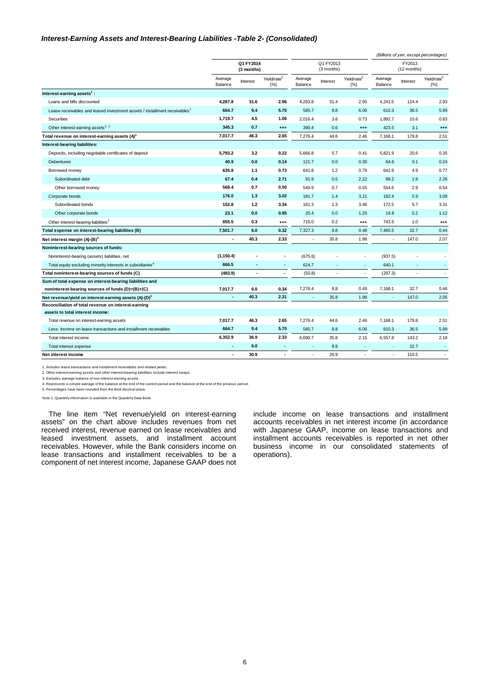#### *Interest-Earning Assets and Interest-Bearing Liabilities -Table 2- (Consolidated)*

|                                                                                       |                    |                         |                                |                          |                          |                                    |                    |                          | (Billions of yen, except percentages) |
|---------------------------------------------------------------------------------------|--------------------|-------------------------|--------------------------------|--------------------------|--------------------------|------------------------------------|--------------------|--------------------------|---------------------------------------|
|                                                                                       |                    | Q1 FY2014<br>(3 months) |                                | Q1 FY2013<br>(3 months)  |                          | FY2013<br>(12 months)              |                    |                          |                                       |
|                                                                                       | Average<br>Balance | Interest                | Yield/rate <sup>5</sup><br>(%) | Average<br>Balance       | Interest                 | Yield/rate <sup>5</sup><br>$(\% )$ | Average<br>Balance | Interest                 | Yield/rate <sup>5</sup><br>$(\% )$    |
| Interest-earning assets <sup>1</sup> :                                                |                    |                         |                                |                          |                          |                                    |                    |                          |                                       |
| Loans and bills discounted                                                            | 4,287.8            | 31.6                    | 2.96                           | 4,283.8                  | 31.4                     | 2.95                               | 4,241.5            | 124.4                    | 2.93                                  |
| Lease receivables and leased investment assets / installment receivables <sup>1</sup> | 664.7              | 9.4                     | 5.70                           | 585.7                    | 8.8                      | 6.06                               | 610.3              | 36.5                     | 5.99                                  |
| Securities                                                                            | 1,719.7            | 4.5                     | 1.06                           | 2,016.4                  | 3.6                      | 0.73                               | 1,892.7            | 15.6                     | 0.83                                  |
| Other interest-earning assets <sup>2, 3</sup>                                         | 345.3              | 0.7                     | ***                            | 390.4                    | 0.6                      | ***                                | 423.5              | 3.1                      | ***                                   |
| Total revenue on interest-earning assets (A) <sup>1</sup>                             | 7.017.7            | 46.3                    | 2.65                           | 7,276.4                  | 44.6                     | 2.46                               | 7,168.1            | 179.8                    | 2.51                                  |
| Interest-bearing liabilities:                                                         |                    |                         |                                |                          |                          |                                    |                    |                          |                                       |
| Deposits, including negotiable certificates of deposit                                | 5,793.2            | 3.2                     | 0.22                           | 5,666.8                  | 5.7                      | 0.41                               | 5,821.9            | 20.6                     | 0.35                                  |
| Debentures                                                                            | 40.9               | 0.0                     | 0.14                           | 121.7                    | 0.0                      | 0.30                               | 64.6               | 0.1                      | 0.24                                  |
| Borrowed money                                                                        | 635.8              | 1.1                     | 0.73                           | 641.8                    | 1.2                      | 0.79                               | 642.9              | 4.9                      | 0.77                                  |
| Subordinated debt                                                                     | 67.4               | 0.4                     | 2.71                           | 91.9                     | 0.5                      | 2.22                               | 88.2               | 1.9                      | 2.26                                  |
| Other borrowed money                                                                  | 568.4              | 0.7                     | 0.50                           | 549.9                    | 0.7                      | 0.55                               | 554.6              | 2.9                      | 0.54                                  |
| Corporate bonds                                                                       | 176.0              | 1.3                     | 3.02                           | 181.7                    | 1.4                      | 3.21                               | 192.4              | 5.9                      | 3.09                                  |
| Subordinated bonds                                                                    | 152.8              | 1.2                     | 3.34                           | 161.3                    | 1.3                      | 3.46                               | 172.5              | 5.7                      | 3.31                                  |
| Other corporate bonds                                                                 | 23.1               | 0.0                     | 0.95                           | 20.4                     | 0.0                      | 1.25                               | 19.8               | 0.2                      | 1.12                                  |
| Other interest-bearing liabilities <sup>2</sup>                                       | 855.5              | 0.3                     | ***                            | 715.0                    | 0.2                      | ***                                | 743.5              | 1.0                      | ***                                   |
| Total expense on interest-bearing liabilities (B)                                     | 7,501.7            | 6.0                     | 0.32                           | 7,327.3                  | 8.8                      | 0.48                               | 7,465.5            | 32.7                     | 0.44                                  |
| Net interest margin (A)-(B) <sup>1</sup>                                              | ä,                 | 40.3                    | 2.33                           | ä,                       | 35.8                     | 1.98                               |                    | 147.0                    | 2.07                                  |
| Noninterest-bearing sources of funds:                                                 |                    |                         |                                |                          |                          |                                    |                    |                          |                                       |
| Noninterest-bearing (assets) liabilities, net                                         | (1, 150.4)         |                         | $\blacksquare$                 | (675.6)                  |                          | ä,                                 | (937.5)            |                          |                                       |
| Total equity excluding minority interests in subsidiaries <sup>4</sup>                | 666.5              | $\overline{a}$          | ×,                             | 624.7                    | $\overline{\phantom{a}}$ | ٠                                  | 640.1              | ٠                        | ÷.                                    |
| Total noninterest-bearing sources of funds (C)                                        | (483.9)            | $\blacksquare$          | $\blacksquare$                 | (50.8)                   | $\overline{\phantom{a}}$ | ä,                                 | (297.3)            | $\overline{\phantom{a}}$ | $\sim$                                |
| Sum of total expense on interest-bearing liabilities and                              |                    |                         |                                |                          |                          |                                    |                    |                          |                                       |
| noninterest-bearing sources of funds (D)=(B)+(C)                                      | 7,017.7            | 6.0                     | 0.34                           | 7,276.4                  | 8.8                      | 0.49                               | 7,168.1            | 32.7                     | 0.46                                  |
| Net revenue/yield on interest-earning assets (A)-(D) <sup>1</sup>                     | ä,                 | 40.3                    | 2.31                           | ÷                        | 35.8                     | 1.98                               | ÷                  | 147.0                    | 2.05                                  |
| Reconciliation of total revenue on interest-earning                                   |                    |                         |                                |                          |                          |                                    |                    |                          |                                       |
| assets to total interest income:                                                      |                    |                         |                                |                          |                          |                                    |                    |                          |                                       |
| Total revenue on interest-earning assets                                              | 7,017.7            | 46.3                    | 2.65                           | 7,276.4                  | 44.6                     | 2.46                               | 7,168.1            | 179.8                    | 2.51                                  |
| Less: Income on lease transactions and installment receivables                        | 664.7              | 9.4                     | 5.70                           | 585.7                    | 8.8                      | 6.06                               | 610.3              | 36.5                     | 5.99                                  |
| Total interest income                                                                 | 6,352.9            | 36.9                    | 2.33                           | 6,690.7                  | 35.8                     | 2.15                               | 6,557.8            | 143.2                    | 2.18                                  |
| Total interest expense                                                                | $\blacksquare$     | 6.0                     | $\blacksquare$                 | $\overline{\phantom{a}}$ | 8.8                      | ×                                  | ×.                 | 32.7                     | ×.                                    |
| Net interest income                                                                   | ä,                 | 30.9                    | $\overline{a}$                 | ÷                        | 26.9                     | ÷.                                 | ٠                  | 110.5                    | $\sim$                                |

1. Includes lease transactions and installment receivables and related yields.

2. Other interest-earning assets and other interest-bearing liabilities include interest swaps. 3. Excludes average balance of non interest-earning assets.

4. Represents a simple average of the balance at the end of the current period and the balance at the end of the previous period. 5. Percentages have been rounded from the thrid decimal place.

Note 1: Quarterly information is available in the Quarterly Data Book.

The line item "Net revenue/yield on interest-earning assets" on the chart above includes revenues from net received interest, revenue earned on lease receivables and leased investment assets, and installment account receivables. However, while the Bank considers income on lease transactions and installment receivables to be a component of net interest income, Japanese GAAP does not include income on lease transactions and installment accounts receivables in net interest income (in accordance with Japanese GAAP, income on lease transactions and installment accounts receivables is reported in net other business income in our consolidated statements of operations).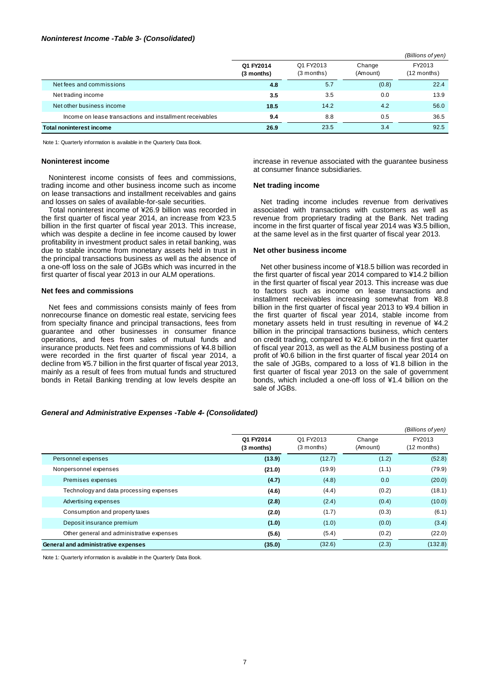#### *Noninterest Income -Table 3- (Consolidated)*

|                                                          |                         |                           |                    | (Billions of yen)     |
|----------------------------------------------------------|-------------------------|---------------------------|--------------------|-----------------------|
|                                                          | Q1 FY2014<br>(3 months) | Q1 FY2013<br>$(3$ months) | Change<br>(Amount) | FY2013<br>(12 months) |
| Net fees and commissions                                 | 4.8                     | 5.7                       | (0.8)              | 22.4                  |
| Net trading income                                       | 3.5                     | 3.5                       | 0.0                | 13.9                  |
| Net other business income                                | 18.5                    | 14.2                      | 4.2                | 56.0                  |
| Income on lease transactions and installment receivables | 9.4                     | 8.8                       | 0.5                | 36.5                  |
| <b>Total noninterest income</b>                          | 26.9                    | 23.5                      | 3.4                | 92.5                  |

Note 1: Quarterly information is available in the Quarterly Data Book.

#### **Noninterest income**

Noninterest income consists of fees and commissions, trading income and other business income such as income on lease transactions and installment receivables and gains and losses on sales of available-for-sale securities.

Total noninterest income of ¥26.9 billion was recorded in the first quarter of fiscal year 2014, an increase from ¥23.5 billion in the first quarter of fiscal year 2013. This increase, which was despite a decline in fee income caused by lower profitability in investment product sales in retail banking, was due to stable income from monetary assets held in trust in the principal transactions business as well as the absence of a one-off loss on the sale of JGBs which was incurred in the first quarter of fiscal year 2013 in our ALM operations.

#### **Net fees and commissions**

Net fees and commissions consists mainly of fees from nonrecourse finance on domestic real estate, servicing fees from specialty finance and principal transactions, fees from guarantee and other businesses in consumer finance operations, and fees from sales of mutual funds and insurance products. Net fees and commissions of ¥4.8 billion were recorded in the first quarter of fiscal year 2014, a decline from ¥5.7 billion in the first quarter of fiscal year 2013, mainly as a result of fees from mutual funds and structured bonds in Retail Banking trending at low levels despite an

increase in revenue associated with the guarantee business at consumer finance subsidiaries.

#### **Net trading income**

Net trading income includes revenue from derivatives associated with transactions with customers as well as revenue from proprietary trading at the Bank. Net trading income in the first quarter of fiscal year 2014 was ¥3.5 billion, at the same level as in the first quarter of fiscal year 2013.

#### **Net other business income**

Net other business income of ¥18.5 billion was recorded in the first quarter of fiscal year 2014 compared to ¥14.2 billion in the first quarter of fiscal year 2013. This increase was due to factors such as income on lease transactions and installment receivables increasing somewhat from ¥8.8 billion in the first quarter of fiscal year 2013 to ¥9.4 billion in the first quarter of fiscal year 2014, stable income from monetary assets held in trust resulting in revenue of ¥4.2 billion in the principal transactions business, which centers on credit trading, compared to ¥2.6 billion in the first quarter of fiscal year 2013, as well as the ALM business posting of a profit of ¥0.6 billion in the first quarter of fiscal year 2014 on the sale of JGBs, compared to a loss of ¥1.8 billion in the first quarter of fiscal year 2013 on the sale of government bonds, which included a one-off loss of ¥1.4 billion on the sale of JGBs.

#### *General and Administrative Expenses -Table 4- (Consolidated)*

|                                           |                         |                           |                    | (Billions of yen)     |
|-------------------------------------------|-------------------------|---------------------------|--------------------|-----------------------|
|                                           | Q1 FY2014<br>(3 months) | Q1 FY2013<br>$(3$ months) | Change<br>(Amount) | FY2013<br>(12 months) |
| Personnel expenses                        | (13.9)                  | (12.7)                    | (1.2)              | (52.8)                |
| Nonpersonnel expenses                     | (21.0)                  | (19.9)                    | (1.1)              | (79.9)                |
| Premises expenses                         | (4.7)                   | (4.8)                     | 0.0                | (20.0)                |
| Technology and data processing expenses   | (4.6)                   | (4.4)                     | (0.2)              | (18.1)                |
| Advertising expenses                      | (2.8)                   | (2.4)                     | (0.4)              | (10.0)                |
| Consumption and property taxes            | (2.0)                   | (1.7)                     | (0.3)              | (6.1)                 |
| Deposit insurance premium                 | (1.0)                   | (1.0)                     | (0.0)              | (3.4)                 |
| Other general and administrative expenses | (5.6)                   | (5.4)                     | (0.2)              | (22.0)                |
| General and administrative expenses       | (35.0)                  | (32.6)                    | (2.3)              | (132.8)               |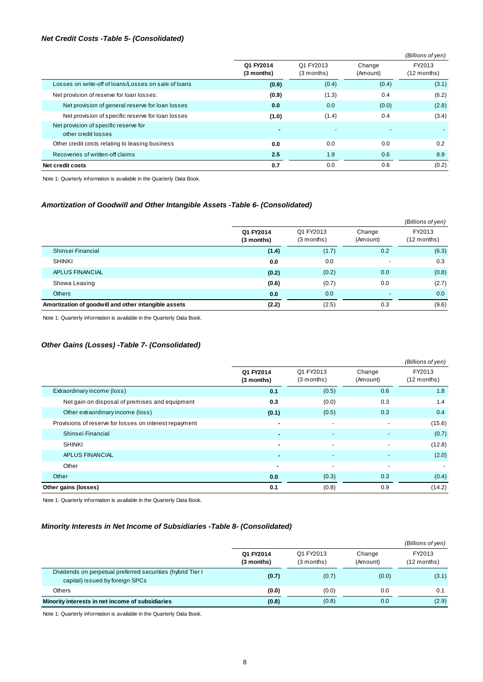#### *Net Credit Costs -Table 5- (Consolidated)*

|                                                              |                         |                           |                    | (Billions of yen)     |
|--------------------------------------------------------------|-------------------------|---------------------------|--------------------|-----------------------|
|                                                              | Q1 FY2014<br>(3 months) | Q1 FY2013<br>$(3$ months) | Change<br>(Amount) | FY2013<br>(12 months) |
| Losses on write-off of loans/Losses on sale of loans         | (0.9)                   | (0.4)                     | (0.4)              | (3.1)                 |
| Net provision of reserve for loan losses:                    | (0.9)                   | (1.3)                     | 0.4                | (6.2)                 |
| Net provision of general reserve for loan losses             | 0.0                     | 0.0                       | (0.0)              | (2.8)                 |
| Net provision of specific reserve for loan losses            | (1.0)                   | (1.4)                     | 0.4                | (3.4)                 |
| Net provision of specific reserve for<br>other credit losses |                         |                           |                    |                       |
| Other credit costs relating to leasing business              | 0.0                     | 0.0                       | 0.0                | 0.2                   |
| Recoveries of written-off claims                             | 2.5                     | 1.9                       | 0.6                | 8.9                   |
| Net credit costs                                             | 0.7                     | 0.0                       | 0.6                | (0.2)                 |

Note 1: Quarterly information is available in the Quarterly Data Book.

### *Amortization of Goodwill and Other Intangible Assets -Table 6- (Consolidated)*

|                                                      |                         |                           |                    | (Billions of yen)       |
|------------------------------------------------------|-------------------------|---------------------------|--------------------|-------------------------|
|                                                      | Q1 FY2014<br>(3 months) | Q1 FY2013<br>$(3$ months) | Change<br>(Amount) | FY2013<br>$(12$ months) |
| Shinsei Financial                                    | (1.4)                   | (1.7)                     | 0.2                | (6.3)                   |
| <b>SHINKI</b>                                        | 0.0                     | 0.0                       |                    | 0.3                     |
| APLUS FINANCIAL                                      | (0.2)                   | (0.2)                     | 0.0                | (0.8)                   |
| Showa Leasing                                        | (0.6)                   | (0.7)                     | 0.0                | (2.7)                   |
| <b>Others</b>                                        | 0.0                     | 0.0                       | $\overline{a}$     | 0.0                     |
| Amortization of goodwill and other intangible assets | (2.2)                   | (2.5)                     | 0.3                | (9.6)                   |

Note 1: Quarterly information is available in the Quarterly Data Book.

### *Other Gains (Losses) -Table 7- (Consolidated)*

|                                                        |                         |                           |                          | (Billions of yen)       |
|--------------------------------------------------------|-------------------------|---------------------------|--------------------------|-------------------------|
|                                                        | Q1 FY2014<br>(3 months) | Q1 FY2013<br>$(3$ months) | Change<br>(Amount)       | FY2013<br>$(12$ months) |
| Extraordinary income (loss)                            | 0.1                     | (0.5)                     | 0.6                      | 1.8                     |
| Net gain on disposal of premises and equipment         | 0.3                     | (0.0)                     | 0.3                      | 1.4                     |
| Other extraordinary income (loss)                      | (0.1)                   | (0.5)                     | 0.3                      | 0.4                     |
| Provisions of reserve for losses on interest repayment | ٠                       | $\overline{\phantom{a}}$  |                          | (15.6)                  |
| Shinsei Financial                                      |                         | $\overline{\phantom{a}}$  |                          | (0.7)                   |
| <b>SHINKI</b>                                          | ٠                       | $\overline{\phantom{a}}$  | $\overline{\phantom{a}}$ | (12.8)                  |
| APLUS FINANCIAL                                        | $\blacksquare$          | $\overline{a}$            |                          | (2.0)                   |
| Other                                                  | ٠                       | $\overline{\phantom{0}}$  | ٠                        |                         |
| Other                                                  | 0.0                     | (0.3)                     | 0.3                      | (0.4)                   |
| Other gains (losses)                                   | 0.1                     | (0.8)                     | 0.9                      | (14.2)                  |

Note 1: Quarterly information is available in the Quarterly Data Book.

#### *Minority Interests in Net Income of Subsidiaries -Table 8- (Consolidated)*

|                                                                                                |                         |                           |                    | (Billions of yen)     |
|------------------------------------------------------------------------------------------------|-------------------------|---------------------------|--------------------|-----------------------|
|                                                                                                | Q1 FY2014<br>(3 months) | Q1 FY2013<br>$(3$ months) | Change<br>(Amount) | FY2013<br>(12 months) |
| Dividends on perpetual preferred securities (hybrid Tier I)<br>capital) issued by foreign SPCs | (0.7)                   | (0.7)                     | (0.0)              | (3.1)                 |
| Others                                                                                         | (0.0)                   | (0.0)                     | 0.0                | 0.1                   |
| Minority interests in net income of subsidiaries                                               | (0.8)                   | (0.8)                     | 0.0                | (2.9)                 |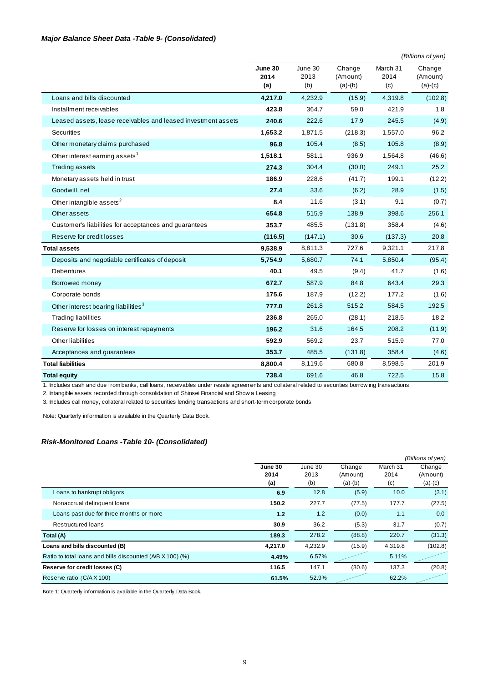### *Major Balance Sheet Data -Table 9- (Consolidated)*

|                                                               |                        |                        |                                 |                         | (Billions of yen)               |
|---------------------------------------------------------------|------------------------|------------------------|---------------------------------|-------------------------|---------------------------------|
|                                                               | June 30<br>2014<br>(a) | June 30<br>2013<br>(b) | Change<br>(Amount)<br>$(a)-(b)$ | March 31<br>2014<br>(c) | Change<br>(Amount)<br>$(a)-(c)$ |
| Loans and bills discounted                                    | 4,217.0                | 4,232.9                | (15.9)                          | 4,319.8                 | (102.8)                         |
| Installment receivables                                       | 423.8                  | 364.7                  | 59.0                            | 421.9                   | 1.8                             |
| Leased assets, lease receivables and leased investment assets | 240.6                  | 222.6                  | 17.9                            | 245.5                   | (4.9)                           |
| Securities                                                    | 1,653.2                | 1,871.5                | (218.3)                         | 1,557.0                 | 96.2                            |
| Other monetary claims purchased                               | 96.8                   | 105.4                  | (8.5)                           | 105.8                   | (8.9)                           |
| Other interest earning assets <sup>1</sup>                    | 1,518.1                | 581.1                  | 936.9                           | 1,564.8                 | (46.6)                          |
| <b>Trading assets</b>                                         | 274.3                  | 304.4                  | (30.0)                          | 249.1                   | 25.2                            |
| Monetary assets held in trust                                 | 186.9                  | 228.6                  | (41.7)                          | 199.1                   | (12.2)                          |
| Goodwill, net                                                 | 27.4                   | 33.6                   | (6.2)                           | 28.9                    | (1.5)                           |
| Other intangible assets <sup>2</sup>                          | 8.4                    | 11.6                   | (3.1)                           | 9.1                     | (0.7)                           |
| Other assets                                                  | 654.8                  | 515.9                  | 138.9                           | 398.6                   | 256.1                           |
| Customer's liabilities for acceptances and guarantees         | 353.7                  | 485.5                  | (131.8)                         | 358.4                   | (4.6)                           |
| Reserve for credit losses                                     | (116.5)                | (147.1)                | 30.6                            | (137.3)                 | 20.8                            |
| <b>Total assets</b>                                           | 9,538.9                | 8,811.3                | 727.6                           | 9,321.1                 | 217.8                           |
| Deposits and negotiable certificates of deposit               | 5,754.9                | 5,680.7                | 74.1                            | 5,850.4                 | (95.4)                          |
| <b>Debentures</b>                                             | 40.1                   | 49.5                   | (9.4)                           | 41.7                    | (1.6)                           |
| Borrowed money                                                | 672.7                  | 587.9                  | 84.8                            | 643.4                   | 29.3                            |
| Corporate bonds                                               | 175.6                  | 187.9                  | (12.2)                          | 177.2                   | (1.6)                           |
| Other interest bearing liabilities <sup>3</sup>               | 777.0                  | 261.8                  | 515.2                           | 584.5                   | 192.5                           |
| <b>Trading liabilities</b>                                    | 236.8                  | 265.0                  | (28.1)                          | 218.5                   | 18.2                            |
| Reserve for losses on interest repayments                     | 196.2                  | 31.6                   | 164.5                           | 208.2                   | (11.9)                          |
| Other liabilities                                             | 592.9                  | 569.2                  | 23.7                            | 515.9                   | 77.0                            |
| Acceptances and guarantees                                    | 353.7                  | 485.5                  | (131.8)                         | 358.4                   | (4.6)                           |
| <b>Total liabilities</b>                                      | 8,800.4                | 8,119.6                | 680.8                           | 8,598.5                 | 201.9                           |
| <b>Total equity</b>                                           | 738.4                  | 691.6                  | 46.8                            | 722.5                   | 15.8                            |

1. Includes cash and due from banks, call loans, receivables under resale agreements and collateral related to securities borrow ing transactions

2. Intangible assets recorded through consolidation of Shinsei Financial and Show a Leasing

3. Includes call money, collateral related to securities lending transactions and short-term corporate bonds

Note: Quarterly information is available in the Quarterly Data Book.

### *Risk-Monitored Loans -Table 10- (Consolidated)*

|                                                           |         |         |           |          | (Billions of yen) |
|-----------------------------------------------------------|---------|---------|-----------|----------|-------------------|
|                                                           | June 30 | June 30 | Change    | March 31 | Change            |
|                                                           | 2014    | 2013    | (Amount)  | 2014     | (Amount)          |
|                                                           | (a)     | (b)     | $(a)-(b)$ | (c)      | $(a)-(c)$         |
| Loans to bankrupt obligors                                | 6.9     | 12.8    | (5.9)     | 10.0     | (3.1)             |
| Nonaccrual delinguent loans                               | 150.2   | 227.7   | (77.5)    | 177.7    | (27.5)            |
| Loans past due for three months or more                   | 1.2     | 1.2     | (0.0)     | 1.1      | 0.0               |
| <b>Restructured loans</b>                                 | 30.9    | 36.2    | (5.3)     | 31.7     | (0.7)             |
| Total (A)                                                 | 189.3   | 278.2   | (88.8)    | 220.7    | (31.3)            |
| Loans and bills discounted (B)                            | 4.217.0 | 4,232.9 | (15.9)    | 4,319.8  | (102.8)           |
| Ratio to total loans and bills discounted (A/B X 100) (%) | 4.49%   | 6.57%   |           | 5.11%    |                   |
| Reserve for credit losses (C)                             | 116.5   | 147.1   | (30.6)    | 137.3    | (20.8)            |
| Reserve ratio (C/AX100)                                   | 61.5%   | 52.9%   |           | 62.2%    |                   |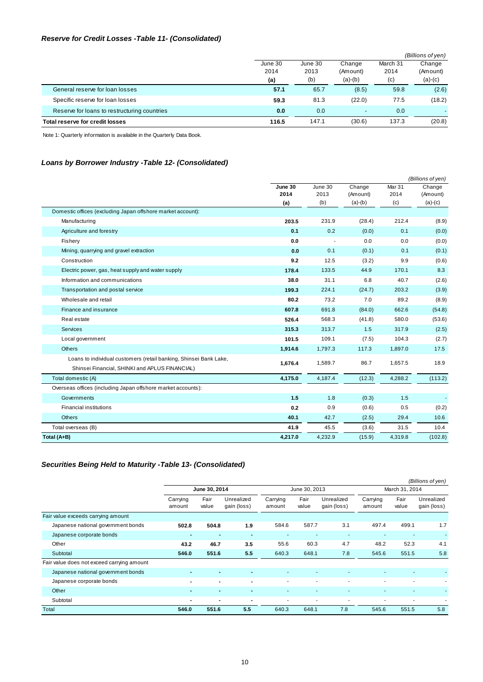### *Reserve for Credit Losses -Table 11- (Consolidated)*

|                                              |         |         |                          |          | (Billions of yen)        |
|----------------------------------------------|---------|---------|--------------------------|----------|--------------------------|
|                                              | June 30 | June 30 | Change                   | March 31 | Change                   |
|                                              | 2014    | 2013    | (Amount)                 | 2014     | (Amount)                 |
|                                              | (a)     | (b)     | $(a)-(b)$                | (c)      | $(a)-(c)$                |
| General reserve for loan losses              | 57.1    | 65.7    | (8.5)                    | 59.8     | (2.6)                    |
| Specific reserve for loan losses             | 59.3    | 81.3    | (22.0)                   | 77.5     | (18.2)                   |
| Reserve for loans to restructuring countries | 0.0     | 0.0     | $\overline{\phantom{0}}$ | 0.0      | $\overline{\phantom{a}}$ |
| Total reserve for credit losses              | 116.5   | 147.1   | (30.6)                   | 137.3    | (20.8)                   |

Note 1: Quarterly information is available in the Quarterly Data Book.

### *Loans by Borrower Industry -Table 12- (Consolidated)*

|                                                                   | June 30<br>2014 | June 30<br>2013 | Change<br>(Amount) | Mar 31<br>2014 | Change<br>(Amount) |
|-------------------------------------------------------------------|-----------------|-----------------|--------------------|----------------|--------------------|
|                                                                   | (a)             | (b)             | $(a)-(b)$          | (c)            | $(a)-(c)$          |
| Domestic offices (excluding Japan offshore market account):       |                 |                 |                    |                |                    |
| Manufacturing                                                     | 203.5           | 231.9           | (28.4)             | 212.4          | (8.9)              |
| Agriculture and forestry                                          | 0.1             | 0.2             | (0.0)              | 0.1            | (0.0)              |
| Fishery                                                           | 0.0             |                 | 0.0                | 0.0            | (0.0)              |
| Mining, quarrying and gravel extraction                           | 0.0             | 0.1             | (0.1)              | 0.1            | (0.1)              |
| Construction                                                      | 9.2             | 12.5            | (3.2)              | 9.9            | (0.6)              |
| Electric power, gas, heat supply and water supply                 | 178.4           | 133.5           | 44.9               | 170.1          | 8.3                |
| Information and communications                                    | 38.0            | 31.1            | 6.8                | 40.7           | (2.6)              |
| Transportation and postal service                                 | 199.3           | 224.1           | (24.7)             | 203.2          | (3.9)              |
| Wholesale and retail                                              | 80.2            | 73.2            | 7.0                | 89.2           | (8.9)              |
| Finance and insurance                                             | 607.8           | 691.8           | (84.0)             | 662.6          | (54.8)             |
| Real estate                                                       | 526.4           | 568.3           | (41.8)             | 580.0          | (53.6)             |
| <b>Services</b>                                                   | 315.3           | 313.7           | 1.5                | 317.9          | (2.5)              |
| Local government                                                  | 101.5           | 109.1           | (7.5)              | 104.3          | (2.7)              |
| <b>Others</b>                                                     | 1,914.6         | 1,797.3         | 117.3              | 1,897.0        | 17.5               |
| Loans to individual customers (retail banking, Shinsei Bank Lake, | 1,676.4         | 1,589.7         | 86.7               | 1,657.5        | 18.9               |
| Shinsei Financial, SHINKI and APLUS FINANCIAL)                    |                 |                 |                    |                |                    |
| Total domestic (A)                                                | 4,175.0         | 4,187.4         | (12.3)             | 4,288.2        | (113.2)            |
| Overseas offices (including Japan offshore market accounts):      |                 |                 |                    |                |                    |
| Governments                                                       | 1.5             | 1.8             | (0.3)              | 1.5            |                    |
| <b>Financial institutions</b>                                     | 0.2             | 0.9             | (0.6)              | 0.5            | (0.2)              |
| <b>Others</b>                                                     | 40.1            | 42.7            | (2.5)              | 29.4           | 10.6               |
| Total overseas (B)                                                | 41.9            | 45.5            | (3.6)              | 31.5           | 10.4               |
| Total (A+B)                                                       | 4,217.0         | 4,232.9         | (15.9)             | 4,319.8        | (102.8)            |

### *Securities Being Held to Maturity -Table 13- (Consolidated)*

|                                            |                          |                |                           |                    |                |                           |                    |                | (Billions of yen)         |
|--------------------------------------------|--------------------------|----------------|---------------------------|--------------------|----------------|---------------------------|--------------------|----------------|---------------------------|
|                                            |                          | June 30, 2014  |                           |                    | June 30, 2013  |                           |                    | March 31, 2014 |                           |
|                                            | Carrying<br>amount       | Fair<br>value  | Unrealized<br>gain (loss) | Carrying<br>amount | Fair<br>value  | Unrealized<br>gain (loss) | Carrying<br>amount | Fair<br>value  | Unrealized<br>gain (loss) |
| Fair value exceeds carrying amount         |                          |                |                           |                    |                |                           |                    |                |                           |
| Japanese national government bonds         | 502.8                    | 504.8          | 1.9                       | 584.6              | 587.7          | 3.1                       | 497.4              | 499.1          | 1.7                       |
| Japanese corporate bonds                   | $\blacksquare$           | $\blacksquare$ | $\blacksquare$            | ٠                  |                |                           |                    | ٠              | $\mathbf{r}$              |
| Other                                      | 43.2                     | 46.7           | 3.5                       | 55.6               | 60.3           | 4.7                       | 48.2               | 52.3           | 4.1                       |
| Subtotal                                   | 546.0                    | 551.6          | 5.5                       | 640.3              | 648.1          | 7.8                       | 545.6              | 551.5          | 5.8                       |
| Fair value does not exceed carrying amount |                          |                |                           |                    |                |                           |                    |                |                           |
| Japanese national government bonds         | $\blacksquare$           | $\blacksquare$ |                           | ٠                  |                |                           | ٠                  |                |                           |
| Japanese corporate bonds                   | $\blacksquare$           | $\blacksquare$ | $\blacksquare$            | ٠                  | ٠              | $\overline{\phantom{a}}$  | ۰                  | ۰              | ٠                         |
| Other                                      |                          | ۰              |                           |                    |                |                           |                    |                | ٠                         |
| Subtotal                                   | $\overline{\phantom{0}}$ | $\blacksquare$ | $\blacksquare$            | ٠                  | $\blacksquare$ | $\blacksquare$            | ٠                  | ۰              |                           |
| Total                                      | 546.0                    | 551.6          | 5.5                       | 640.3              | 648.1          | 7.8                       | 545.6              | 551.5          | 5.8                       |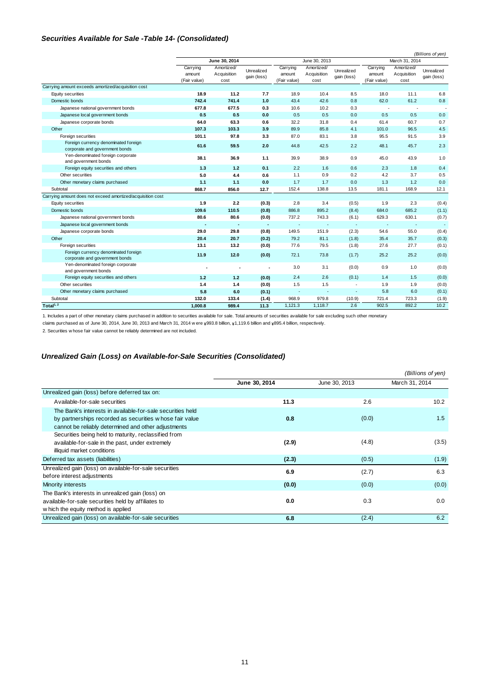#### *Securities Available for Sale -Table 14- (Consolidated)*

|                                                                        |                                    |                                   |                           |                                    |                                   | (Billions of yen)         |                                    |                                   |                           |
|------------------------------------------------------------------------|------------------------------------|-----------------------------------|---------------------------|------------------------------------|-----------------------------------|---------------------------|------------------------------------|-----------------------------------|---------------------------|
|                                                                        |                                    | June 30, 2014                     |                           | June 30, 2013                      |                                   |                           | March 31, 2014                     |                                   |                           |
|                                                                        | Carrying<br>amount<br>(Fair value) | Amortized/<br>Acquisition<br>cost | Unrealized<br>gain (loss) | Carrying<br>amount<br>(Fair value) | Amortized/<br>Acquisition<br>cost | Unrealized<br>gain (loss) | Carrying<br>amount<br>(Fair value) | Amortized/<br>Acquisition<br>cost | Unrealized<br>gain (loss) |
| Carrying amount exceeds amortized/acquisition cost                     |                                    |                                   |                           |                                    |                                   |                           |                                    |                                   |                           |
| Equity securities                                                      | 18.9                               | 11.2                              | 7.7                       | 18.9                               | 10.4                              | 8.5                       | 18.0                               | 11.1                              | 6.8                       |
| Domestic bonds                                                         | 742.4                              | 741.4                             | $1.0$                     | 43.4                               | 42.6                              | 0.8                       | 62.0                               | 61.2                              | 0.8                       |
| Japanese national government bonds                                     | 677.8                              | 677.5                             | 0.3                       | 10.6                               | 10.2                              | 0.3                       |                                    |                                   |                           |
| Japanese local government bonds                                        | 0.5                                | 0.5                               | 0.0                       | 0.5                                | 0.5                               | 0.0                       | 0.5                                | 0.5                               | 0.0                       |
| Japanese corporate bonds                                               | 64.0                               | 63.3                              | 0.6                       | 32.2                               | 31.8                              | 0.4                       | 61.4                               | 60.7                              | 0.7                       |
| Other                                                                  | 107.3                              | 103.3                             | 3.9                       | 89.9                               | 85.8                              | 4.1                       | 101.0                              | 96.5                              | 4.5                       |
| Foreign securities                                                     | 101.1                              | 97.8                              | 3.3                       | 87.0                               | 83.1                              | 3.8                       | 95.5                               | 91.5                              | 3.9                       |
| Foreign currency denominated foreign<br>corporate and government bonds | 61.6                               | 59.5                              | 2.0                       | 44.8                               | 42.5                              | 2.2                       | 48.1                               | 45.7                              | 2.3                       |
| Yen-denominated foreign corporate<br>and government bonds              | 38.1                               | 36.9                              | 1.1                       | 39.9                               | 38.9                              | 0.9                       | 45.0                               | 43.9                              | 1.0                       |
| Foreign equity securities and others                                   | $1.3$                              | 1.2                               | 0.1                       | 2.2                                | 1.6                               | 0.6                       | 2.3                                | 1.8                               | 0.4                       |
| Other securities                                                       | 5.0                                | 4.4                               | 0.6                       | 1.1                                | 0.9                               | 0.2                       | 4.2                                | 3.7                               | 0.5                       |
| Other monetary claims purchased                                        | 1.1                                | 1.1                               | 0.0                       | 1.7                                | 1.7                               | 0.0                       | 1.3                                | 1.2                               | 0.0                       |
| Subtotal                                                               | 868.7                              | 856.0                             | 12.7                      | 152.4                              | 138.8                             | 13.5                      | 181.1                              | 168.9                             | 12.1                      |
| Carrying amount does not exceed amortized/acquisition cost             |                                    |                                   |                           |                                    |                                   |                           |                                    |                                   |                           |
| Equity securities                                                      | 1.9                                | 2.2                               | (0.3)                     | 2.8                                | 3.4                               | (0.5)                     | 1.9                                | 2.3                               | (0.4)                     |
| Domestic bonds                                                         | 109.6                              | 110.5                             | (0.8)                     | 886.8                              | 895.2                             | (8.4)                     | 684.0                              | 685.2                             | (1.1)                     |
| Japanese national government bonds                                     | 80.6                               | 80.6                              | (0.0)                     | 737.2                              | 743.3                             | (6.1)                     | 629.3                              | 630.1                             | (0.7)                     |
| Japanese local government bonds                                        |                                    |                                   |                           | $\overline{\phantom{a}}$           | ٠                                 | ÷                         |                                    | ×                                 | ×                         |
| Japanese corporate bonds                                               | 29.0                               | 29.8                              | (0.8)                     | 149.5                              | 151.9                             | (2.3)                     | 54.6                               | 55.0                              | (0.4)                     |
| Other                                                                  | 20.4                               | 20.7                              | (0.2)                     | 79.2                               | 81.1                              | (1.8)                     | 35.4                               | 35.7                              | (0.3)                     |
| Foreign securities                                                     | 13.1                               | 13.2                              | (0.0)                     | 77.6                               | 79.5                              | (1.8)                     | 27.6                               | 27.7                              | (0.1)                     |
| Foreign currency denominated foreign<br>corporate and government bonds | 11.9                               | 12.0                              | (0.0)                     | 72.1                               | 73.8                              | (1.7)                     | 25.2                               | 25.2                              | (0.0)                     |
| Yen-denominated foreign corporate<br>and government bonds              |                                    |                                   |                           | 3.0                                | 3.1                               | (0.0)                     | 0.9                                | 1.0                               | (0.0)                     |
| Foreign equity securities and others                                   | $1.2$                              | 1.2                               | (0.0)                     | 2.4                                | 2.6                               | (0.1)                     | 1.4                                | 1.5                               | (0.0)                     |
| Other securities                                                       | 1.4                                | 1.4                               | (0.0)                     | 1.5                                | 1.5                               |                           | 1.9                                | 1.9                               | (0.0)                     |
| Other monetary claims purchased                                        | 5.8                                | 6.0                               | (0.1)                     | $\overline{\phantom{a}}$           | ٠                                 | $\overline{\phantom{a}}$  | 5.8                                | 6.0                               | (0.1)                     |
| Subtotal                                                               | 132.0                              | 133.4                             | (1.4)                     | 968.9                              | 979.8                             | (10.9)                    | 721.4                              | 723.3                             | (1.9)                     |
| Total <sup>1, 2</sup>                                                  | 1,000.8                            | 989.4                             | 11.3                      | 1,121.3                            | 1,118.7                           | 2.6                       | 902.5                              | 892.2                             | 10.2                      |

1. Includes a part of other monetary claims purchased in addition to securities available for sale. Total amounts of securities available for sale excluding such other monetary

claims purchased as of June 30, 2014, June 30, 2013 and March 31, 2014 w ere ¥993.8 billion, ¥1,119.6 billion and ¥895.4 billion, respectively.

2. Securities w hose fair value cannot be reliably determined are not included.

### *Unrealized Gain (Loss) on Available-for-Sale Securities (Consolidated)*

|                                                                                                                                                                               |               |               | (Billions of yen) |
|-------------------------------------------------------------------------------------------------------------------------------------------------------------------------------|---------------|---------------|-------------------|
|                                                                                                                                                                               | June 30, 2014 | June 30, 2013 | March 31, 2014    |
| Unrealized gain (loss) before deferred tax on:                                                                                                                                |               |               |                   |
| Available-for-sale securities                                                                                                                                                 | 11.3          | 2.6           | 10.2              |
| The Bank's interests in available-for-sale securities held<br>by partnerships recorded as securities w hose fair value<br>cannot be reliably determined and other adjustments | 0.8           | (0.0)         | 1.5               |
| Securities being held to maturity, reclassified from<br>available-for-sale in the past, under extremely<br>illiquid market conditions                                         | (2.9)         | (4.8)         | (3.5)             |
| Deferred tax assets (liabilities)                                                                                                                                             | (2.3)         | (0.5)         | (1.9)             |
| Unrealized gain (loss) on available-for-sale securities<br>before interest adjustments                                                                                        | 6.9           | (2.7)         | 6.3               |
| Minority interests                                                                                                                                                            | (0.0)         | (0.0)         | (0.0)             |
| The Bank's interests in unrealized gain (loss) on<br>available-for-sale securities held by affiliates to<br>w hich the equity method is applied                               | 0.0           | 0.3           | 0.0               |
| Unrealized gain (loss) on available-for-sale securities                                                                                                                       | 6.8           | (2.4)         | 6.2               |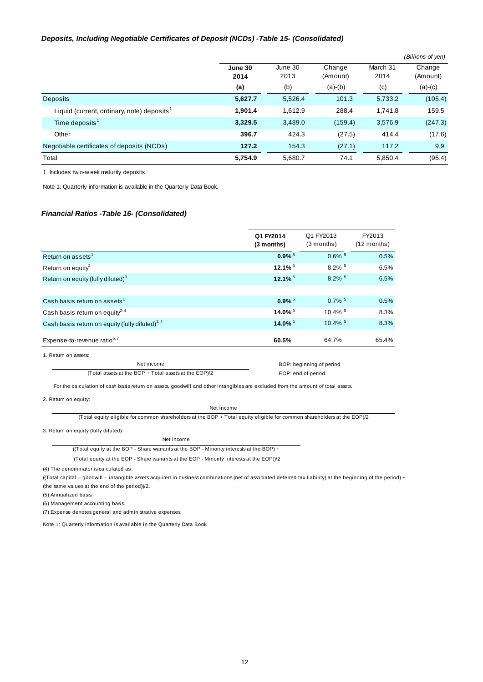#### *Deposits, Including Negotiable Certificates of Deposit (NCDs) -Table 15- (Consolidated)*

|                                                        |         |         |           |          | (Billions of yen) |
|--------------------------------------------------------|---------|---------|-----------|----------|-------------------|
|                                                        | June 30 | June 30 | Change    | March 31 | Change            |
|                                                        | 2014    | 2013    | (Amount)  | 2014     | (Amount)          |
|                                                        | (a)     | (b)     | $(a)-(b)$ | (c)      | $(a)-(c)$         |
| <b>Deposits</b>                                        | 5,627.7 | 5,526.4 | 101.3     | 5,733.2  | (105.4)           |
| Liquid (current, ordinary, note) deposits <sup>1</sup> | 1,901.4 | 1,612.9 | 288.4     | 1,741.8  | 159.5             |
| Time deposits <sup>1</sup>                             | 3,329.5 | 3,489.0 | (159.4)   | 3,576.9  | (247.3)           |
| Other                                                  | 396.7   | 424.3   | (27.5)    | 414.4    | (17.6)            |
| Negotiable certificates of deposits (NCDs)             | 127.2   | 154.3   | (27.1)    | 117.2    | 9.9               |
| Total                                                  | 5,754.9 | 5,680.7 | 74.1      | 5,850.4  | (95.4)            |

1. Includes tw o-w eek maturity deposits

Note 1: Quarterly information is available in the Quarterly Data Book.

#### *Financial Ratios -Table 16- (Consolidated)*

|                                                       | Q1 FY2014<br>(3 months) | Q1 FY2013<br>(3 months)  | FY2013<br>$(12$ months) |
|-------------------------------------------------------|-------------------------|--------------------------|-------------------------|
| Return on assets <sup>1</sup>                         | $0.9\%$ <sup>5</sup>    | $0.6\%$ <sup>5</sup>     | 0.5%                    |
| Return on equity <sup>2</sup>                         | $12.1\%$ <sup>5</sup>   | 8.2% 5                   | 6.5%                    |
| Return on equity (fully diluted) <sup>3</sup>         | $12.1\%$ <sup>5</sup>   | $8.2\%$ <sup>5</sup>     | 6.5%                    |
|                                                       |                         |                          |                         |
| Cash basis return on assets <sup>1</sup>              | $0.9\%$ <sup>5</sup>    | $0.7\%$ <sup>5</sup>     | 0.5%                    |
| Cash basis return on equity <sup>2, 4</sup>           | $14.0\%$ <sup>5</sup>   | $10.4\%$ <sup>5</sup>    | 8.3%                    |
| Cash basis return on equity (fully diluted) $^{3,4}$  | 14.0% 5                 | $10.4\%$ <sup>5</sup>    | 8.3%                    |
| Expense-to-revenue ratio <sup>6,7</sup>               | 60.5%                   | 64.7%                    | 65.4%                   |
| 1. Return on assets:                                  |                         |                          |                         |
| Net income                                            |                         | BOP: beginning of period |                         |
| (Total assets at the BOP + Total assets at the EOP)/2 |                         | EOP: end of period       |                         |

For the calculation of cash basis return on assets, goodwill and other intangibles are excluded from the amount of total assets.

2. Return on equity:

Net income

(Total equity eligible for common shareholders at the BOP + Total equity eligible for common shareholders at the EOP)/2

3. Return on equity (fully diluted):

Net income ((Total equity at the BOP - Share warrants at the BOP - Minority interests at the BOP) +

(Total equity at the EOP - Share warrants at the EOP - Minority interests at the EOP))/2

(4) The denominator is calculated as:

((Total capital – goodwill – intangible assets acquired in business combinations (net of associated deferred tax liability) at the beginning of the period) + (the same values at the end of the period))/2.

(5) Annualized basis.

(6) Management accounting basis.

(7) Expense denotes general and administrative expenses.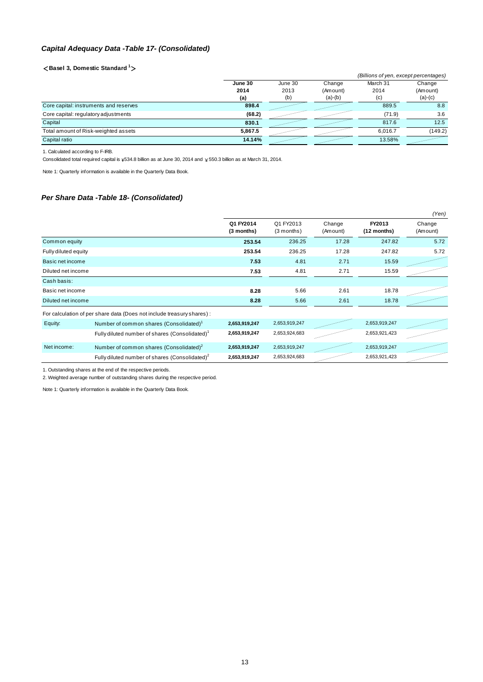### *Capital Adequacy Data -Table 17- (Consolidated)*

### <**Basel 3, Domestic Standard 1**>

|                                        |         |         |           | (Billions of yen, except percentages) |           |
|----------------------------------------|---------|---------|-----------|---------------------------------------|-----------|
|                                        | June 30 | June 30 | Change    | March 31                              | Change    |
|                                        | 2014    | 2013    | (Amount)  | 2014                                  | (Amount)  |
|                                        | (a)     | (b)     | $(a)-(b)$ | (c)                                   | $(a)-(c)$ |
| Core capital: instruments and reserves | 898.4   |         |           | 889.5                                 | 8.8       |
| Core capital: regulatory adjustments   | (68.2)  |         |           | (71.9)                                | 3.6       |
| Capital                                | 830.1   |         |           | 817.6                                 | 12.5      |
| Total amount of Risk-weighted assets   | 5.867.5 |         |           | 6.016.7                               | (149.2)   |
| Capital ratio                          | 14.14%  |         |           | 13.58%                                |           |
|                                        |         |         |           |                                       |           |

1. Calculated according to F-IRB.

Consolidated total required capital is  $*534.8$  billion as at June 30, 2014 and  $*50.3$  billion as at March 31, 2014.

Note 1: Quarterly information is available in the Quarterly Data Book.

### *Per Share Data -Table 18- (Consolidated)*

|                      |                                                                        |                         |                           |                    |                       | (Yen)              |
|----------------------|------------------------------------------------------------------------|-------------------------|---------------------------|--------------------|-----------------------|--------------------|
|                      |                                                                        | Q1 FY2014<br>(3 months) | Q1 FY2013<br>$(3$ months) | Change<br>(Amount) | FY2013<br>(12 months) | Change<br>(Amount) |
| Common equity        |                                                                        | 253.54                  | 236.25                    | 17.28              | 247.82                | 5.72               |
| Fully diluted equity |                                                                        | 253.54                  | 236.25                    | 17.28              | 247.82                | 5.72               |
| Basic net income     |                                                                        | 7.53                    | 4.81                      | 2.71               | 15.59                 |                    |
| Diluted net income   |                                                                        | 7.53                    | 4.81                      | 2.71               | 15.59                 |                    |
| Cash basis:          |                                                                        |                         |                           |                    |                       |                    |
| Basic net income     |                                                                        | 8.28                    | 5.66                      | 2.61               | 18.78                 |                    |
| Diluted net income   |                                                                        | 8.28                    | 5.66                      | 2.61               | 18.78                 |                    |
|                      | For calculation of per share data (Does not include treasury shares) : |                         |                           |                    |                       |                    |
| Equity:              | Number of common shares (Consolidated) <sup>1</sup>                    | 2,653,919,247           | 2,653,919,247             |                    | 2,653,919,247         |                    |
|                      | Fully diluted number of shares (Consolidated) <sup>1</sup>             | 2,653,919,247           | 2,653,924,683             |                    | 2,653,921,423         |                    |
| Net income:          | Number of common shares (Consolidated) <sup>2</sup>                    | 2,653,919,247           | 2,653,919,247             |                    | 2,653,919,247         |                    |
|                      | Fully diluted number of shares (Consolidated) <sup>2</sup>             | 2,653,919,247           | 2,653,924,683             |                    | 2,653,921,423         |                    |

1. Outstanding shares at the end of the respective periods.

2. Weighted average number of outstanding shares during the respective period.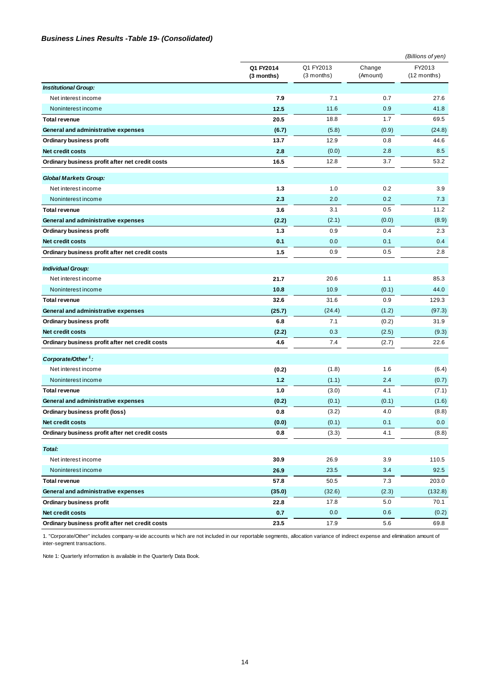### *Business Lines Results -Table 19- (Consolidated)*

|                                                 |                         |                           |                    | (Billions of yen)       |
|-------------------------------------------------|-------------------------|---------------------------|--------------------|-------------------------|
|                                                 | Q1 FY2014<br>(3 months) | Q1 FY2013<br>$(3$ months) | Change<br>(Amount) | FY2013<br>$(12$ months) |
| <b>Institutional Group:</b>                     |                         |                           |                    |                         |
| Net interest income                             | 7.9                     | 7.1                       | 0.7                | 27.6                    |
| Noninterest income                              | 12.5                    | 11.6                      | 0.9                | 41.8                    |
| <b>Total revenue</b>                            | 20.5                    | 18.8                      | 1.7                | 69.5                    |
| General and administrative expenses             | (6.7)                   | (5.8)                     | (0.9)              | (24.8)                  |
| Ordinary business profit                        | 13.7                    | 12.9                      | 0.8                | 44.6                    |
| Net credit costs                                | 2.8                     | (0.0)                     | 2.8                | 8.5                     |
| Ordinary business profit after net credit costs | 16.5                    | 12.8                      | 3.7                | 53.2                    |
| <b>Global Markets Group:</b>                    |                         |                           |                    |                         |
| Net interest income                             | 1.3                     | 1.0                       | 0.2                | 3.9                     |
| Noninterest income                              | 2.3                     | 2.0                       | 0.2                | 7.3                     |
| <b>Total revenue</b>                            | 3.6                     | 3.1                       | 0.5                | 11.2                    |
| General and administrative expenses             | (2.2)                   | (2.1)                     | (0.0)              | (8.9)                   |
| Ordinary business profit                        | 1.3                     | 0.9                       | 0.4                | 2.3                     |
| Net credit costs                                | 0.1                     | 0.0                       | 0.1                | 0.4                     |
| Ordinary business profit after net credit costs | 1.5                     | 0.9                       | 0.5                | 2.8                     |
| <b>Individual Group:</b>                        |                         |                           |                    |                         |
| Net interest income                             | 21.7                    | 20.6                      | 1.1                | 85.3                    |
| Noninterest income                              | 10.8                    | 10.9                      | (0.1)              | 44.0                    |
| <b>Total revenue</b>                            | 32.6                    | 31.6                      | 0.9                | 129.3                   |
| General and administrative expenses             | (25.7)                  | (24.4)                    | (1.2)              | (97.3)                  |
| Ordinary business profit                        | 6.8                     | 7.1                       | (0.2)              | 31.9                    |
| Net credit costs                                | (2.2)                   | 0.3                       | (2.5)              | (9.3)                   |
| Ordinary business profit after net credit costs | 4.6                     | 7.4                       | (2.7)              | 22.6                    |
| Corporate/Other <sup>1</sup> :                  |                         |                           |                    |                         |
| Net interest income                             | (0.2)                   | (1.8)                     | 1.6                | (6.4)                   |
| Noninterest income                              | 1.2                     | (1.1)                     | 2.4                | (0.7)                   |
| <b>Total revenue</b>                            | 1.0                     | (3.0)                     | 4.1                | (7.1)                   |
| General and administrative expenses             | (0.2)                   | (0.1)                     | (0.1)              | (1.6)                   |
| Ordinary business profit (loss)                 | 0.8                     | (3.2)                     | 4.0                | (8.8)                   |
| Net credit costs                                | (0.0)                   | (0.1)                     | 0.1                | 0.0                     |
| Ordinary business profit after net credit costs | 0.8                     | (3.3)                     | 4.1                | (8.8)                   |
| Total:                                          |                         |                           |                    |                         |
| Net interest income                             | 30.9                    | 26.9                      | 3.9                | 110.5                   |
| Noninterest income                              | 26.9                    | 23.5                      | 3.4                | 92.5                    |
| <b>Total revenue</b>                            | 57.8                    | 50.5                      | 7.3                | 203.0                   |
| General and administrative expenses             | (35.0)                  | (32.6)                    | (2.3)              | (132.8)                 |
| Ordinary business profit                        | 22.8                    | 17.8                      | 5.0                | 70.1                    |
| Net credit costs                                | 0.7                     | 0.0                       | 0.6                | (0.2)                   |
| Ordinary business profit after net credit costs | 23.5                    | 17.9                      | 5.6                | 69.8                    |

1. "Corporate/Other" includes company-w ide accounts w hich are not included in our reportable segments, allocation variance of indirect expense and elimination amount of inter-segment transactions.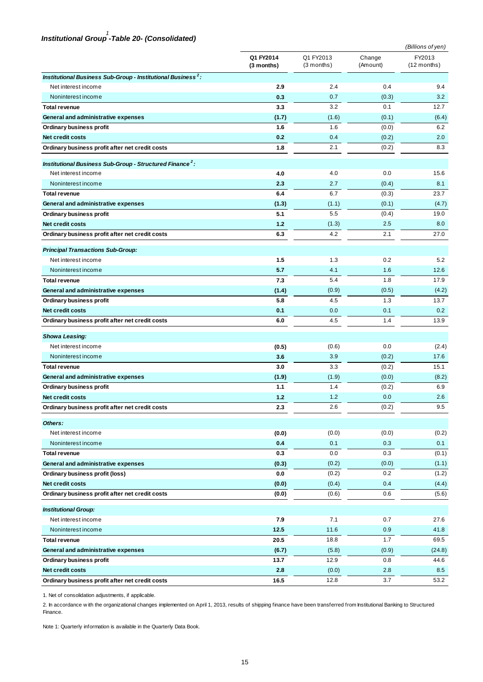# *Institutional Group -Table 20- (Consolidated) 1*

|                                                                          | (Billions of yen)       |                           |                    |                         |  |
|--------------------------------------------------------------------------|-------------------------|---------------------------|--------------------|-------------------------|--|
|                                                                          | Q1 FY2014<br>(3 months) | Q1 FY2013<br>$(3$ months) | Change<br>(Amount) | FY2013<br>$(12$ months) |  |
| Institutional Business Sub-Group - Institutional Business <sup>2</sup> : |                         |                           |                    |                         |  |
| Net interest income                                                      | 2.9                     | 2.4                       | 0.4                | 9.4                     |  |
| Noninterest income                                                       | 0.3                     | 0.7                       | (0.3)              | 3.2                     |  |
| <b>Total revenue</b>                                                     | 3.3                     | 3.2                       | 0.1                | 12.7                    |  |
| General and administrative expenses                                      | (1.7)                   | (1.6)                     | (0.1)              | (6.4)                   |  |
| Ordinary business profit                                                 | 1.6                     | 1.6                       | (0.0)              | 6.2                     |  |
| Net credit costs                                                         | 0.2                     | 0.4                       | (0.2)              | 2.0                     |  |
| Ordinary business profit after net credit costs                          | 1.8                     | 2.1                       | (0.2)              | 8.3                     |  |
| Institutional Business Sub-Group - Structured Finance <sup>2</sup> :     |                         |                           |                    |                         |  |
| Net interest income                                                      | 4.0                     | 4.0                       | 0.0                | 15.6                    |  |
| Noninterest income                                                       | 2.3                     | 2.7                       | (0.4)              | 8.1                     |  |
| <b>Total revenue</b>                                                     | 6.4                     | 6.7                       | (0.3)              | 23.7                    |  |
| General and administrative expenses                                      | (1.3)                   | (1.1)                     | (0.1)              | (4.7)                   |  |
| Ordinary business profit                                                 | 5.1                     | 5.5                       | (0.4)              | 19.0                    |  |
| <b>Net credit costs</b>                                                  | 1.2                     | (1.3)                     | 2.5                | 8.0                     |  |
| Ordinary business profit after net credit costs                          | 6.3                     | 4.2                       | 2.1                | 27.0                    |  |
| <b>Principal Transactions Sub-Group:</b>                                 |                         |                           |                    |                         |  |
| Net interest income                                                      | 1.5                     | 1.3                       | 0.2                | 5.2                     |  |
| Noninterest income                                                       | 5.7                     | 4.1                       | 1.6                | 12.6                    |  |
| <b>Total revenue</b>                                                     | 7.3                     | 5.4                       | 1.8                | 17.9                    |  |
| General and administrative expenses                                      | (1.4)                   | (0.9)                     | (0.5)              | (4.2)                   |  |
| Ordinary business profit                                                 | 5.8                     | 4.5                       | 1.3                | 13.7                    |  |
| <b>Net credit costs</b>                                                  | 0.1                     | 0.0                       | 0.1                | 0.2                     |  |
| Ordinary business profit after net credit costs                          | 6.0                     | 4.5                       | 1.4                | 13.9                    |  |
| <b>Showa Leasing:</b>                                                    |                         |                           |                    |                         |  |
| Net interest income                                                      | (0.5)                   | (0.6)                     | 0.0                | (2.4)                   |  |
| Noninterest income                                                       | 3.6                     | 3.9                       | (0.2)              | 17.6                    |  |
| <b>Total revenue</b>                                                     | 3.0                     | 3.3                       | (0.2)              | 15.1                    |  |
| General and administrative expenses                                      | (1.9)                   | (1.9)                     | (0.0)              | (8.2)                   |  |
| Ordinary business profit                                                 | 1.1                     | 1.4                       | (0.2)              | 6.9                     |  |
| Net credit costs                                                         | 1.2                     | 1.2                       | 0.0                | 2.6                     |  |
| Ordinary business profit after net credit costs                          | 2.3                     | $2.6\,$                   | (0.2)              | 9.5                     |  |
| Others:                                                                  |                         |                           |                    |                         |  |
| Net interest income                                                      | (0.0)                   | (0.0)                     | (0.0)              | (0.2)                   |  |
| Noninterest income                                                       | 0.4                     | 0.1                       | 0.3                | 0.1                     |  |
| <b>Total revenue</b>                                                     | 0.3                     | 0.0                       | 0.3                | (0.1)                   |  |
| General and administrative expenses                                      | (0.3)                   | (0.2)                     | (0.0)              | (1.1)                   |  |
| Ordinary business profit (loss)                                          | 0.0                     | (0.2)                     | 0.2                | (1.2)                   |  |
| Net credit costs                                                         | (0.0)                   | (0.4)                     | 0.4                | (4.4)                   |  |
| Ordinary business profit after net credit costs                          | (0.0)                   | (0.6)                     | 0.6                | (5.6)                   |  |
| <b>Institutional Group:</b>                                              |                         |                           |                    |                         |  |
| Net interest income                                                      | 7.9                     | 7.1                       | 0.7                | 27.6                    |  |
| Noninterest income                                                       | 12.5                    | 11.6                      | 0.9                | 41.8                    |  |
| <b>Total revenue</b>                                                     | 20.5                    | 18.8                      | 1.7                | 69.5                    |  |
| General and administrative expenses                                      | (6.7)                   | (5.8)                     | (0.9)              | (24.8)                  |  |
| Ordinary business profit                                                 | 13.7                    | 12.9                      | 0.8                | 44.6                    |  |
| Net credit costs                                                         | 2.8                     | (0.0)                     | 2.8                | 8.5                     |  |
| Ordinary business profit after net credit costs                          | 16.5                    | 12.8                      | $3.7\,$            | 53.2                    |  |

1. Net of consolidation adjustments, if applicable.

2. In accordance w ith the organizational changes implemented on April 1, 2013, results of shipping finance have been transferred from Institutional Banking to Structured Finance.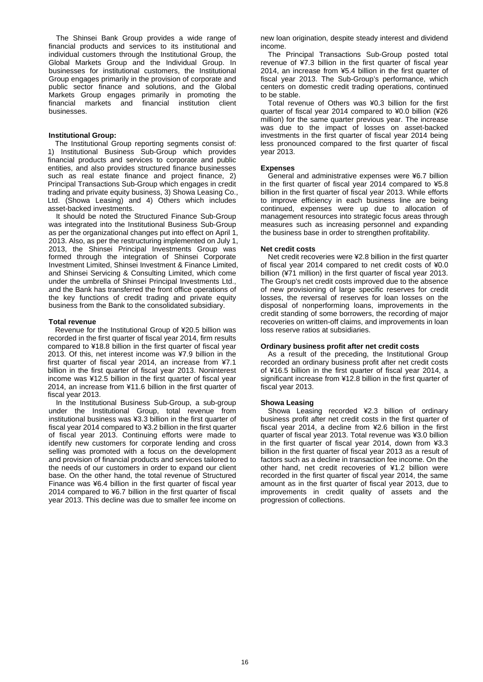The Shinsei Bank Group provides a wide range of financial products and services to its institutional and individual customers through the Institutional Group, the Global Markets Group and the Individual Group. In businesses for institutional customers, the Institutional Group engages primarily in the provision of corporate and public sector finance and solutions, and the Global Markets Group engages primarily in promoting the financial markets and financial institution client businesses.

#### **Institutional Group:**

The Institutional Group reporting segments consist of: 1) Institutional Business Sub-Group which provides financial products and services to corporate and public entities, and also provides structured finance businesses such as real estate finance and project finance, 2) Principal Transactions Sub-Group which engages in credit trading and private equity business, 3) Showa Leasing Co., Ltd. (Showa Leasing) and 4) Others which includes asset-backed investments.

It should be noted the Structured Finance Sub-Group was integrated into the Institutional Business Sub-Group as per the organizational changes put into effect on April 1, 2013. Also, as per the restructuring implemented on July 1, 2013, the Shinsei Principal Investments Group was formed through the integration of Shinsei Corporate Investment Limited, Shinsei Investment & Finance Limited, and Shinsei Servicing & Consulting Limited, which come under the umbrella of Shinsei Principal Investments Ltd., and the Bank has transferred the front office operations of the key functions of credit trading and private equity business from the Bank to the consolidated subsidiary.

#### **Total revenue**

Revenue for the Institutional Group of ¥20.5 billion was recorded in the first quarter of fiscal year 2014, firm results compared to ¥18.8 billion in the first quarter of fiscal year 2013. Of this, net interest income was ¥7.9 billion in the first quarter of fiscal year 2014, an increase from ¥7.1 billion in the first quarter of fiscal year 2013. Noninterest income was ¥12.5 billion in the first quarter of fiscal year 2014, an increase from ¥11.6 billion in the first quarter of fiscal year 2013.

In the Institutional Business Sub-Group, a sub-group under the Institutional Group, total revenue from institutional business was ¥3.3 billion in the first quarter of fiscal year 2014 compared to ¥3.2 billion in the first quarter of fiscal year 2013. Continuing efforts were made to identify new customers for corporate lending and cross selling was promoted with a focus on the development and provision of financial products and services tailored to the needs of our customers in order to expand our client base. On the other hand, the total revenue of Structured Finance was ¥6.4 billion in the first quarter of fiscal year 2014 compared to ¥6.7 billion in the first quarter of fiscal year 2013. This decline was due to smaller fee income on new loan origination, despite steady interest and dividend income.

The Principal Transactions Sub-Group posted total revenue of ¥7.3 billion in the first quarter of fiscal year 2014, an increase from ¥5.4 billion in the first quarter of fiscal year 2013. The Sub-Group's performance, which centers on domestic credit trading operations, continued to be stable.

Total revenue of Others was ¥0.3 billion for the first quarter of fiscal year 2014 compared to ¥0.0 billion (¥26 million) for the same quarter previous year. The increase was due to the impact of losses on asset-backed investments in the first quarter of fiscal year 2014 being less pronounced compared to the first quarter of fiscal year 2013.

#### **Expenses**

General and administrative expenses were ¥6.7 billion in the first quarter of fiscal year 2014 compared to ¥5.8 billion in the first quarter of fiscal year 2013. While efforts to improve efficiency in each business line are being continued, expenses were up due to allocation of management resources into strategic focus areas through measures such as increasing personnel and expanding the business base in order to strengthen profitability.

#### **Net credit costs**

Net credit recoveries were ¥2.8 billion in the first quarter of fiscal year 2014 compared to net credit costs of ¥0.0 billion (¥71 million) in the first quarter of fiscal year 2013. The Group's net credit costs improved due to the absence of new provisioning of large specific reserves for credit losses, the reversal of reserves for loan losses on the disposal of nonperforming loans, improvements in the credit standing of some borrowers, the recording of major recoveries on written-off claims, and improvements in loan loss reserve ratios at subsidiaries.

### **Ordinary business profit after net credit costs**

As a result of the preceding, the Institutional Group recorded an ordinary business profit after net credit costs of ¥16.5 billion in the first quarter of fiscal year 2014, a significant increase from ¥12.8 billion in the first quarter of fiscal year 2013.

### **Showa Leasing**

Showa Leasing recorded ¥2.3 billion of ordinary business profit after net credit costs in the first quarter of fiscal year 2014, a decline from ¥2.6 billion in the first quarter of fiscal year 2013. Total revenue was ¥3.0 billion in the first quarter of fiscal year 2014, down from ¥3.3 billion in the first quarter of fiscal year 2013 as a result of factors such as a decline in transaction fee income. On the other hand, net credit recoveries of ¥1.2 billion were recorded in the first quarter of fiscal year 2014, the same amount as in the first quarter of fiscal year 2013, due to improvements in credit quality of assets and the progression of collections.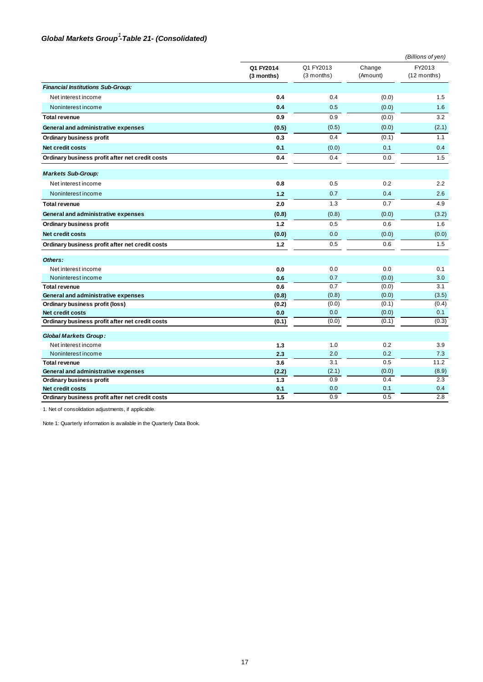### Global Markets Group<sup>1</sup>-Table 21- (Consolidated)

|                                                                     |                         |                         |                    | (Billions of yen)     |
|---------------------------------------------------------------------|-------------------------|-------------------------|--------------------|-----------------------|
|                                                                     | Q1 FY2014<br>(3 months) | Q1 FY2013<br>(3 months) | Change<br>(Amount) | FY2013<br>(12 months) |
| <b>Financial Institutions Sub-Group:</b>                            |                         |                         |                    |                       |
| Net interest income                                                 | 0.4                     | 0.4                     | (0.0)              | 1.5                   |
| Noninterest income                                                  | 0.4                     | 0.5                     | (0.0)              | 1.6                   |
| <b>Total revenue</b>                                                | 0.9                     | 0.9                     | (0.0)              | 3.2                   |
| General and administrative expenses                                 | (0.5)                   | (0.5)                   | (0.0)              | (2.1)                 |
| Ordinary business profit                                            | 0.3                     | 0.4                     | (0.1)              | 1.1                   |
| Net credit costs                                                    | 0.1                     | (0.0)                   | 0.1                | 0.4                   |
| Ordinary business profit after net credit costs                     | 0.4                     | 0.4                     | 0.0                | 1.5                   |
| <b>Markets Sub-Group:</b>                                           |                         |                         |                    |                       |
| Net interest income                                                 | 0.8                     | 0.5                     | 0.2                | 2.2                   |
| Noninterest income                                                  | 1.2                     | 0.7                     | 0.4                | 2.6                   |
| <b>Total revenue</b>                                                | 2.0                     | 1.3                     | 0.7                | 4.9                   |
| General and administrative expenses                                 | (0.8)                   | (0.8)                   | (0.0)              | (3.2)                 |
| Ordinary business profit                                            | 1.2                     | 0.5                     | 0.6                | 1.6                   |
| Net credit costs                                                    | (0.0)                   | 0.0                     | (0.0)              | (0.0)                 |
| Ordinary business profit after net credit costs                     | 1.2                     | 0.5                     | 0.6                | 1.5                   |
| Others:                                                             |                         |                         |                    |                       |
| Net interest income                                                 | 0.0                     | 0.0                     | 0.0                | 0.1                   |
| Noninterest income                                                  | 0.6                     | 0.7                     | (0.0)              | 3.0                   |
| <b>Total revenue</b>                                                | 0.6                     | 0.7                     | (0.0)              | 3.1                   |
| General and administrative expenses                                 | (0.8)                   | (0.8)                   | (0.0)              | (3.5)                 |
| Ordinary business profit (loss)                                     | (0.2)                   | (0.0)<br>0.0            | (0.1)              | (0.4)                 |
| Net credit costs<br>Ordinary business profit after net credit costs | 0.0<br>(0.1)            | (0.0)                   | (0.0)<br>(0.1)     | 0.1<br>(0.3)          |
|                                                                     |                         |                         |                    |                       |
| <b>Global Markets Group:</b>                                        |                         |                         |                    |                       |
| Net interest income                                                 | 1.3                     | 1.0                     | 0.2                | 3.9                   |
| Noninterest income                                                  | 2.3                     | 2.0                     | 0.2                | 7.3                   |
| <b>Total revenue</b>                                                | 3.6                     | 3.1                     | 0.5                | 11.2                  |
| General and administrative expenses                                 | (2.2)                   | (2.1)                   | (0.0)              | (8.9)                 |
| Ordinary business profit                                            | 1.3                     | 0.9                     | 0.4                | 2.3                   |
| Net credit costs                                                    | 0.1                     | 0.0                     | 0.1                | 0.4                   |
| Ordinary business profit after net credit costs                     | 1.5                     | 0.9                     | 0.5                | 2.8                   |

1. Net of consolidation adjustments, if applicable.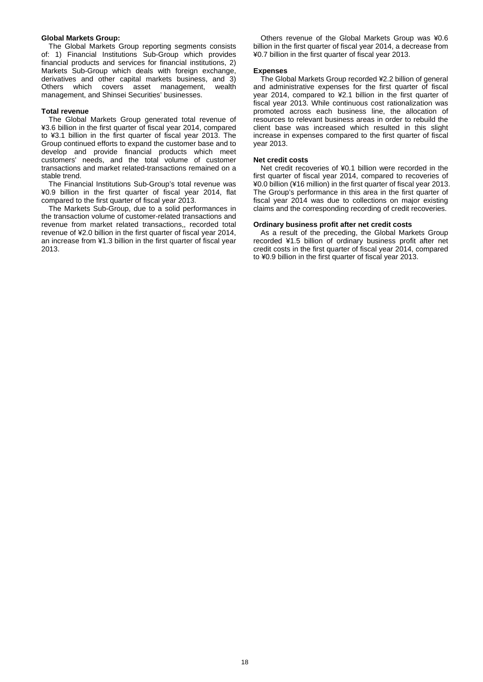#### **Global Markets Group:**

The Global Markets Group reporting segments consists of: 1) Financial Institutions Sub-Group which provides financial products and services for financial institutions, 2) Markets Sub-Group which deals with foreign exchange, derivatives and other capital markets business, and 3) Others which covers asset management, management, and Shinsei Securities' businesses.

#### **Total revenue**

The Global Markets Group generated total revenue of ¥3.6 billion in the first quarter of fiscal year 2014, compared to ¥3.1 billion in the first quarter of fiscal year 2013. The Group continued efforts to expand the customer base and to develop and provide financial products which meet customers' needs, and the total volume of customer transactions and market related-transactions remained on a stable trend.

The Financial Institutions Sub-Group's total revenue was ¥0.9 billion in the first quarter of fiscal year 2014, flat compared to the first quarter of fiscal year 2013.

The Markets Sub-Group, due to a solid performances in the transaction volume of customer-related transactions and revenue from market related transactions,, recorded total revenue of ¥2.0 billion in the first quarter of fiscal year 2014, an increase from ¥1.3 billion in the first quarter of fiscal year 2013.

Others revenue of the Global Markets Group was ¥0.6 billion in the first quarter of fiscal year 2014, a decrease from ¥0.7 billion in the first quarter of fiscal year 2013.

#### **Expenses**

The Global Markets Group recorded ¥2.2 billion of general and administrative expenses for the first quarter of fiscal year 2014, compared to ¥2.1 billion in the first quarter of fiscal year 2013. While continuous cost rationalization was promoted across each business line, the allocation of resources to relevant business areas in order to rebuild the client base was increased which resulted in this slight increase in expenses compared to the first quarter of fiscal year 2013.

#### **Net credit costs**

Net credit recoveries of ¥0.1 billion were recorded in the first quarter of fiscal year 2014, compared to recoveries of ¥0.0 billion (¥16 million) in the first quarter of fiscal year 2013. The Group's performance in this area in the first quarter of fiscal year 2014 was due to collections on major existing claims and the corresponding recording of credit recoveries.

#### **Ordinary business profit after net credit costs**

As a result of the preceding, the Global Markets Group recorded ¥1.5 billion of ordinary business profit after net credit costs in the first quarter of fiscal year 2014, compared to ¥0.9 billion in the first quarter of fiscal year 2013.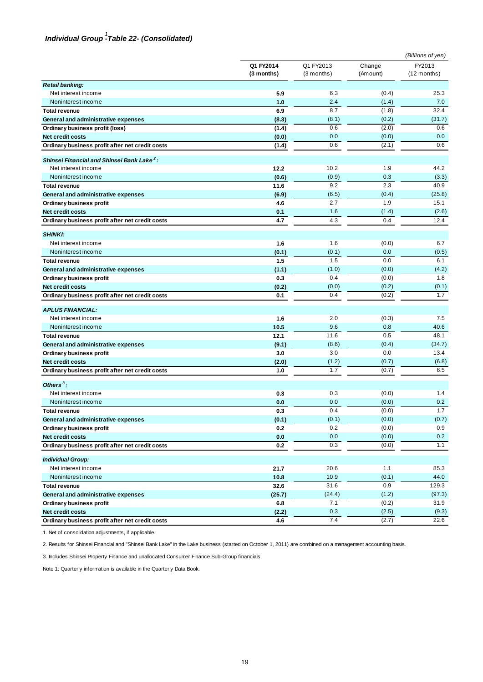# *Individual Group -Table 22- (Consolidated) 1*

|                                                        |                         |                           |                    | (Billions of yen)       |
|--------------------------------------------------------|-------------------------|---------------------------|--------------------|-------------------------|
|                                                        | Q1 FY2014<br>(3 months) | Q1 FY2013<br>$(3$ months) | Change<br>(Amount) | FY2013<br>$(12$ months) |
| <b>Retail banking:</b>                                 |                         |                           |                    |                         |
| Net interest income                                    | 5.9                     | 6.3                       | (0.4)              | 25.3                    |
| Noninterest income                                     | 1.0                     | 2.4                       | (1.4)              | 7.0                     |
| <b>Total revenue</b>                                   | 6.9                     | 8.7                       | (1.8)              | 32.4                    |
| General and administrative expenses                    | (8.3)                   | (8.1)                     | (0.2)              | (31.7)                  |
| Ordinary business profit (loss)                        | (1.4)                   | 0.6                       | (2.0)              | 0.6                     |
| Net credit costs                                       | (0.0)                   | 0.0                       | (0.0)              | 0.0                     |
| Ordinary business profit after net credit costs        | (1.4)                   | 0.6                       | (2.1)              | 0.6                     |
| Shinsei Financial and Shinsei Bank Lake <sup>2</sup> : |                         |                           |                    |                         |
| Net interest income                                    | 12.2                    | 10.2                      | 1.9                | 44.2                    |
| Noninterest income                                     | (0.6)                   | (0.9)                     | 0.3                | (3.3)                   |
| <b>Total revenue</b>                                   | 11.6                    | 9.2                       | 2.3                | 40.9                    |
| General and administrative expenses                    | (6.9)                   | (6.5)                     | (0.4)              | (25.8)                  |
| Ordinary business profit                               | 4.6                     | 2.7                       | 1.9                | 15.1                    |
| Net credit costs                                       | 0.1                     | 1.6                       | (1.4)              | (2.6)                   |
| Ordinary business profit after net credit costs        | 4.7                     | 4.3                       | 0.4                | 12.4                    |
| <b>SHINKI:</b>                                         |                         |                           |                    |                         |
| Net interest income                                    | 1.6                     | 1.6                       | (0.0)              | 6.7                     |
| Noninterest income                                     | (0.1)                   | (0.1)                     | 0.0                | (0.5)                   |
| <b>Total revenue</b>                                   | 1.5                     | 1.5                       | 0.0                | 6.1                     |
| General and administrative expenses                    | (1.1)                   | (1.0)                     | (0.0)              | (4.2)                   |
| Ordinary business profit                               | 0.3                     | 0.4                       | (0.0)              | 1.8                     |
| Net credit costs                                       | (0.2)                   | (0.0)                     | (0.2)              | (0.1)                   |
| Ordinary business profit after net credit costs        | 0.1                     | 0.4                       | (0.2)              | 1.7                     |
| <b>APLUS FINANCIAL:</b>                                |                         |                           |                    |                         |
| Net interest income                                    | 1.6                     | 2.0                       | (0.3)              | 7.5                     |
| Noninterest income                                     | 10.5                    | 9.6                       | 0.8                | 40.6                    |
| <b>Total revenue</b>                                   | 12.1                    | 11.6                      | 0.5                | 48.1                    |
| General and administrative expenses                    | (9.1)                   | (8.6)                     | (0.4)              | (34.7)                  |
| Ordinary business profit                               | 3.0                     | 3.0                       | 0.0                | 13.4                    |
| Net credit costs                                       | (2.0)                   | (1.2)                     | (0.7)              | (6.8)                   |
| Ordinary business profit after net credit costs        | 1.0                     | 1.7                       | (0.7)              | 6.5                     |
| Others $3$ :                                           |                         |                           |                    |                         |
| Net interest income                                    | 0.3                     | 0.3                       | (0.0)              | 1.4                     |
| Noninterest income                                     | 0.0                     | 0.0                       | (0.0)              | 0.2                     |
| <b>Total revenue</b>                                   | 0.3                     | 0.4                       | (0.0)              | 1.7                     |
| General and administrative expenses                    | (0.1)                   | (0.1)                     | (0.0)              | (0.7)                   |
| Ordinary business profit                               | 0.2                     | 0.2                       | (0.0)              | 0.9                     |
| Net credit costs                                       | 0.0                     | $0.0\,$                   | (0.0)              | 0.2                     |
| Ordinary business profit after net credit costs        | 0.2                     | 0.3                       | (0.0)              | 1.1                     |
| <b>Individual Group:</b>                               |                         |                           |                    |                         |
| Net interest income                                    | 21.7                    | 20.6                      | 1.1                | 85.3                    |
| Noninterest income                                     | 10.8                    | 10.9                      | (0.1)              | 44.0                    |
| <b>Total revenue</b>                                   | 32.6                    | 31.6                      | 0.9                | 129.3                   |
| General and administrative expenses                    | (25.7)                  | (24.4)                    | (1.2)              | (97.3)                  |
| Ordinary business profit                               | 6.8                     | 7.1                       | (0.2)              | 31.9                    |
| Net credit costs                                       | (2.2)                   | 0.3                       | (2.5)              | (9.3)                   |
| Ordinary business profit after net credit costs        | 4.6                     | 7.4                       | (2.7)              | 22.6                    |

1. Net of consolidation adjustments, if applicable.

2. Results for Shinsei Financial and "Shinsei Bank Lake" in the Lake business (started on October 1, 2011) are combined on a management accounting basis.

3. Includes Shinsei Property Finance and unallocated Consumer Finance Sub-Group financials.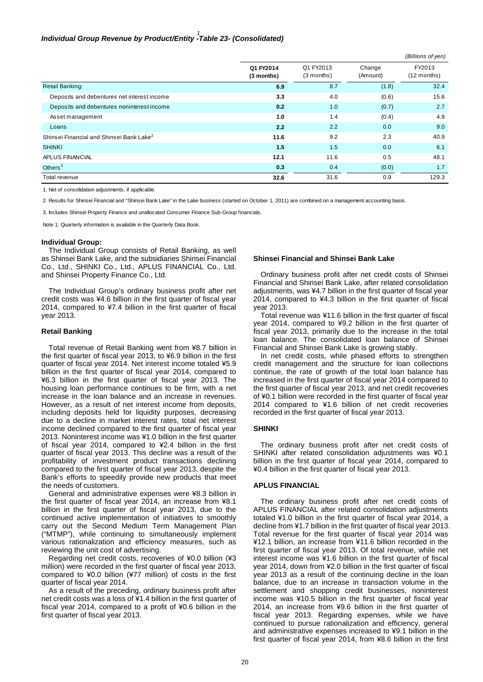# *Individual Group Revenue by Product/Entity -Table 23- (Consolidated) 1*

|                                                      |                         |                           |                    | (Billions of yen)       |
|------------------------------------------------------|-------------------------|---------------------------|--------------------|-------------------------|
|                                                      | Q1 FY2014<br>(3 months) | Q1 FY2013<br>$(3$ months) | Change<br>(Amount) | FY2013<br>$(12$ months) |
| Retail Banking:                                      | 6.9                     | 8.7                       | (1.8)              | 32.4                    |
| Deposits and debentures net interest income          | 3.3                     | 4.0                       | (0.6)              | 15.6                    |
| Deposits and debentures noninterest income           | 0.2                     | 1.0                       | (0.7)              | 2.7                     |
| Asset management                                     | 1.0                     | 1.4                       | (0.4)              | 4.9                     |
| Loans                                                | 2.2                     | 2.2                       | 0.0                | 9.0                     |
| Shinsei Financial and Shinsei Bank Lake <sup>2</sup> | 11.6                    | 9.2                       | 2.3                | 40.9                    |
| <b>SHINKI</b>                                        | 1.5                     | 1.5                       | 0.0                | 6.1                     |
| APLUS FINANCIAL                                      | 12.1                    | 11.6                      | 0.5                | 48.1                    |
| Others $3$                                           | 0.3                     | 0.4                       | (0.0)              | 1.7                     |
| Total revenue                                        | 32.6                    | 31.6                      | 0.9                | 129.3                   |

1. Net of consolidation adjustments, if applicable.

2. Results for Shinsei Financial and "Shinsei Bank Lake" in the Lake business (started on October 1, 2011) are combined on a management accounting basis.

3. Includes Shinsei Property Finance and unallocated Consumer Finance Sub-Group financials.

Note 1: Quarterly information is available in the Quarterly Data Book.

#### **Individual Group:**

The Individual Group consists of Retail Banking, as well as Shinsei Bank Lake, and the subsidiaries Shinsei Financial Co., Ltd., SHINKI Co., Ltd., APLUS FINANCIAL Co., Ltd. and Shinsei Property Finance Co., Ltd.

The Individual Group's ordinary business profit after net credit costs was ¥4.6 billion in the first quarter of fiscal year 2014, compared to ¥7.4 billion in the first quarter of fiscal year 2013.

#### **Retail Banking**

Total revenue of Retail Banking went from ¥8.7 billion in the first quarter of fiscal year 2013, to ¥6.9 billion in the first quarter of fiscal year 2014. Net interest income totaled ¥5.9 billion in the first quarter of fiscal year 2014, compared to ¥6.3 billion in the first quarter of fiscal year 2013. The housing loan performance continues to be firm, with a net increase in the loan balance and an increase in revenues. However, as a result of net interest income from deposits, including deposits held for liquidity purposes, decreasing due to a decline in market interest rates, total net interest income declined compared to the first quarter of fiscal year 2013. Noninterest income was ¥1.0 billion in the first quarter of fiscal year 2014, compared to ¥2.4 billion in the first quarter of fiscal year 2013. This decline was a result of the profitability of investment product transactions declining compared to the first quarter of fiscal year 2013, despite the Bank's efforts to speedily provide new products that meet the needs of customers.

General and administrative expenses were ¥8.3 billion in the first quarter of fiscal year 2014, an increase from ¥8.1 billion in the first quarter of fiscal year 2013, due to the continued active implementation of initiatives to smoothly carry out the Second Medium Term Management Plan ("MTMP"), while continuing to simultaneously implement various rationalization and efficiency measures, such as reviewing the unit cost of advertising.

Regarding net credit costs, recoveries of ¥0.0 billion (¥3 million) were recorded in the first quarter of fiscal year 2013, compared to ¥0.0 billion (¥77 million) of costs in the first quarter of fiscal year 2014.

As a result of the preceding, ordinary business profit after net credit costs was a loss of ¥1.4 billion in the first quarter of fiscal year 2014, compared to a profit of ¥0.6 billion in the first quarter of fiscal year 2013.

#### **Shinsei Financial and Shinsei Bank Lake**

Ordinary business profit after net credit costs of Shinsei Financial and Shinsei Bank Lake, after related consolidation adjustments, was ¥4.7 billion in the first quarter of fiscal year 2014, compared to ¥4.3 billion in the first quarter of fiscal year 2013.

Total revenue was ¥11.6 billion in the first quarter of fiscal year 2014, compared to ¥9.2 billion in the first quarter of fiscal year 2013, primarily due to the increase in the total loan balance. The consolidated loan balance of Shinsei Financial and Shinsei Bank Lake is growing stably.

In net credit costs, while phased efforts to strengthen credit management and the structure for loan collections continue, the rate of growth of the total loan balance has increased in the first quarter of fiscal year 2014 compared to the first quarter of fiscal year 2013, and net credit recoveries of ¥0.1 billion were recorded in the first quarter of fiscal year 2014 compared to ¥1.6 billion of net credit recoveries recorded in the first quarter of fiscal year 2013.

#### **SHINKI**

The ordinary business profit after net credit costs of SHINKI after related consolidation adjustments was ¥0.1 billion in the first quarter of fiscal year 2014, compared to ¥0.4 billion in the first quarter of fiscal year 2013.

#### **APLUS FINANCIAL**

The ordinary business profit after net credit costs of APLUS FINANCIAL after related consolidation adjustments totaled ¥1.0 billion in the first quarter of fiscal year 2014, a decline from ¥1.7 billion in the first quarter of fiscal year 2013. Total revenue for the first quarter of fiscal year 2014 was ¥12.1 billion, an increase from ¥11.6 billion recorded in the first quarter of fiscal year 2013. Of total revenue, while net interest income was ¥1.6 billion in the first quarter of fiscal year 2014, down from ¥2.0 billion in the first quarter of fiscal year 2013 as a result of the continuing decline in the loan balance, due to an increase in transaction volume in the settlement and shopping credit businesses, noninterest income was ¥10.5 billion in the first quarter of fiscal year 2014, an increase from ¥9.6 billion in the first quarter of fiscal year 2013. Regarding expenses, while we have continued to pursue rationalization and efficiency, general and administrative expenses increased to ¥9.1 billion in the first quarter of fiscal year 2014, from ¥8.6 billion in the first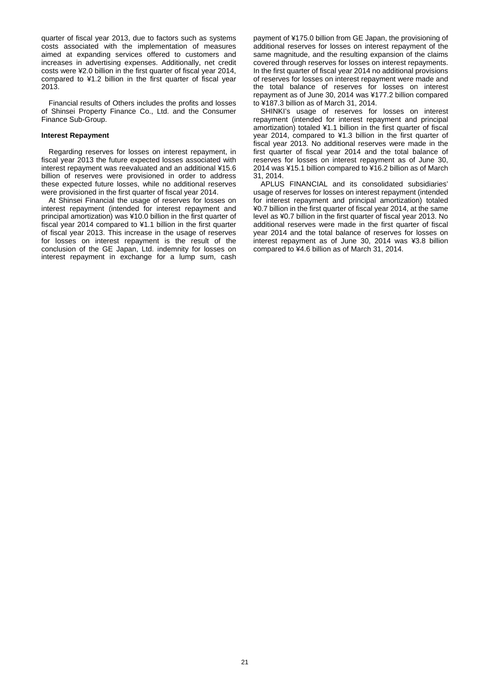quarter of fiscal year 2013, due to factors such as systems costs associated with the implementation of measures aimed at expanding services offered to customers and increases in advertising expenses. Additionally, net credit costs were ¥2.0 billion in the first quarter of fiscal year 2014, compared to ¥1.2 billion in the first quarter of fiscal year 2013.

Financial results of Others includes the profits and losses of Shinsei Property Finance Co., Ltd. and the Consumer Finance Sub-Group.

#### **Interest Repayment**

Regarding reserves for losses on interest repayment, in fiscal year 2013 the future expected losses associated with interest repayment was reevaluated and an additional ¥15.6 billion of reserves were provisioned in order to address these expected future losses, while no additional reserves were provisioned in the first quarter of fiscal year 2014.

At Shinsei Financial the usage of reserves for losses on interest repayment (intended for interest repayment and principal amortization) was ¥10.0 billion in the first quarter of fiscal year 2014 compared to ¥1.1 billion in the first quarter of fiscal year 2013. This increase in the usage of reserves for losses on interest repayment is the result of the conclusion of the GE Japan, Ltd. indemnity for losses on interest repayment in exchange for a lump sum, cash

payment of ¥175.0 billion from GE Japan, the provisioning of additional reserves for losses on interest repayment of the same magnitude, and the resulting expansion of the claims covered through reserves for losses on interest repayments. In the first quarter of fiscal year 2014 no additional provisions of reserves for losses on interest repayment were made and the total balance of reserves for losses on interest repayment as of June 30, 2014 was ¥177.2 billion compared to ¥187.3 billion as of March 31, 2014.

SHINKI's usage of reserves for losses on interest repayment (intended for interest repayment and principal amortization) totaled ¥1.1 billion in the first quarter of fiscal year 2014, compared to ¥1.3 billion in the first quarter of fiscal year 2013. No additional reserves were made in the first quarter of fiscal year 2014 and the total balance of reserves for losses on interest repayment as of June 30, 2014 was ¥15.1 billion compared to ¥16.2 billion as of March 31, 2014.

APLUS FINANCIAL and its consolidated subsidiaries' usage of reserves for losses on interest repayment (intended for interest repayment and principal amortization) totaled ¥0.7 billion in the first quarter of fiscal year 2014, at the same level as ¥0.7 billion in the first quarter of fiscal year 2013. No additional reserves were made in the first quarter of fiscal year 2014 and the total balance of reserves for losses on interest repayment as of June 30, 2014 was ¥3.8 billion compared to ¥4.6 billion as of March 31, 2014.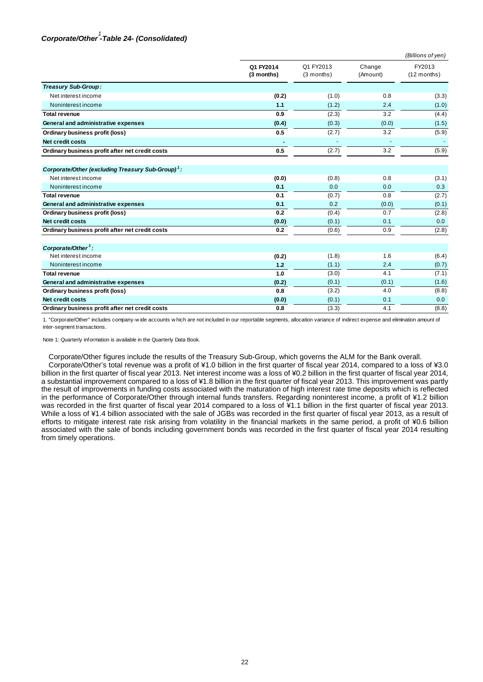# *Corporate/Other -Table 24- (Consolidated) 1*

|                                                               |                         |                         |                    | (Billions of yen)       |
|---------------------------------------------------------------|-------------------------|-------------------------|--------------------|-------------------------|
|                                                               | Q1 FY2014<br>(3 months) | Q1 FY2013<br>(3 months) | Change<br>(Amount) | FY2013<br>$(12$ months) |
| Treasury Sub-Group:                                           |                         |                         |                    |                         |
| Net interest income                                           | (0.2)                   | (1.0)                   | 0.8                | (3.3)                   |
| Noninterest income                                            | 1.1                     | (1.2)                   | 2.4                | (1.0)                   |
| <b>Total revenue</b>                                          | 0.9                     | (2.3)                   | 3.2                | (4.4)                   |
| General and administrative expenses                           | (0.4)                   | (0.3)                   | (0.0)              | (1.5)                   |
| Ordinary business profit (loss)                               | 0.5                     | (2.7)                   | 3.2                | (5.9)                   |
| Net credit costs                                              | ٠                       | ٠                       |                    |                         |
| Ordinary business profit after net credit costs               | 0.5                     | (2.7)                   | 3.2                | (5.9)                   |
| Corporate/Other (excluding Treasury Sub-Group) <sup>1</sup> : |                         |                         |                    |                         |
| Net interest income                                           | (0.0)                   | (0.8)                   | 0.8                | (3.1)                   |
| Noninterest income                                            | 0.1                     | 0.0                     | 0.0                | 0.3                     |
| <b>Total revenue</b>                                          | 0.1                     | (0.7)                   | 0.8                | (2.7)                   |
| General and administrative expenses                           | 0.1                     | 0.2                     | (0.0)              | (0.1)                   |
| Ordinary business profit (loss)                               | 0.2                     | (0.4)                   | 0.7                | (2.8)                   |
| Net credit costs                                              | (0.0)                   | (0.1)                   | 0.1                | 0.0                     |
| Ordinary business profit after net credit costs               | 0.2                     | (0.6)                   | 0.9                | (2.8)                   |
| Corporate/Other <sup>1</sup> :                                |                         |                         |                    |                         |
| Net interest income                                           | (0.2)                   | (1.8)                   | 1.6                | (6.4)                   |
| Noninterest income                                            | 1.2                     | (1.1)                   | 2.4                | (0.7)                   |
| <b>Total revenue</b>                                          | 1.0                     | (3.0)                   | 4.1                | (7.1)                   |
| General and administrative expenses                           | (0.2)                   | (0.1)                   | (0.1)              | (1.6)                   |
| Ordinary business profit (loss)                               | 0.8                     | (3.2)                   | 4.0                | (8.8)                   |
| Net credit costs                                              | (0.0)                   | (0.1)                   | 0.1                | 0.0                     |
| Ordinary business profit after net credit costs               | 0.8                     | (3.3)                   | 4.1                | (8.8)                   |

1. "Corporate/Other" includes company-w ide accounts w hich are not included in our reportable segments, allocation variance of indirect expense and elimination amount of inter-segment transactions.

Note 1: Quarterly information is available in the Quarterly Data Book.

Corporate/Other figures include the results of the Treasury Sub-Group, which governs the ALM for the Bank overall. Corporate/Other's total revenue was a profit of ¥1.0 billion in the first quarter of fiscal year 2014, compared to a loss of ¥3.0 billion in the first quarter of fiscal year 2013. Net interest income was a loss of ¥0.2 billion in the first quarter of fiscal year 2014, a substantial improvement compared to a loss of ¥1.8 billion in the first quarter of fiscal year 2013. This improvement was partly the result of improvements in funding costs associated with the maturation of high interest rate time deposits which is reflected in the performance of Corporate/Other through internal funds transfers. Regarding noninterest income, a profit of ¥1.2 billion was recorded in the first quarter of fiscal year 2014 compared to a loss of ¥1.1 billion in the first quarter of fiscal year 2013. While a loss of ¥1.4 billion associated with the sale of JGBs was recorded in the first quarter of fiscal year 2013, as a result of efforts to mitigate interest rate risk arising from volatility in the financial markets in the same period, a profit of ¥0.6 billion associated with the sale of bonds including government bonds was recorded in the first quarter of fiscal year 2014 resulting from timely operations.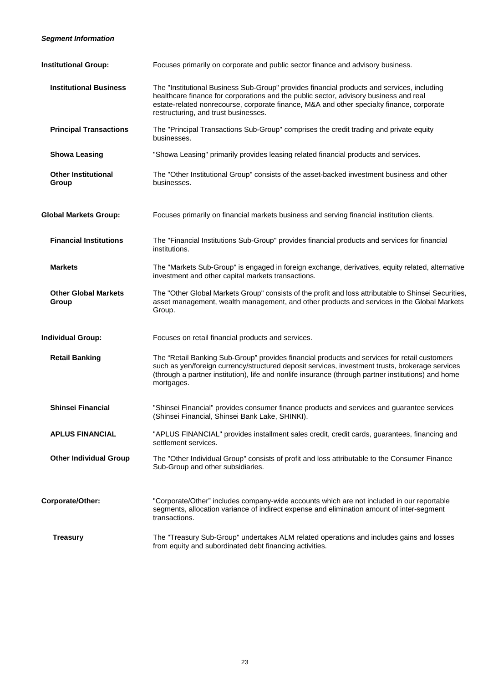### *Segment Information*

| <b>Institutional Group:</b>          | Focuses primarily on corporate and public sector finance and advisory business.                                                                                                                                                                                                                                          |
|--------------------------------------|--------------------------------------------------------------------------------------------------------------------------------------------------------------------------------------------------------------------------------------------------------------------------------------------------------------------------|
| <b>Institutional Business</b>        | The "Institutional Business Sub-Group" provides financial products and services, including<br>healthcare finance for corporations and the public sector, advisory business and real<br>estate-related nonrecourse, corporate finance, M&A and other specialty finance, corporate<br>restructuring, and trust businesses. |
| <b>Principal Transactions</b>        | The "Principal Transactions Sub-Group" comprises the credit trading and private equity<br>businesses.                                                                                                                                                                                                                    |
| <b>Showa Leasing</b>                 | "Showa Leasing" primarily provides leasing related financial products and services.                                                                                                                                                                                                                                      |
| <b>Other Institutional</b><br>Group  | The "Other Institutional Group" consists of the asset-backed investment business and other<br>businesses.                                                                                                                                                                                                                |
| <b>Global Markets Group:</b>         | Focuses primarily on financial markets business and serving financial institution clients.                                                                                                                                                                                                                               |
| <b>Financial Institutions</b>        | The "Financial Institutions Sub-Group" provides financial products and services for financial<br>institutions.                                                                                                                                                                                                           |
| <b>Markets</b>                       | The "Markets Sub-Group" is engaged in foreign exchange, derivatives, equity related, alternative<br>investment and other capital markets transactions.                                                                                                                                                                   |
| <b>Other Global Markets</b><br>Group | The "Other Global Markets Group" consists of the profit and loss attributable to Shinsei Securities,<br>asset management, wealth management, and other products and services in the Global Markets<br>Group.                                                                                                             |
| <b>Individual Group:</b>             | Focuses on retail financial products and services.                                                                                                                                                                                                                                                                       |
| <b>Retail Banking</b>                | The "Retail Banking Sub-Group" provides financial products and services for retail customers<br>such as yen/foreign currency/structured deposit services, investment trusts, brokerage services<br>(through a partner institution), life and nonlife insurance (through partner institutions) and home<br>mortgages.     |
| <b>Shinsei Financial</b>             | "Shinsei Financial" provides consumer finance products and services and guarantee services<br>(Shinsei Financial, Shinsei Bank Lake, SHINKI).                                                                                                                                                                            |
| <b>APLUS FINANCIAL</b>               | "APLUS FINANCIAL" provides installment sales credit, credit cards, guarantees, financing and<br>settlement services.                                                                                                                                                                                                     |
| <b>Other Individual Group</b>        | The "Other Individual Group" consists of profit and loss attributable to the Consumer Finance<br>Sub-Group and other subsidiaries.                                                                                                                                                                                       |
| Corporate/Other:                     | "Corporate/Other" includes company-wide accounts which are not included in our reportable<br>segments, allocation variance of indirect expense and elimination amount of inter-segment<br>transactions.                                                                                                                  |
| <b>Treasury</b>                      | The "Treasury Sub-Group" undertakes ALM related operations and includes gains and losses<br>from equity and subordinated debt financing activities.                                                                                                                                                                      |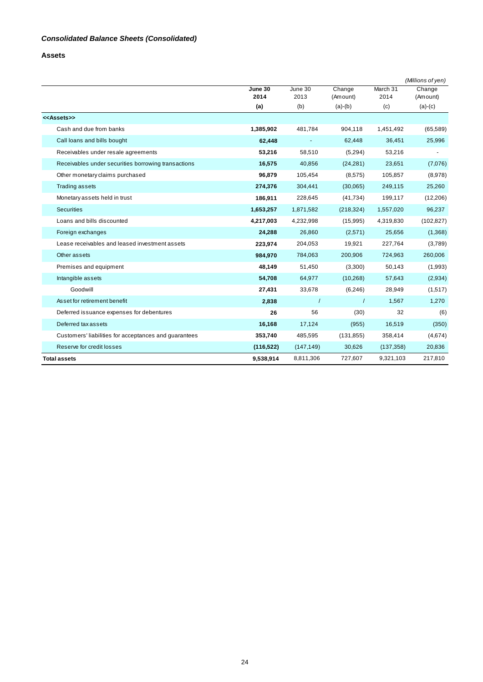**Assets** 

|                                                       |                 |                 |                    |                  | (Millions of yen)  |
|-------------------------------------------------------|-----------------|-----------------|--------------------|------------------|--------------------|
|                                                       | June 30<br>2014 | June 30<br>2013 | Change<br>(Amount) | March 31<br>2014 | Change<br>(Amount) |
|                                                       | (a)             | (b)             | $(a)-(b)$          | (c)              | $(a)-(c)$          |
| < <assets>&gt;</assets>                               |                 |                 |                    |                  |                    |
| Cash and due from banks                               | 1,385,902       | 481,784         | 904,118            | 1,451,492        | (65, 589)          |
| Call loans and bills bought                           | 62,448          |                 | 62,448             | 36,451           | 25,996             |
| Receivables under resale agreements                   | 53,216          | 58,510          | (5,294)            | 53,216           |                    |
| Receivables under securities borrowing transactions   | 16,575          | 40,856          | (24, 281)          | 23,651           | (7,076)            |
| Other monetary claims purchased                       | 96,879          | 105,454         | (8,575)            | 105,857          | (8,978)            |
| <b>Trading assets</b>                                 | 274,376         | 304,441         | (30,065)           | 249,115          | 25,260             |
| Monetary assets held in trust                         | 186,911         | 228,645         | (41, 734)          | 199,117          | (12, 206)          |
| <b>Securities</b>                                     | 1,653,257       | 1,871,582       | (218, 324)         | 1,557,020        | 96,237             |
| Loans and bills discounted                            | 4,217,003       | 4,232,998       | (15,995)           | 4,319,830        | (102, 827)         |
| Foreign exchanges                                     | 24,288          | 26,860          | (2,571)            | 25,656           | (1,368)            |
| Lease receivables and leased investment assets        | 223,974         | 204,053         | 19,921             | 227,764          | (3,789)            |
| Other assets                                          | 984,970         | 784,063         | 200,906            | 724,963          | 260,006            |
| Premises and equipment                                | 48,149          | 51,450          | (3,300)            | 50,143           | (1,993)            |
| Intangible assets                                     | 54,708          | 64,977          | (10, 268)          | 57,643           | (2,934)            |
| Goodwill                                              | 27,431          | 33,678          | (6, 246)           | 28,949           | (1, 517)           |
| Asset for retirement benefit                          | 2,838           | $\prime$        | $\prime$           | 1,567            | 1,270              |
| Deferred issuance expenses for debentures             | 26              | 56              | (30)               | 32               | (6)                |
| Deferred tax assets                                   | 16,168          | 17,124          | (955)              | 16,519           | (350)              |
| Customers' liabilities for acceptances and guarantees | 353,740         | 485,595         | (131, 855)         | 358,414          | (4,674)            |
| Reserve for credit losses                             | (116, 522)      | (147, 149)      | 30,626             | (137, 358)       | 20,836             |
| <b>Total assets</b>                                   | 9,538,914       | 8,811,306       | 727,607            | 9,321,103        | 217,810            |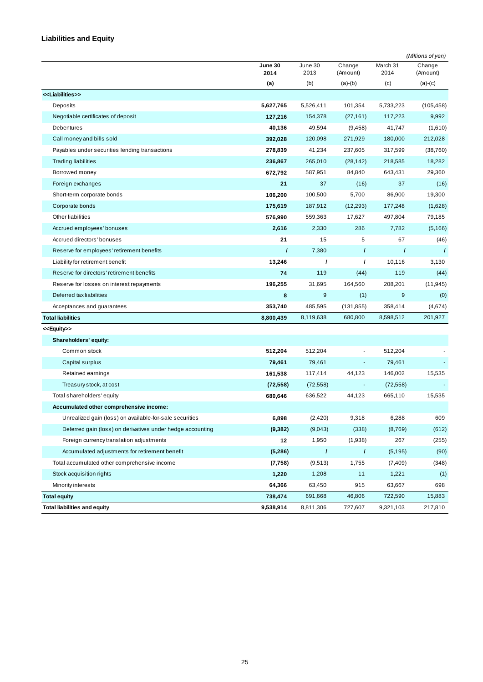# **Liabilities and Equity**

|                                                            |                 |                 |                          |                  | (Millions of yen)  |
|------------------------------------------------------------|-----------------|-----------------|--------------------------|------------------|--------------------|
|                                                            | June 30<br>2014 | June 30<br>2013 | Change<br>(Amount)       | March 31<br>2014 | Change<br>(Amount) |
|                                                            | (a)             | (b)             | $(a)-(b)$                | (c)              | $(a)-(c)$          |
| < <liabilities>&gt;</liabilities>                          |                 |                 |                          |                  |                    |
| Deposits                                                   | 5,627,765       | 5,526,411       | 101,354                  | 5,733,223        | (105, 458)         |
| Negotiable certificates of deposit                         | 127,216         | 154,378         | (27, 161)                | 117,223          | 9,992              |
| <b>Debentures</b>                                          | 40,136          | 49,594          | (9, 458)                 | 41,747           | (1,610)            |
| Call money and bills sold                                  | 392,028         | 120,098         | 271,929                  | 180,000          | 212,028            |
| Payables under securities lending transactions             | 278,839         | 41,234          | 237,605                  | 317,599          | (38, 760)          |
| <b>Trading liabilities</b>                                 | 236,867         | 265,010         | (28, 142)                | 218,585          | 18,282             |
| Borrowed money                                             | 672,792         | 587,951         | 84,840                   | 643,431          | 29,360             |
| Foreign exchanges                                          | 21              | 37              | (16)                     | 37               | (16)               |
| Short-term corporate bonds                                 | 106,200         | 100,500         | 5,700                    | 86,900           | 19,300             |
| Corporate bonds                                            | 175,619         | 187,912         | (12, 293)                | 177,248          | (1,628)            |
| Other liabilities                                          | 576,990         | 559,363         | 17,627                   | 497,804          | 79,185             |
| Accrued employees' bonuses                                 | 2,616           | 2,330           | 286                      | 7,782            | (5, 166)           |
| Accrued directors' bonuses                                 | 21              | 15              | 5                        | 67               | (46)               |
| Reserve for employees' retirement benefits                 | $\prime$        | 7,380           | $\prime$                 | $\prime$         | $\prime$           |
| Liability for retirement benefit                           | 13,246          | $\prime$        | $\prime$                 | 10,116           | 3,130              |
| Reserve for directors' retirement benefits                 | 74              | 119             | (44)                     | 119              | (44)               |
| Reserve for losses on interest repayments                  | 196,255         | 31,695          | 164,560                  | 208,201          | (11, 945)          |
| Deferred tax liabilities                                   | 8               | 9               | (1)                      | 9                | (0)                |
| Acceptances and guarantees                                 | 353,740         | 485,595         | (131, 855)               | 358,414          | (4,674)            |
| <b>Total liabilities</b>                                   | 8,800,439       | 8,119,638       | 680,800                  | 8,598,512        | 201,927            |
| < <equity>&gt;</equity>                                    |                 |                 |                          |                  |                    |
| Shareholders' equity:                                      |                 |                 |                          |                  |                    |
| Common stock                                               | 512,204         | 512,204         |                          | 512,204          |                    |
| Capital surplus                                            | 79,461          | 79,461          | $\blacksquare$           | 79,461           |                    |
| Retained earnings                                          | 161,538         | 117,414         | 44,123                   | 146,002          | 15,535             |
| Treasury stock, at cost                                    | (72, 558)       | (72, 558)       | $\overline{\phantom{a}}$ | (72, 558)        |                    |
| Total shareholders' equity                                 | 680,646         | 636,522         | 44,123                   | 665,110          | 15,535             |
| Accumulated other comprehensive income:                    |                 |                 |                          |                  |                    |
| Unrealized gain (loss) on available-for-sale securities    | 6,898           | (2,420)         | 9,318                    | 6,288            | 609                |
| Deferred gain (loss) on derivatives under hedge accounting | (9, 382)        | (9,043)         | (338)                    | (8,769)          | (612)              |
| Foreign currency translation adjustments                   | 12              | 1,950           | (1,938)                  | 267              | (255)              |
| Accumulated adjustments for retirement benefit             | (5,286)         | $\prime$        | $\prime$                 | (5, 195)         | (90)               |
| Total accumulated other comprehensive income               | (7, 758)        | (9,513)         | 1,755                    | (7, 409)         | (348)              |
| Stock acquisition rights                                   | 1,220           | 1,208           | 11                       | 1,221            | (1)                |
| Minority interests                                         | 64,366          | 63,450          | 915                      | 63,667           | 698                |
| <b>Total equity</b>                                        | 738,474         | 691,668         | 46,806                   | 722,590          | 15,883             |
| <b>Total liabilities and equity</b>                        | 9,538,914       | 8,811,306       | 727,607                  | 9,321,103        | 217,810            |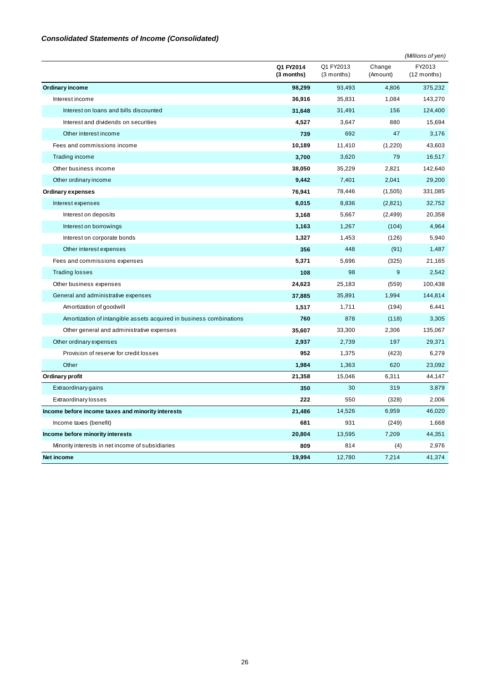### *Consolidated Statements of Income (Consolidated)*

|                                                                     |                         |                           |                    | (Millions of yen)       |
|---------------------------------------------------------------------|-------------------------|---------------------------|--------------------|-------------------------|
|                                                                     | Q1 FY2014<br>(3 months) | Q1 FY2013<br>$(3$ months) | Change<br>(Amount) | FY2013<br>$(12$ months) |
| <b>Ordinary income</b>                                              | 98,299                  | 93,493                    | 4,806              | 375,232                 |
| Interest income                                                     | 36,916                  | 35,831                    | 1,084              | 143,270                 |
| Interest on loans and bills discounted                              | 31,648                  | 31,491                    | 156                | 124,400                 |
| Interest and dividends on securities                                | 4,527                   | 3,647                     | 880                | 15,694                  |
| Other interest income                                               | 739                     | 692                       | 47                 | 3,176                   |
| Fees and commissions income                                         | 10,189                  | 11,410                    | (1,220)            | 43,603                  |
| Trading income                                                      | 3,700                   | 3,620                     | 79                 | 16,517                  |
| Other business income                                               | 38,050                  | 35,229                    | 2,821              | 142,640                 |
| Other ordinary income                                               | 9,442                   | 7,401                     | 2,041              | 29,200                  |
| Ordinary expenses                                                   | 76,941                  | 78,446                    | (1,505)            | 331,085                 |
| Interest expenses                                                   | 6,015                   | 8,836                     | (2,821)            | 32,752                  |
| Interest on deposits                                                | 3,168                   | 5,667                     | (2, 499)           | 20,358                  |
| Interest on borrowings                                              | 1,163                   | 1,267                     | (104)              | 4,964                   |
| Interest on corporate bonds                                         | 1,327                   | 1,453                     | (126)              | 5,940                   |
| Other interest expenses                                             | 356                     | 448                       | (91)               | 1,487                   |
| Fees and commissions expenses                                       | 5,371                   | 5,696                     | (325)              | 21,165                  |
| <b>Trading losses</b>                                               | 108                     | 98                        | 9                  | 2,542                   |
| Other business expenses                                             | 24,623                  | 25,183                    | (559)              | 100,438                 |
| General and administrative expenses                                 | 37,885                  | 35,891                    | 1,994              | 144,814                 |
| Amortization of goodwill                                            | 1,517                   | 1,711                     | (194)              | 6,441                   |
| Amortization of intangible assets acquired in business combinations | 760                     | 878                       | (118)              | 3,305                   |
| Other general and administrative expenses                           | 35,607                  | 33,300                    | 2,306              | 135,067                 |
| Other ordinary expenses                                             | 2,937                   | 2,739                     | 197                | 29,371                  |
| Provision of reserve for credit losses                              | 952                     | 1,375                     | (423)              | 6,279                   |
| Other                                                               | 1,984                   | 1,363                     | 620                | 23,092                  |
| Ordinary profit                                                     | 21,358                  | 15,046                    | 6,311              | 44,147                  |
| Extraordinary gains                                                 | 350                     | 30                        | 319                | 3,879                   |
| <b>Extraordinary losses</b>                                         | 222                     | 550                       | (328)              | 2,006                   |
| Income before income taxes and minority interests                   | 21,486                  | 14,526                    | 6,959              | 46,020                  |
| Income taxes (benefit)                                              | 681                     | 931                       | (249)              | 1,668                   |
| Income before minority interests                                    | 20,804                  | 13,595                    | 7,209              | 44,351                  |
| Minority interests in net income of subsidiaries                    | 809                     | 814                       | (4)                | 2,976                   |
| Net income                                                          | 19,994                  | 12,780                    | 7,214              | 41,374                  |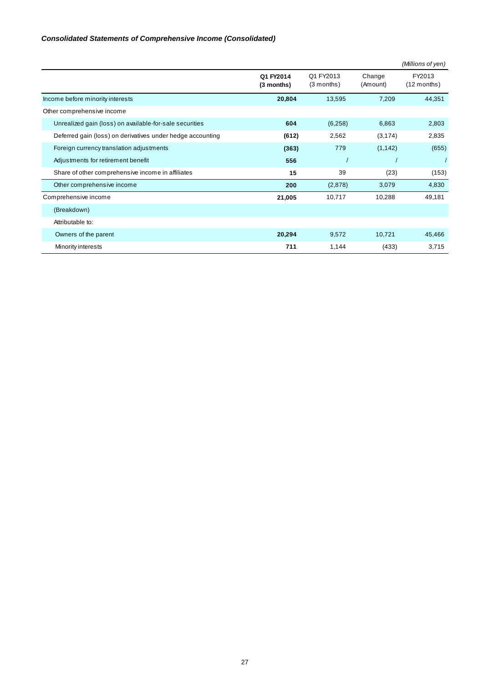### *Consolidated Statements of Comprehensive Income (Consolidated)*

|                                                            |                         |                           |                    | (Millions of yen)       |
|------------------------------------------------------------|-------------------------|---------------------------|--------------------|-------------------------|
|                                                            | Q1 FY2014<br>(3 months) | Q1 FY2013<br>$(3$ months) | Change<br>(Amount) | FY2013<br>$(12$ months) |
| Income before minority interests                           | 20,804                  | 13,595                    | 7,209              | 44,351                  |
| Other comprehensive income                                 |                         |                           |                    |                         |
| Unrealized gain (loss) on available-for-sale securities    | 604                     | (6,258)                   | 6,863              | 2,803                   |
| Deferred gain (loss) on derivatives under hedge accounting | (612)                   | 2,562                     | (3, 174)           | 2,835                   |
| Foreign currency translation adjustments                   | (363)                   | 779                       | (1, 142)           | (655)                   |
| Adjustments for retirement benefit                         | 556                     |                           |                    |                         |
| Share of other comprehensive income in affiliates          | 15                      | 39                        | (23)               | (153)                   |
| Other comprehensive income                                 | 200                     | (2,878)                   | 3,079              | 4,830                   |
| Comprehensive income                                       | 21,005                  | 10,717                    | 10,288             | 49,181                  |
| (Breakdown)                                                |                         |                           |                    |                         |
| Attributable to:                                           |                         |                           |                    |                         |
| Owners of the parent                                       | 20,294                  | 9,572                     | 10,721             | 45,466                  |
| Minority interests                                         | 711                     | 1,144                     | (433)              | 3,715                   |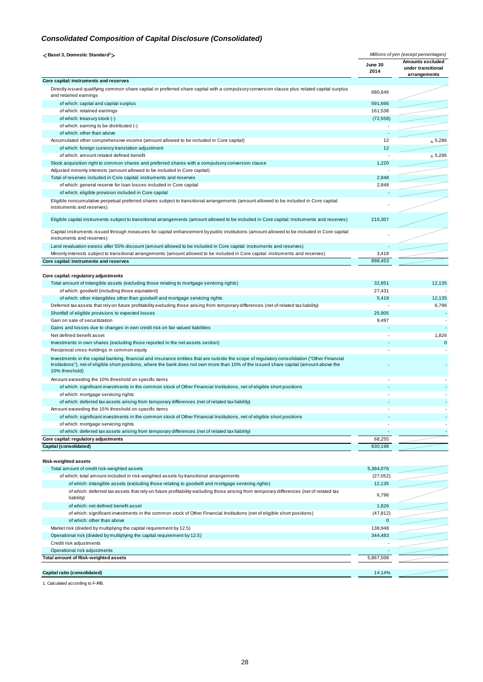### *Consolidated Composition of Capital Disclosure (Consolidated)*

| <basel 3,="" domestic="" standard<sup="">1&gt;</basel>                                                                                                                                                                                                                                                      | Millions of yen (except percentages) |                                                        |
|-------------------------------------------------------------------------------------------------------------------------------------------------------------------------------------------------------------------------------------------------------------------------------------------------------------|--------------------------------------|--------------------------------------------------------|
|                                                                                                                                                                                                                                                                                                             | June 30<br>2014                      | Amounts excluded<br>under transitional<br>arrangements |
| Core capital: instruments and reserves                                                                                                                                                                                                                                                                      |                                      |                                                        |
| Directly issued qualifying common share capital or preferred share capital with a compulsory conversion clause plus related capital surplus<br>and retained earnings                                                                                                                                        | 680,646                              |                                                        |
| of which: capital and capital surplus                                                                                                                                                                                                                                                                       | 591,666                              |                                                        |
| of which: retained earnings                                                                                                                                                                                                                                                                                 | 161,538                              |                                                        |
| of which: treasury stock (-)                                                                                                                                                                                                                                                                                | (72, 558)                            |                                                        |
| of which: earning to be distributed (-)                                                                                                                                                                                                                                                                     |                                      |                                                        |
| of which: other than above                                                                                                                                                                                                                                                                                  |                                      |                                                        |
| Accumulated other comprehensive income (amount allowed to be included in Core capital)<br>of which: foreign currency translation adjustment                                                                                                                                                                 | 12<br>12                             | $\Delta$ 5,286                                         |
| of which: amount related defined benefit                                                                                                                                                                                                                                                                    |                                      | $\Delta$ 5,286                                         |
| Stock acquisition right to common shares and preferred shares with a compulsory conversion clause                                                                                                                                                                                                           | 1,220                                |                                                        |
| Adjusted minority interests (amount allowed to be included in Core capital)                                                                                                                                                                                                                                 |                                      |                                                        |
| Total of reserves included in Core capital: instruments and reserves                                                                                                                                                                                                                                        | 2,848                                |                                                        |
| of which: general reserve for loan losses included in Core capital                                                                                                                                                                                                                                          | 2,848                                |                                                        |
| of which: eligible provision included in Core capital                                                                                                                                                                                                                                                       |                                      |                                                        |
| Eligible noncumulative perpetual preferred shares subject to transitional arrangements (amount allowed to be included in Core capital:                                                                                                                                                                      |                                      |                                                        |
| instruments and reserves)                                                                                                                                                                                                                                                                                   |                                      |                                                        |
| Eligible capital instruments subject to transitional arrangements (amount allowed to be included in Core capital: instruments and reserves)                                                                                                                                                                 | 210,307                              |                                                        |
| Capital instruments issued through measures for capital enhancement by public institutions (amount allowed to be included in Core capital:<br>instruments and reserves)                                                                                                                                     |                                      |                                                        |
| Land revaluation excess after 55% discount (amount allowed to be included in Core capital: instruments and reserves)                                                                                                                                                                                        |                                      |                                                        |
| Minority interests subject to transitional arrangements (amount allowed to be included in Core capital: instruments and reserves)                                                                                                                                                                           | 3,418                                |                                                        |
| Core capital: instruments and reserves                                                                                                                                                                                                                                                                      | 898,453                              |                                                        |
|                                                                                                                                                                                                                                                                                                             |                                      |                                                        |
| Core capital: regulatory adjustments                                                                                                                                                                                                                                                                        |                                      |                                                        |
| Total amount of intangible assets (excluding those relating to mortgage servicing rights)                                                                                                                                                                                                                   | 32,851                               | 12,135                                                 |
| of which: goodwill (including those equivalent)                                                                                                                                                                                                                                                             | 27,431                               |                                                        |
| of which: other intangibles other than goodwill and mortgage servicing rights                                                                                                                                                                                                                               | 5,419                                | 12,135<br>6,796                                        |
| Deferred tax assets that rely on future profitability excluding those arising from temporary differences (net of related tax liability)<br>Shortfall of eligible provisions to expected losses                                                                                                              | 25,905                               |                                                        |
| Gain on sale of securitization                                                                                                                                                                                                                                                                              | 9,497                                |                                                        |
| Gains and losses due to changes in own credit risk on fair valued liabilities                                                                                                                                                                                                                               |                                      |                                                        |
| Net defined benefit asset                                                                                                                                                                                                                                                                                   |                                      | 1,826                                                  |
| Investments in own shares (excluding those reported in the net assets section)                                                                                                                                                                                                                              |                                      | 0                                                      |
| Reciprocal cross-holdings in common equity                                                                                                                                                                                                                                                                  |                                      |                                                        |
| Investments in the capital banking, financial and insurance entities that are outside the scope of regulatory consolidation ("Other Financial<br>Institutions"), net of eligible short positions, where the bank does not own more than 10% of the issued share capital (amount above the<br>10% threshold) |                                      |                                                        |
| Amount exceeding the 10% threshold on specific items                                                                                                                                                                                                                                                        |                                      |                                                        |
| of which: significant investments in the common stock of Other Financial Institutions, net of eligible short positions                                                                                                                                                                                      |                                      |                                                        |
| of which: mortgage servicing rights                                                                                                                                                                                                                                                                         |                                      |                                                        |
| of which: deferred tax assets arising from temporary differences (net of related tax liability)                                                                                                                                                                                                             |                                      |                                                        |
| Amount exceeding the 15% threshold on specific items                                                                                                                                                                                                                                                        |                                      |                                                        |
| of which: significant investments in the common stock of Other Financial Institutions, net of eligible short positions                                                                                                                                                                                      |                                      |                                                        |
| of which: mortgage servicing rights                                                                                                                                                                                                                                                                         |                                      |                                                        |
| of which: deferred tax assets arising from temporary differences (net of related tax liability)<br>Core capital: regulatory adjustments                                                                                                                                                                     | 68,255                               |                                                        |
| Capital (consolidated)                                                                                                                                                                                                                                                                                      | 830,198                              |                                                        |
|                                                                                                                                                                                                                                                                                                             |                                      |                                                        |
| Risk-weighted assets                                                                                                                                                                                                                                                                                        |                                      |                                                        |
| Total amount of credit risk-weighted assets                                                                                                                                                                                                                                                                 | 5,384,076                            |                                                        |
| of which: total amount included in risk-weighted assets by transitional arrangements                                                                                                                                                                                                                        | (27,052)                             |                                                        |
| of which: intangible assets (excluding those relating to goodwill and mortgage servicing rights)                                                                                                                                                                                                            | 12,135                               |                                                        |
| of which: deferred tax assets that rely on future profitability excluding those arising from temporary differences (net of related tax<br>liability)                                                                                                                                                        | 6,796                                |                                                        |
| of which: net defined benefit asset                                                                                                                                                                                                                                                                         | 1,826                                |                                                        |
| of which: significant investments in the common stock of Other Financial Institutions (net of eligible short positions)                                                                                                                                                                                     | (47, 812)                            |                                                        |
| of which: other than above                                                                                                                                                                                                                                                                                  | $\mathbf{0}$                         |                                                        |
| Market risk (divided by multiplying the capital requirement by 12.5)                                                                                                                                                                                                                                        | 138,948                              |                                                        |
| Operational risk (divided by multiplying the capital requirement by 12.5)                                                                                                                                                                                                                                   | 344,483                              |                                                        |
| Credit risk adjustments                                                                                                                                                                                                                                                                                     |                                      |                                                        |
| Operational risk adjustments                                                                                                                                                                                                                                                                                |                                      |                                                        |
| Total amount of Risk-weighted assets                                                                                                                                                                                                                                                                        | 5,867,508                            |                                                        |
|                                                                                                                                                                                                                                                                                                             |                                      |                                                        |
| Capital ratio (consolidated)                                                                                                                                                                                                                                                                                | 14.14%                               |                                                        |

1. Calculated according to F-IRB.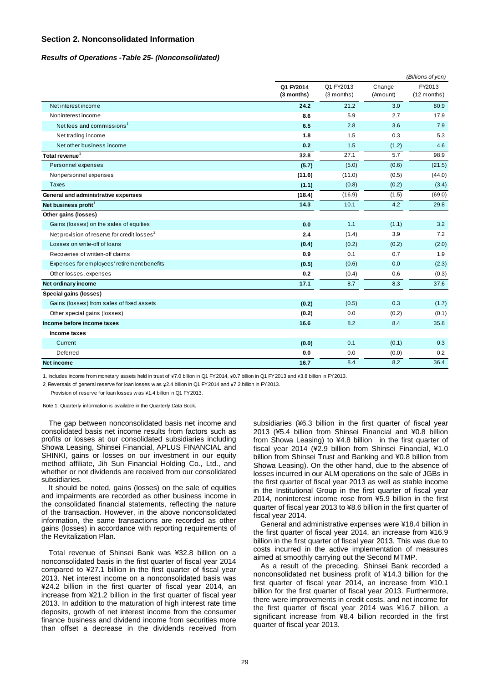#### **Section 2. Nonconsolidated Information**

#### *Results of Operations -Table 25- (Nonconsolidated)*

|                                                         |                         |                         |                    | (Billions of yen)       |
|---------------------------------------------------------|-------------------------|-------------------------|--------------------|-------------------------|
|                                                         | Q1 FY2014<br>(3 months) | Q1 FY2013<br>(3 months) | Change<br>(Amount) | FY2013<br>$(12$ months) |
| Net interest income                                     | 24.2                    | 21.2                    | 3.0                | 80.9                    |
| Noninterest income                                      | 8.6                     | 5.9                     | 2.7                | 17.9                    |
| Net fees and commissions <sup>1</sup>                   | 6.5                     | 2.8                     | 3.6                | 7.9                     |
| Net trading income                                      | 1.8                     | 1.5                     | 0.3                | 5.3                     |
| Net other business income                               | 0.2                     | 1.5                     | (1.2)              | 4.6                     |
| Total revenue <sup>1</sup>                              | 32.8                    | 27.1                    | 5.7                | 98.9                    |
| Personnel expenses                                      | (5.7)                   | (5.0)                   | (0.6)              | (21.5)                  |
| Nonpersonnel expenses                                   | (11.6)                  | (11.0)                  | (0.5)              | (44.0)                  |
| <b>Taxes</b>                                            | (1.1)                   | (0.8)                   | (0.2)              | (3.4)                   |
| General and administrative expenses                     | (18.4)                  | (16.9)                  | (1.5)              | (69.0)                  |
| Net business profit <sup>1</sup>                        | 14.3                    | 10.1                    | 4.2                | 29.8                    |
| Other gains (losses)                                    |                         |                         |                    |                         |
| Gains (losses) on the sales of equities                 | 0.0                     | 1.1                     | (1.1)              | 3.2                     |
| Net provision of reserve for credit losses <sup>2</sup> | 2.4                     | (1.4)                   | 3.9                | 7.2                     |
| Losses on write-off of loans                            | (0.4)                   | (0.2)                   | (0.2)              | (2.0)                   |
| Recoveries of written-off claims                        | 0.9                     | 0.1                     | 0.7                | 1.9                     |
| Expenses for employees' retirement benefits             | (0.5)                   | (0.6)                   | 0.0                | (2.3)                   |
| Other losses, expenses                                  | 0.2                     | (0.4)                   | 0.6                | (0.3)                   |
| Net ordinary income                                     | 17.1                    | 8.7                     | 8.3                | 37.6                    |
| Special gains (losses)                                  |                         |                         |                    |                         |
| Gains (losses) from sales of fixed assets               | (0.2)                   | (0.5)                   | 0.3                | (1.7)                   |
| Other special gains (losses)                            | (0.2)                   | 0.0                     | (0.2)              | (0.1)                   |
| Income before income taxes                              | 16.6                    | 8.2                     | 8.4                | 35.8                    |
| Income taxes                                            |                         |                         |                    |                         |
| Current                                                 | (0.0)                   | 0.1                     | (0.1)              | 0.3                     |
| Deferred                                                | 0.0                     | 0.0                     | (0.0)              | 0.2                     |
| <b>Net income</b>                                       | 16.7                    | 8.4                     | 8.2                | 36.4                    |

1. Includes income from monetary assets held in trust of \7.0 billion in Q1 FY2014, \0.7 billion in Q1 FY2013 and \3.8 billion in FY2013.

2. Reversals of general reserve for loan losses w as  $\frac{1}{4}2.4$  billion in Q1 FY2014 and  $\frac{1}{4}7.2$  billion in FY2013.

Provision of reserve for loan losses w as  $\frac{1}{4}1.4$  billion in Q1 FY2013.

Note 1: Quarterly information is available in the Quarterly Data Book.

The gap between nonconsolidated basis net income and consolidated basis net income results from factors such as profits or losses at our consolidated subsidiaries including Showa Leasing, Shinsei Financial, APLUS FINANCIAL and SHINKI, gains or losses on our investment in our equity method affiliate, Jih Sun Financial Holding Co., Ltd., and whether or not dividends are received from our consolidated subsidiaries.

It should be noted, gains (losses) on the sale of equities and impairments are recorded as other business income in the consolidated financial statements, reflecting the nature of the transaction. However, in the above nonconsolidated information, the same transactions are recorded as other gains (losses) in accordance with reporting requirements of the Revitalization Plan.

Total revenue of Shinsei Bank was ¥32.8 billion on a nonconsolidated basis in the first quarter of fiscal year 2014 compared to ¥27.1 billion in the first quarter of fiscal year 2013. Net interest income on a nonconsolidated basis was ¥24.2 billion in the first quarter of fiscal year 2014, an increase from ¥21.2 billion in the first quarter of fiscal year 2013. In addition to the maturation of high interest rate time deposits, growth of net interest income from the consumer finance business and dividend income from securities more than offset a decrease in the dividends received from

subsidiaries (¥6.3 billion in the first quarter of fiscal year 2013 (¥5.4 billion from Shinsei Financial and ¥0.8 billion from Showa Leasing) to ¥4.8 billion in the first quarter of fiscal year 2014 (¥2.9 billion from Shinsei Financial, ¥1.0 billion from Shinsei Trust and Banking and ¥0.8 billion from Showa Leasing). On the other hand, due to the absence of losses incurred in our ALM operations on the sale of JGBs in the first quarter of fiscal year 2013 as well as stable income in the Institutional Group in the first quarter of fiscal year 2014, noninterest income rose from ¥5.9 billion in the first quarter of fiscal year 2013 to ¥8.6 billion in the first quarter of fiscal year 2014.

General and administrative expenses were ¥18.4 billion in the first quarter of fiscal year 2014, an increase from ¥16.9 billion in the first quarter of fiscal year 2013. This was due to costs incurred in the active implementation of measures aimed at smoothly carrying out the Second MTMP.

As a result of the preceding, Shinsei Bank recorded a nonconsolidated net business profit of ¥14.3 billion for the first quarter of fiscal year 2014, an increase from ¥10.1 billion for the first quarter of fiscal year 2013. Furthermore, there were improvements in credit costs, and net income for the first quarter of fiscal year 2014 was ¥16.7 billion, a significant increase from ¥8.4 billion recorded in the first quarter of fiscal year 2013.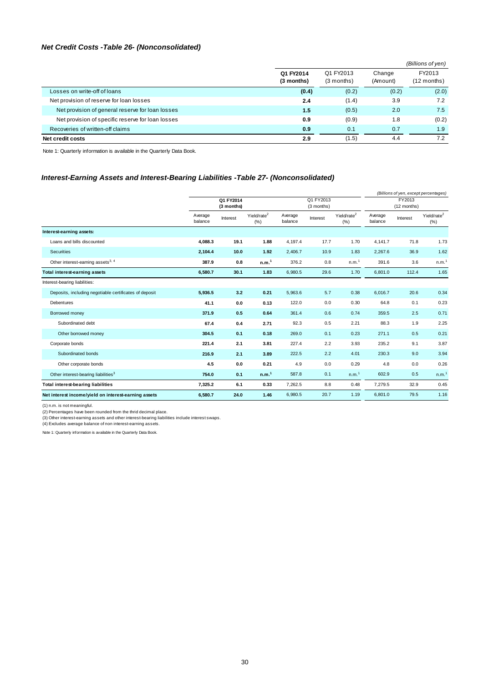### *Net Credit Costs -Table 26- (Nonconsolidated)*

|                                                   |                         |                           |                    | (Billions of yen)       |
|---------------------------------------------------|-------------------------|---------------------------|--------------------|-------------------------|
|                                                   | Q1 FY2014<br>(3 months) | Q1 FY2013<br>$(3$ months) | Change<br>(Amount) | FY2013<br>$(12$ months) |
| Losses on write-off of loans                      | (0.4)                   | (0.2)                     | (0.2)              | (2.0)                   |
| Net provision of reserve for loan losses          | 2.4                     | (1.4)                     | 3.9                | 7.2                     |
| Net provision of general reserve for loan losses  | 1.5                     | (0.5)                     | 2.0                | 7.5                     |
| Net provision of specific reserve for loan losses | 0.9                     | (0.9)                     | 1.8                | (0.2)                   |
| Recoveries of written-off claims                  | 0.9                     | 0.1                       | 0.7                | 1.9                     |
| Net credit costs                                  | 2.9                     | (1.5)                     | 4.4                | 7.2                     |

Note 1: Quarterly information is available in the Quarterly Data Book.

### *Interest-Earning Assets and Interest-Bearing Liabilities -Table 27- (Nonconsolidated)*

|                                                        |                         |          |                                |                    |                         |                                 |                    | (Billions of yen, except percentages) |                                |  |
|--------------------------------------------------------|-------------------------|----------|--------------------------------|--------------------|-------------------------|---------------------------------|--------------------|---------------------------------------|--------------------------------|--|
|                                                        | Q1 FY2014<br>(3 months) |          |                                |                    | Q1 FY2013<br>(3 months) |                                 |                    | FY2013<br>(12 months)                 |                                |  |
|                                                        | Average<br>balance      | Interest | Yield/rate <sup>2</sup><br>(%) | Average<br>balance | Interest                | Yield/rate <sup>2</sup><br>(% ) | Average<br>balance | Interest                              | Yield/rate <sup>2</sup><br>(%) |  |
| Interest-earning assets:                               |                         |          |                                |                    |                         |                                 |                    |                                       |                                |  |
| Loans and bills discounted                             | 4.088.3                 | 19.1     | 1.88                           | 4,197.4            | 17.7                    | 1.70                            | 4.141.7            | 71.8                                  | 1.73                           |  |
| Securities                                             | 2,104.4                 | 10.0     | 1.92                           | 2,406.7            | 10.9                    | 1.83                            | 2,267.6            | 36.9                                  | 1.62                           |  |
| Other interest-earning assets <sup>3, 4</sup>          | 387.9                   | 0.8      | n.m. <sup>1</sup>              | 376.2              | 0.8                     | n.m. <sup>1</sup>               | 391.6              | 3.6                                   | n.m. <sup>1</sup>              |  |
| <b>Total interest-earning assets</b>                   | 6,580.7                 | 30.1     | 1.83                           | 6,980.5            | 29.6                    | 1.70                            | 6,801.0            | 112.4                                 | 1.65                           |  |
| Interest-bearing liabilities:                          |                         |          |                                |                    |                         |                                 |                    |                                       |                                |  |
| Deposits, including negotiable certificates of deposit | 5,936.5                 | 3.2      | 0.21                           | 5,963.6            | 5.7                     | 0.38                            | 6,016.7            | 20.6                                  | 0.34                           |  |
| Debentures                                             | 41.1                    | 0.0      | 0.13                           | 122.0              | 0.0                     | 0.30                            | 64.8               | 0.1                                   | 0.23                           |  |
| Borrowed money                                         | 371.9                   | 0.5      | 0.64                           | 361.4              | 0.6                     | 0.74                            | 359.5              | 2.5                                   | 0.71                           |  |
| Subordinated debt                                      | 67.4                    | 0.4      | 2.71                           | 92.3               | 0.5                     | 2.21                            | 88.3               | 1.9                                   | 2.25                           |  |
| Other borrowed money                                   | 304.5                   | 0.1      | 0.18                           | 269.0              | 0.1                     | 0.23                            | 271.1              | 0.5                                   | 0.21                           |  |
| Corporate bonds                                        | 221.4                   | 2.1      | 3.81                           | 227.4              | 2.2                     | 3.93                            | 235.2              | 9.1                                   | 3.87                           |  |
| Subordinated bonds                                     | 216.9                   | 2.1      | 3.89                           | 222.5              | 2.2                     | 4.01                            | 230.3              | 9.0                                   | 3.94                           |  |
| Other corporate bonds                                  | 4.5                     | 0.0      | 0.21                           | 4.9                | 0.0                     | 0.29                            | 4.8                | 0.0                                   | 0.26                           |  |
| Other interest-bearing liabilities <sup>3</sup>        | 754.0                   | 0.1      | n.m. <sup>1</sup>              | 587.8              | 0.1                     | n.m. <sup>1</sup>               | 602.9              | 0.5                                   | n.m. <sup>1</sup>              |  |
| <b>Total interest-bearing liabilities</b>              | 7,325.2                 | 6.1      | 0.33                           | 7,262.5            | 8.8                     | 0.48                            | 7,279.5            | 32.9                                  | 0.45                           |  |
| Net interest income/yield on interest-earning assets   | 6,580.7                 | 24.0     | 1.46                           | 6,980.5            | 20.7                    | 1.19                            | 6,801.0            | 79.5                                  | 1.16                           |  |

(1) n.m. is not meaningful.<br>(2) Percentages have been rounded from the thrid decimal place.<br>(3) Other interest-earning assets and other interest-bearing liabilities include interest swaps.<br>(4) Excludes average balance of n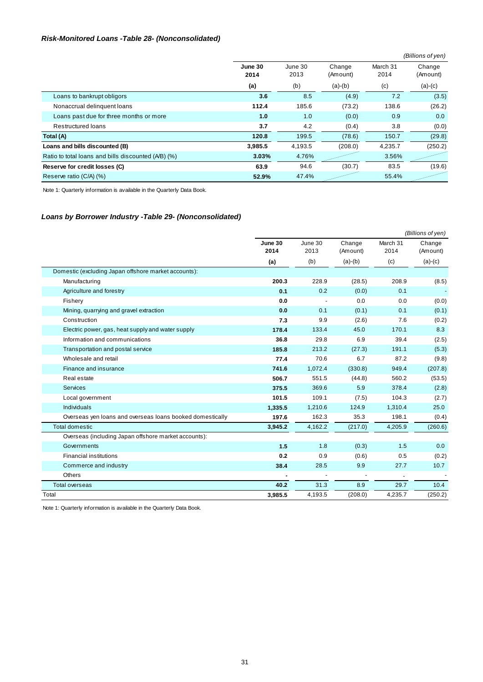### *Risk-Monitored Loans -Table 28- (Nonconsolidated)*

|                                                     |                 |                 |                    |                  | (Billions of yen)  |
|-----------------------------------------------------|-----------------|-----------------|--------------------|------------------|--------------------|
|                                                     | June 30<br>2014 | June 30<br>2013 | Change<br>(Amount) | March 31<br>2014 | Change<br>(Amount) |
|                                                     | (a)             | (b)             | $(a)-(b)$          | (c)              | $(a)-(c)$          |
| Loans to bankrupt obligors                          | 3.6             | 8.5             | (4.9)              | 7.2              | (3.5)              |
| Nonaccrual delinquent loans                         | 112.4           | 185.6           | (73.2)             | 138.6            | (26.2)             |
| Loans past due for three months or more             | 1.0             | 1.0             | (0.0)              | 0.9              | 0.0                |
| <b>Restructured loans</b>                           | 3.7             | 4.2             | (0.4)              | 3.8              | (0.0)              |
| Total (A)                                           | 120.8           | 199.5           | (78.6)             | 150.7            | (29.8)             |
| Loans and bills discounted (B)                      | 3.985.5         | 4.193.5         | (208.0)            | 4,235.7          | (250.2)            |
| Ratio to total loans and bills discounted (A/B) (%) | 3.03%           | 4.76%           |                    | 3.56%            |                    |
| Reserve for credit losses (C)                       | 63.9            | 94.6            | (30.7)             | 83.5             | (19.6)             |
| Reserve ratio (C/A) (%)                             | 52.9%           | 47.4%           |                    | 55.4%            |                    |

Note 1: Quarterly information is available in the Quarterly Data Book.

#### *Loans by Borrower Industry -Table 29- (Nonconsolidated)*

|                                                           |                 |                 |                    |                          | (Billions of yen)  |
|-----------------------------------------------------------|-----------------|-----------------|--------------------|--------------------------|--------------------|
|                                                           | June 30<br>2014 | June 30<br>2013 | Change<br>(Amount) | March 31<br>2014         | Change<br>(Amount) |
|                                                           | (a)             | (b)             | $(a)-(b)$          | (c)                      | $(a)-(c)$          |
| Domestic (excluding Japan offshore market accounts):      |                 |                 |                    |                          |                    |
| Manufacturing                                             | 200.3           | 228.9           | (28.5)             | 208.9                    | (8.5)              |
| Agriculture and forestry                                  | 0.1             | 0.2             | (0.0)              | 0.1                      |                    |
| Fishery                                                   | 0.0             |                 | 0.0                | 0.0                      | (0.0)              |
| Mining, quarrying and gravel extraction                   | 0.0             | 0.1             | (0.1)              | 0.1                      | (0.1)              |
| Construction                                              | 7.3             | 9.9             | (2.6)              | 7.6                      | (0.2)              |
| Electric power, gas, heat supply and water supply         | 178.4           | 133.4           | 45.0               | 170.1                    | 8.3                |
| Information and communications                            | 36.8            | 29.8            | 6.9                | 39.4                     | (2.5)              |
| Transportation and postal service                         | 185.8           | 213.2           | (27.3)             | 191.1                    | (5.3)              |
| Wholesale and retail                                      | 77.4            | 70.6            | 6.7                | 87.2                     | (9.8)              |
| Finance and insurance                                     | 741.6           | 1,072.4         | (330.8)            | 949.4                    | (207.8)            |
| Real estate                                               | 506.7           | 551.5           | (44.8)             | 560.2                    | (53.5)             |
| <b>Services</b>                                           | 375.5           | 369.6           | 5.9                | 378.4                    | (2.8)              |
| Local government                                          | 101.5           | 109.1           | (7.5)              | 104.3                    | (2.7)              |
| <b>Individuals</b>                                        | 1,335.5         | 1,210.6         | 124.9              | 1,310.4                  | 25.0               |
| Overseas yen loans and overseas loans booked domestically | 197.6           | 162.3           | 35.3               | 198.1                    | (0.4)              |
| <b>Total domestic</b>                                     | 3,945.2         | 4,162.2         | (217.0)            | 4,205.9                  | (260.6)            |
| Overseas (including Japan offshore market accounts):      |                 |                 |                    |                          |                    |
| Governments                                               | 1.5             | 1.8             | (0.3)              | 1.5                      | 0.0                |
| <b>Financial institutions</b>                             | 0.2             | 0.9             | (0.6)              | 0.5                      | (0.2)              |
| Commerce and industry                                     | 38.4            | 28.5            | 9.9                | 27.7                     | 10.7               |
| Others                                                    |                 |                 |                    | $\overline{\phantom{a}}$ |                    |
| <b>Total overseas</b>                                     | 40.2            | 31.3            | 8.9                | 29.7                     | 10.4               |
| Total                                                     | 3,985.5         | 4,193.5         | (208.0)            | 4,235.7                  | (250.2)            |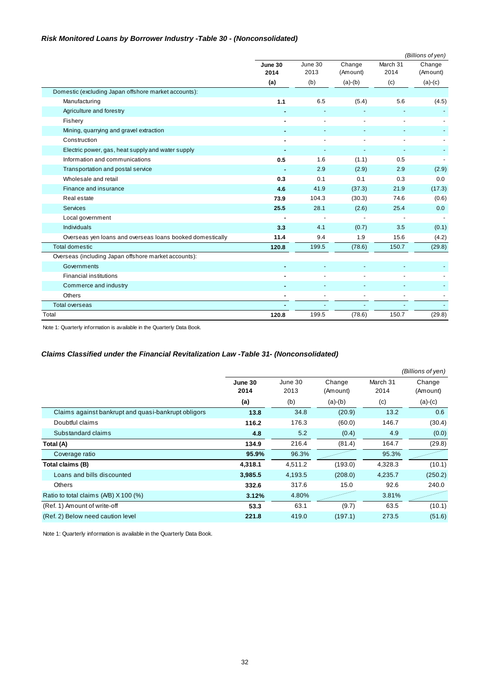### *Risk Monitored Loans by Borrower Industry -Table 30 - (Nonconsolidated)*

|                                                           |                 |                 |                    |                  | (Billions of yen)        |
|-----------------------------------------------------------|-----------------|-----------------|--------------------|------------------|--------------------------|
|                                                           | June 30<br>2014 | June 30<br>2013 | Change<br>(Amount) | March 31<br>2014 | Change<br>(Amount)       |
|                                                           | (a)             | (b)             | $(a)-(b)$          | (c)              | $(a)-(c)$                |
| Domestic (excluding Japan offshore market accounts):      |                 |                 |                    |                  |                          |
| Manufacturing                                             | $1.1$           | 6.5             | (5.4)              | 5.6              | (4.5)                    |
| Agriculture and forestry                                  |                 |                 |                    |                  |                          |
| Fishery                                                   |                 |                 |                    |                  |                          |
| Mining, quarrying and gravel extraction                   |                 |                 |                    |                  |                          |
| Construction                                              |                 |                 |                    |                  |                          |
| Electric power, gas, heat supply and water supply         |                 |                 |                    |                  |                          |
| Information and communications                            | 0.5             | 1.6             | (1.1)              | 0.5              |                          |
| Transportation and postal service                         |                 | 2.9             | (2.9)              | 2.9              | (2.9)                    |
| Wholesale and retail                                      | 0.3             | 0.1             | 0.1                | 0.3              | 0.0                      |
| Finance and insurance                                     | 4.6             | 41.9            | (37.3)             | 21.9             | (17.3)                   |
| Real estate                                               | 73.9            | 104.3           | (30.3)             | 74.6             | (0.6)                    |
| Services                                                  | 25.5            | 28.1            | (2.6)              | 25.4             | 0.0                      |
| Local government                                          |                 |                 |                    |                  | $\overline{\phantom{a}}$ |
| <b>Individuals</b>                                        | 3.3             | 4.1             | (0.7)              | 3.5              | (0.1)                    |
| Overseas yen loans and overseas loans booked domestically | 11.4            | 9.4             | 1.9                | 15.6             | (4.2)                    |
| <b>Total domestic</b>                                     | 120.8           | 199.5           | (78.6)             | 150.7            | (29.8)                   |
| Overseas (including Japan offshore market accounts):      |                 |                 |                    |                  |                          |
| Governments                                               |                 |                 |                    |                  |                          |
| <b>Financial institutions</b>                             |                 |                 |                    |                  |                          |
| Commerce and industry                                     |                 |                 |                    |                  |                          |
| Others                                                    |                 | $\blacksquare$  |                    |                  |                          |
| <b>Total overseas</b>                                     |                 |                 |                    |                  |                          |
| Total                                                     | 120.8           | 199.5           | (78.6)             | 150.7            | (29.8)                   |

Note 1: Quarterly information is available in the Quarterly Data Book.

### *Claims Classified under the Financial Revitalization Law -Table 31- (Nonconsolidated)*

|                                                     |                 |                 |                    |                  | (Billions of yen)  |
|-----------------------------------------------------|-----------------|-----------------|--------------------|------------------|--------------------|
|                                                     | June 30<br>2014 | June 30<br>2013 | Change<br>(Amount) | March 31<br>2014 | Change<br>(Amount) |
|                                                     | (a)             | (b)             | $(a)-(b)$          | (c)              | $(a)-(c)$          |
| Claims against bankrupt and quasi-bankrupt obligors | 13.8            | 34.8            | (20.9)             | 13.2             | 0.6                |
| Doubtful claims                                     | 116.2           | 176.3           | (60.0)             | 146.7            | (30.4)             |
| Substandard claims                                  | 4.8             | 5.2             | (0.4)              | 4.9              | (0.0)              |
| Total (A)                                           | 134.9           | 216.4           | (81.4)             | 164.7            | (29.8)             |
| Coverage ratio                                      | 95.9%           | 96.3%           |                    | 95.3%            |                    |
| Total claims (B)                                    | 4,318.1         | 4,511.2         | (193.0)            | 4,328.3          | (10.1)             |
| Loans and bills discounted                          | 3,985.5         | 4,193.5         | (208.0)            | 4,235.7          | (250.2)            |
| <b>Others</b>                                       | 332.6           | 317.6           | 15.0               | 92.6             | 240.0              |
| Ratio to total claims (A/B) X 100 (%)               | 3.12%           | 4.80%           |                    | 3.81%            |                    |
| (Ref. 1) Amount of write-off                        | 53.3            | 63.1            | (9.7)              | 63.5             | (10.1)             |
| (Ref. 2) Below need caution level                   | 221.8           | 419.0           | (197.1)            | 273.5            | (51.6)             |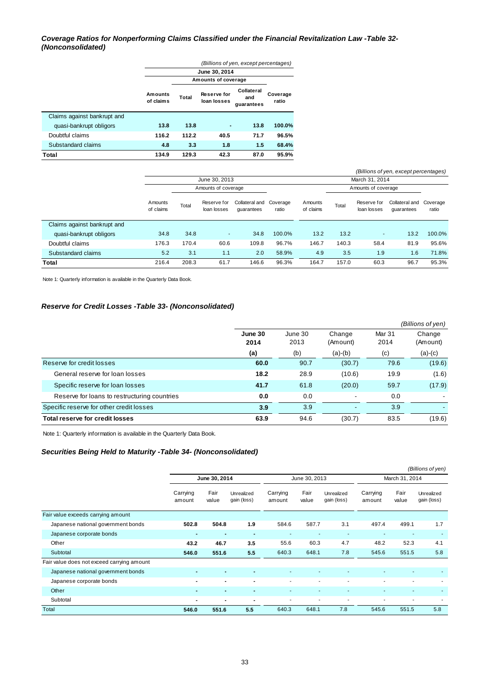#### *Coverage Ratios for Nonperforming Claims Classified under the Financial Revitalization Law -Table 32- (Nonconsolidated)*

|                             | (Billions of yen, except percentages) |                     |                                   |                                 |                   |  |  |  |  |
|-----------------------------|---------------------------------------|---------------------|-----------------------------------|---------------------------------|-------------------|--|--|--|--|
|                             |                                       |                     | June 30, 2014                     |                                 |                   |  |  |  |  |
|                             |                                       | Amounts of coverage |                                   |                                 |                   |  |  |  |  |
|                             | Amounts<br>of claims                  | Total               | <b>Reserve for</b><br>loan losses | Collateral<br>and<br>guarantees | Coverage<br>ratio |  |  |  |  |
| Claims against bankrupt and |                                       |                     |                                   |                                 |                   |  |  |  |  |
| quasi-bankrupt obligors     | 13.8                                  | 13.8                |                                   | 13.8                            | 100.0%            |  |  |  |  |
| Doubtful claims             | 116.2                                 | 112.2               | 40.5                              | 71.7                            | 96.5%             |  |  |  |  |
| Substandard claims          | 4.8                                   | 3.3                 | 1.8                               | 1.5                             | 68.4%             |  |  |  |  |
| Total                       | 134.9                                 | 129.3               | 42.3                              | 87.0                            | 95.9%             |  |  |  |  |

| (Billions of yen, except percentages) |                      |                     |                            |                              |                   |                      |       |                            |                                       |        |
|---------------------------------------|----------------------|---------------------|----------------------------|------------------------------|-------------------|----------------------|-------|----------------------------|---------------------------------------|--------|
|                                       |                      | June 30, 2013       |                            |                              |                   |                      |       | March 31, 2014             |                                       |        |
|                                       |                      | Amounts of coverage |                            |                              |                   |                      |       | Amounts of coverage        |                                       |        |
|                                       | Amounts<br>of claims | Total               | Reserve for<br>loan losses | Collateral and<br>quarantees | Coverage<br>ratio | Amounts<br>of claims | Total | Reserve for<br>loan losses | Collateral and Coverage<br>quarantees | ratio  |
| Claims against bankrupt and           |                      |                     |                            |                              |                   |                      |       |                            |                                       |        |
| quasi-bankrupt obligors               | 34.8                 | 34.8                | ٠                          | 34.8                         | 100.0%            | 13.2                 | 13.2  | $\sim$                     | 13.2                                  | 100.0% |
| Doubtful claims                       | 176.3                | 170.4               | 60.6                       | 109.8                        | 96.7%             | 146.7                | 140.3 | 58.4                       | 81.9                                  | 95.6%  |
| Substandard claims                    | 5.2                  | 3.1                 | 1.1                        | 2.0                          | 58.9%             | 4.9                  | 3.5   | 1.9                        | 1.6                                   | 71.8%  |
| Total                                 | 216.4                | 208.3               | 61.7                       | 146.6                        | 96.3%             | 164.7                | 157.0 | 60.3                       | 96.7                                  | 95.3%  |

Note 1: Quarterly information is available in the Quarterly Data Book.

#### *Reserve for Credit Losses -Table 33- (Nonconsolidated)*

|                                              |                 |                 |                          |                           | (Billions of yen)  |
|----------------------------------------------|-----------------|-----------------|--------------------------|---------------------------|--------------------|
|                                              | June 30<br>2014 | June 30<br>2013 | Change<br>(Amount)       | Mar <sub>31</sub><br>2014 | Change<br>(Amount) |
|                                              | (a)             | (b)             | $(a)-(b)$                | (c)                       | $(a)-(c)$          |
| Reserve for credit losses                    | 60.0            | 90.7            | (30.7)                   | 79.6                      | (19.6)             |
| General reserve for loan losses              | 18.2            | 28.9            | (10.6)                   | 19.9                      | (1.6)              |
| Specific reserve for loan losses             | 41.7            | 61.8            | (20.0)                   | 59.7                      | (17.9)             |
| Reserve for loans to restructuring countries | 0.0             | 0.0             | $\overline{\phantom{a}}$ | 0.0                       |                    |
| Specific reserve for other credit losses     | 3.9             | 3.9             | $\overline{\phantom{a}}$ | 3.9                       |                    |
| Total reserve for credit losses              | 63.9            | 94.6            | (30.7)                   | 83.5                      | (19.6)             |

Note 1: Quarterly information is available in the Quarterly Data Book.

#### *Securities Being Held to Maturity -Table 34- (Nonconsolidated)*

|                                            |                          |                |                           |                    |                |                           |                    |                | (Billions of yen)         |  |
|--------------------------------------------|--------------------------|----------------|---------------------------|--------------------|----------------|---------------------------|--------------------|----------------|---------------------------|--|
|                                            | June 30, 2014            |                |                           |                    | June 30, 2013  |                           |                    | March 31, 2014 |                           |  |
|                                            | Carrying<br>amount       | Fair<br>value  | Unrealized<br>gain (loss) | Carrying<br>amount | Fair<br>value  | Unrealized<br>gain (loss) | Carrying<br>amount | Fair<br>value  | Unrealized<br>gain (loss) |  |
| Fair value exceeds carrying amount         |                          |                |                           |                    |                |                           |                    |                |                           |  |
| Japanese national government bonds         | 502.8                    | 504.8          | 1.9                       | 584.6              | 587.7          | 3.1                       | 497.4              | 499.1          | 1.7                       |  |
| Japanese corporate bonds                   | ٠                        | $\blacksquare$ | -                         |                    |                | $\overline{\phantom{a}}$  |                    |                |                           |  |
| Other                                      | 43.2                     | 46.7           | 3.5                       | 55.6               | 60.3           | 4.7                       | 48.2               | 52.3           | 4.1                       |  |
| Subtotal                                   | 546.0                    | 551.6          | 5.5                       | 640.3              | 648.1          | 7.8                       | 545.6              | 551.5          | 5.8                       |  |
| Fair value does not exceed carrying amount |                          |                |                           |                    |                |                           |                    |                |                           |  |
| Japanese national government bonds         | $\blacksquare$           |                |                           |                    |                |                           |                    |                |                           |  |
| Japanese corporate bonds                   |                          |                |                           |                    |                | ٠                         |                    | ۰              |                           |  |
| Other                                      | $\overline{\phantom{0}}$ | $\blacksquare$ | $\blacksquare$            | ٠                  | $\blacksquare$ | $\blacksquare$            |                    | ٠              | $\overline{\phantom{a}}$  |  |
| Subtotal                                   | $\blacksquare$           | $\blacksquare$ |                           |                    |                | ٠                         |                    |                |                           |  |
| Total                                      | 546.0                    | 551.6          | 5.5                       | 640.3              | 648.1          | 7.8                       | 545.6              | 551.5          | 5.8                       |  |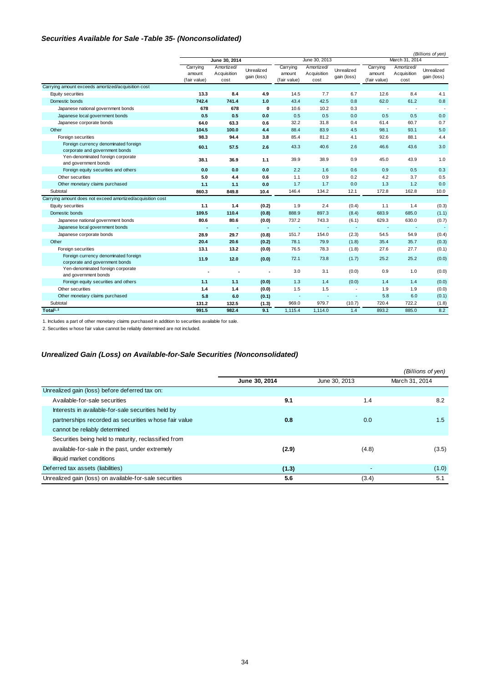### *Securities Available for Sale -Table 35- (Nonconsolidated)*

|                                                                        |                                    |                                   | (Billions of yen)         |                                    |                                   |                           |                                    |                                   |                           |
|------------------------------------------------------------------------|------------------------------------|-----------------------------------|---------------------------|------------------------------------|-----------------------------------|---------------------------|------------------------------------|-----------------------------------|---------------------------|
|                                                                        |                                    | June 30, 2014                     |                           |                                    | June 30, 2013                     |                           | March 31, 2014                     |                                   |                           |
|                                                                        | Carrying<br>amount<br>(fair value) | Amortized/<br>Acquisition<br>cost | Unrealized<br>gain (loss) | Carrying<br>amount<br>(fair value) | Amortized/<br>Acquisition<br>cost | Unrealized<br>gain (loss) | Carrying<br>amount<br>(fair value) | Amortized/<br>Acquisition<br>cost | Unrealized<br>gain (loss) |
| Carrying amount exceeds amortized/acquisition cost                     |                                    |                                   |                           |                                    |                                   |                           |                                    |                                   |                           |
| Equity securities                                                      | 13.3                               | 8.4                               | 4.9                       | 14.5                               | 7.7                               | 6.7                       | 12.6                               | 8.4                               | 4.1                       |
| Domestic bonds                                                         | 742.4                              | 741.4                             | 1.0                       | 43.4                               | 42.5                              | 0.8                       | 62.0                               | 61.2                              | 0.8                       |
| Japanese national government bonds                                     | 678                                | 678                               | $\mathbf 0$               | 10.6                               | 10.2                              | 0.3                       |                                    | $\overline{\phantom{a}}$          |                           |
| Japanese local government bonds                                        | 0.5                                | 0.5                               | 0.0                       | 0.5                                | 0.5                               | 0.0                       | 0.5                                | 0.5                               | 0.0                       |
| Japanese corporate bonds                                               | 64.0                               | 63.3                              | 0.6                       | 32.2                               | 31.8                              | 0.4                       | 61.4                               | 60.7                              | 0.7                       |
| Other                                                                  | 104.5                              | 100.0                             | 4.4                       | 88.4                               | 83.9                              | 4.5                       | 98.1                               | 93.1                              | 5.0                       |
| Foreign securities                                                     | 98.3                               | 94.4                              | 3.8                       | 85.4                               | 81.2                              | 4.1                       | 92.6                               | 88.1                              | 4.4                       |
| Foreign currency denominated foreign<br>corporate and government bonds | 60.1                               | 57.5                              | 2.6                       | 43.3                               | 40.6                              | 2.6                       | 46.6                               | 43.6                              | 3.0                       |
| Yen-denominated foreign corporate<br>and government bonds              | 38.1                               | 36.9                              | 1.1                       | 39.9                               | 38.9                              | 0.9                       | 45.0                               | 43.9                              | 1.0                       |
| Foreign equity securities and others                                   | 0.0                                | 0.0                               | 0.0                       | 2.2                                | 1.6                               | 0.6                       | 0.9                                | 0.5                               | 0.3                       |
| Other securities                                                       | 5.0                                | 4.4                               | 0.6                       | 1.1                                | 0.9                               | 0.2                       | 4.2                                | 3.7                               | 0.5                       |
| Other monetary claims purchased                                        | 1.1                                | 1.1                               | 0.0                       | 1.7                                | 1.7                               | 0.0                       | 1.3                                | 1.2                               | 0.0                       |
| Subtotal                                                               | 860.3                              | 849.8                             | 10.4                      | 146.4                              | 134.2                             | 12.1                      | 172.8                              | 162.8                             | 10.0                      |
| Carrying amount does not exceed amortized/acquisition cost             |                                    |                                   |                           |                                    |                                   |                           |                                    |                                   |                           |
| Equity securities                                                      | 1.1                                | 1.4                               | (0.2)                     | 1.9                                | 2.4                               | (0.4)                     | 1.1                                | 1.4                               | (0.3)                     |
| Domestic bonds                                                         | 109.5                              | 110.4                             | (0.8)                     | 888.9                              | 897.3                             | (8.4)                     | 683.9                              | 685.0                             | (1.1)                     |
| Japanese national government bonds                                     | 80.6                               | 80.6                              | (0.0)                     | 737.2                              | 743.3                             | (6.1)                     | 629.3                              | 630.0                             | (0.7)                     |
| Japanese local government bonds                                        |                                    |                                   |                           |                                    |                                   | ٠                         |                                    | $\blacksquare$                    | $\sim$                    |
| Japanese corporate bonds                                               | 28.9                               | 29.7                              | (0.8)                     | 151.7                              | 154.0                             | (2.3)                     | 54.5                               | 54.9                              | (0.4)                     |
| Other                                                                  | 20.4                               | 20.6                              | (0.2)                     | 78.1                               | 79.9                              | (1.8)                     | 35.4                               | 35.7                              | (0.3)                     |
| Foreign securities                                                     | 13.1                               | 13.2                              | (0.0)                     | 76.5                               | 78.3                              | (1.8)                     | 27.6                               | 27.7                              | (0.1)                     |
| Foreign currency denominated foreign<br>corporate and government bonds | 11.9                               | 12.0                              | (0.0)                     | 72.1                               | 73.8                              | (1.7)                     | 25.2                               | 25.2                              | (0.0)                     |
| Yen-denominated foreign corporate<br>and government bonds              |                                    |                                   |                           | 3.0                                | 3.1                               | (0.0)                     | 0.9                                | 1.0                               | (0.0)                     |
| Foreign equity securities and others                                   | 1.1                                | 1.1                               | (0.0)                     | 1.3                                | 1.4                               | (0.0)                     | 1.4                                | 1.4                               | (0.0)                     |
| Other securities                                                       | 1.4                                | 1.4                               | (0.0)                     | 1.5                                | 1.5                               | $\tilde{\phantom{a}}$     | 1.9                                | 1.9                               | (0.0)                     |
| Other monetary claims purchased                                        | 5.8                                | 6.0                               | (0.1)                     | ÷,                                 | ٠                                 | $\blacksquare$            | 5.8                                | 6.0                               | (0.1)                     |
| Subtotal                                                               | 131.2                              | 132.5                             | (1.3)                     | 969.0                              | 979.7                             | (10.7)                    | 720.4                              | 722.2                             | (1.8)                     |
| Total <sup>1, 2</sup>                                                  | 991.5                              | 982.4                             | 9.1                       | 1,115.4                            | 1,114.0                           | 1.4                       | 893.2                              | 885.0                             | 8.2                       |

1. Includes a part of other monetary claims purchased in addition to securities available for sale.

2. Securities w hose fair value cannot be reliably determined are not included.

### *Unrealized Gain (Loss) on Available-for-Sale Securities (Nonconsolidated)*

|                                                         |               |               | (Billions of yen) |
|---------------------------------------------------------|---------------|---------------|-------------------|
|                                                         | June 30, 2014 | June 30, 2013 | March 31, 2014    |
| Unrealized gain (loss) before deferred tax on:          |               |               |                   |
| Available-for-sale securities                           | 9.1           | 1.4           | 8.2               |
| Interests in available-for-sale securities held by      |               |               |                   |
| partnerships recorded as securities w hose fair value   | 0.8           | 0.0           | 1.5               |
| cannot be reliably determined                           |               |               |                   |
| Securities being held to maturity, reclassified from    |               |               |                   |
| available-for-sale in the past, under extremely         | (2.9)         | (4.8)         | (3.5)             |
| illiquid market conditions                              |               |               |                   |
| Deferred tax assets (liabilities)                       | (1.3)         |               | (1.0)             |
| Unrealized gain (loss) on available-for-sale securities | 5.6           | (3.4)         | 5.1               |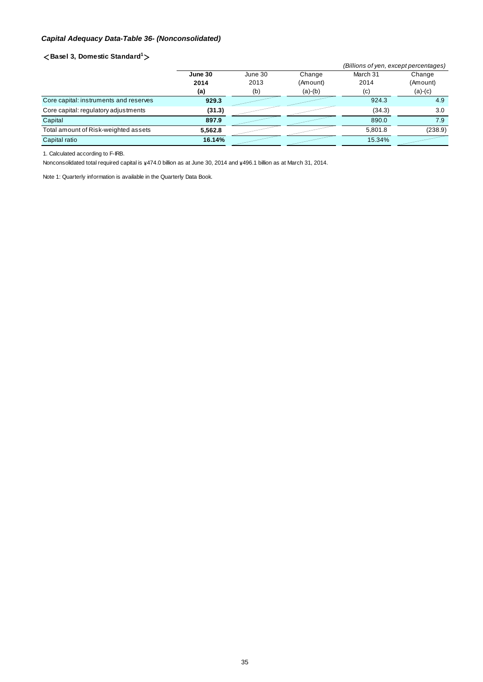### *Capital Adequacy Data-Table 36- (Nonconsolidated)*

#### <**Basel 3, Domestic Standard<sup>1</sup>** >

|                                        |         |         |           | (Billions of yen, except percentages) |           |  |
|----------------------------------------|---------|---------|-----------|---------------------------------------|-----------|--|
|                                        | June 30 | June 30 | Change    | March 31                              | Change    |  |
|                                        | 2014    | 2013    | (Amount)  | 2014                                  | (Amount)  |  |
|                                        | (a)     | (b)     | $(a)-(b)$ | (c)                                   | $(a)-(c)$ |  |
| Core capital: instruments and reserves | 929.3   |         |           | 924.3                                 | 4.9       |  |
| Core capital: regulatory adjustments   | (31.3)  |         |           | (34.3)                                | 3.0       |  |
| Capital                                | 897.9   |         |           | 890.0                                 | 7.9       |  |
| Total amount of Risk-weighted assets   | 5.562.8 |         |           | 5.801.8                               | (238.9)   |  |
| Capital ratio                          | 16.14%  |         |           | 15.34%                                |           |  |

1. Calculated according to F-IRB.

Nonconsolidated total required capital is  $\frac{474.0}{1000}$  billion as at June 30, 2014 and  $\frac{496.1}{1000}$  billion as at March 31, 2014.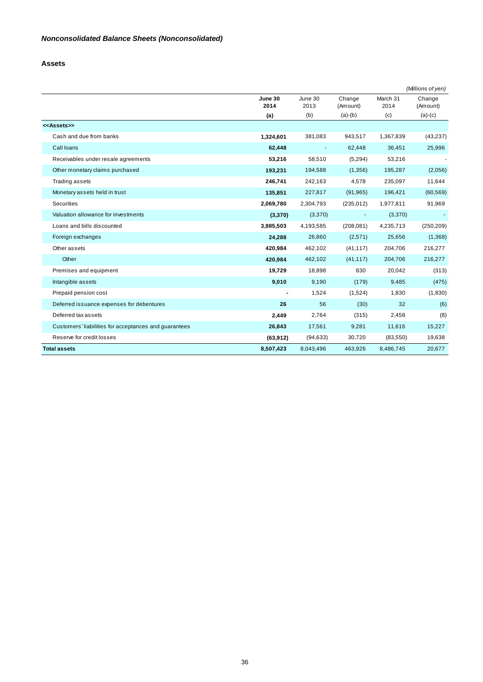#### **Assets**

|                                                       |                 |                 |                    |                  | (Millions of yen)  |
|-------------------------------------------------------|-----------------|-----------------|--------------------|------------------|--------------------|
|                                                       | June 30<br>2014 | June 30<br>2013 | Change<br>(Amount) | March 31<br>2014 | Change<br>(Amount) |
|                                                       | (a)             | (b)             | $(a)-(b)$          | (c)              | $(a)-(c)$          |
| < <assets>&gt;</assets>                               |                 |                 |                    |                  |                    |
| Cash and due from banks                               | 1,324,601       | 381,083         | 943,517            | 1,367,839        | (43, 237)          |
| Call loans                                            | 62,448          | $\blacksquare$  | 62,448             | 36,451           | 25,996             |
| Receivables under resale agreements                   | 53,216          | 58,510          | (5,294)            | 53,216           |                    |
| Other monetary claims purchased                       | 193,231         | 194,588         | (1,356)            | 195,287          | (2,056)            |
| Trading assets                                        | 246,741         | 242,163         | 4,578              | 235,097          | 11,644             |
| Monetary assets held in trust                         | 135,851         | 227,817         | (91, 965)          | 196,421          | (60, 569)          |
| <b>Securities</b>                                     | 2,069,780       | 2,304,793       | (235, 012)         | 1,977,811        | 91,969             |
| Valuation allowance for investments                   | (3,370)         | (3,370)         | $\blacksquare$     | (3,370)          |                    |
| Loans and bills discounted                            | 3,985,503       | 4,193,585       | (208, 081)         | 4,235,713        | (250, 209)         |
| Foreign exchanges                                     | 24,288          | 26,860          | (2,571)            | 25,656           | (1,368)            |
| Other assets                                          | 420,984         | 462,102         | (41, 117)          | 204,706          | 216,277            |
| Other                                                 | 420,984         | 462,102         | (41, 117)          | 204,706          | 216,277            |
| Premises and equipment                                | 19,729          | 18,898          | 830                | 20,042           | (313)              |
| Intangible assets                                     | 9,010           | 9,190           | (179)              | 9,485            | (475)              |
| Prepaid pension cost                                  | $\overline{a}$  | 1,524           | (1,524)            | 1,830            | (1,830)            |
| Deferred issuance expenses for debentures             | 26              | 56              | (30)               | 32               | (6)                |
| Deferred tax assets                                   | 2,449           | 2,764           | (315)              | 2,458            | (8)                |
| Customers' liabilities for acceptances and guarantees | 26,843          | 17,561          | 9,281              | 11,616           | 15,227             |
| Reserve for credit losses                             | (63, 912)       | (94, 633)       | 30,720             | (83, 550)        | 19,638             |
| <b>Total assets</b>                                   | 8,507,423       | 8,043,496       | 463,926            | 8,486,745        | 20,677             |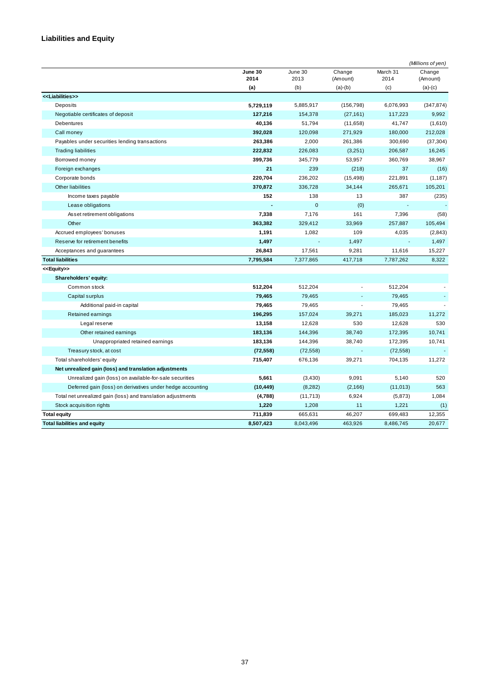## **Liabilities and Equity**

|                                                              |                 |                 |                    |                  | (Millions of yen)  |
|--------------------------------------------------------------|-----------------|-----------------|--------------------|------------------|--------------------|
|                                                              | June 30<br>2014 | June 30<br>2013 | Change<br>(Amount) | March 31<br>2014 | Change<br>(Amount) |
|                                                              | (a)             | (b)             | $(a)-(b)$          | (c)              | $(a)-(c)$          |
| < <liabilities>&gt;</liabilities>                            |                 |                 |                    |                  |                    |
| Deposits                                                     | 5,729,119       | 5,885,917       | (156, 798)         | 6,076,993        | (347, 874)         |
| Negotiable certificates of deposit                           | 127,216         | 154,378         | (27, 161)          | 117,223          | 9,992              |
| Debentures                                                   | 40,136          | 51,794          | (11,658)           | 41,747           | (1,610)            |
| Call money                                                   | 392,028         | 120,098         | 271,929            | 180,000          | 212,028            |
| Payables under securities lending transactions               | 263,386         | 2,000           | 261,386            | 300,690          | (37, 304)          |
| <b>Trading liabilities</b>                                   | 222,832         | 226,083         | (3,251)            | 206,587          | 16,245             |
| Borrowed money                                               | 399,736         | 345,779         | 53,957             | 360,769          | 38,967             |
| Foreign exchanges                                            | 21              | 239             | (218)              | 37               | (16)               |
| Corporate bonds                                              | 220,704         | 236,202         | (15, 498)          | 221,891          | (1, 187)           |
| Other liabilities                                            | 370,872         | 336,728         | 34,144             | 265,671          | 105,201            |
| Income taxes payable                                         | 152             | 138             | 13                 | 387              | (235)              |
| Lease obligations                                            | $\blacksquare$  | $\mathbf 0$     | (0)                | $\mathbf{r}$     |                    |
| Asset retirement obligations                                 | 7,338           | 7,176           | 161                | 7,396            | (58)               |
| Other                                                        | 363,382         | 329,412         | 33,969             | 257,887          | 105,494            |
| Accrued employees' bonuses                                   | 1,191           | 1,082           | 109                | 4,035            | (2,843)            |
| Reserve for retirement benefits                              | 1,497           |                 | 1,497              | $\blacksquare$   | 1,497              |
| Acceptances and guarantees                                   | 26,843          | 17,561          | 9,281              | 11,616           | 15,227             |
| <b>Total liabilities</b>                                     | 7,795,584       | 7,377,865       | 417,718            | 7,787,262        | 8,322              |
| < <equity>&gt;</equity>                                      |                 |                 |                    |                  |                    |
| Shareholders' equity:                                        |                 |                 |                    |                  |                    |
| Common stock                                                 | 512,204         | 512,204         |                    | 512,204          |                    |
| Capital surplus                                              | 79,465          | 79,465          |                    | 79,465           |                    |
| Additional paid-in capital                                   | 79,465          | 79,465          | L.                 | 79,465           |                    |
| Retained earnings                                            | 196,295         | 157,024         | 39,271             | 185,023          | 11,272             |
| Legal reserve                                                | 13,158          | 12,628          | 530                | 12,628           | 530                |
| Other retained earnings                                      | 183,136         | 144,396         | 38,740             | 172,395          | 10,741             |
| Unappropriated retained earnings                             | 183,136         | 144,396         | 38,740             | 172,395          | 10,741             |
| Treasury stock, at cost                                      | (72, 558)       | (72, 558)       |                    | (72, 558)        |                    |
| Total shareholders' equity                                   | 715,407         | 676,136         | 39,271             | 704,135          | 11,272             |
| Net unrealized gain (loss) and translation adjustments       |                 |                 |                    |                  |                    |
| Unrealized gain (loss) on available-for-sale securities      | 5,661           | (3,430)         | 9,091              | 5,140            | 520                |
| Deferred gain (loss) on derivatives under hedge accounting   | (10, 449)       | (8, 282)        | (2, 166)           | (11, 013)        | 563                |
| Total net unrealized gain (loss) and translation adjustments | (4,788)         | (11, 713)       | 6,924              | (5,873)          | 1,084              |
| Stock acquisition rights                                     | 1,220           | 1,208           | 11                 | 1,221            | (1)                |
| <b>Total equity</b>                                          | 711,839         | 665,631         | 46,207             | 699,483          | 12,355             |
| <b>Total liabilities and equity</b>                          | 8,507,423       | 8.043.496       | 463.926            | 8.486.745        | 20,677             |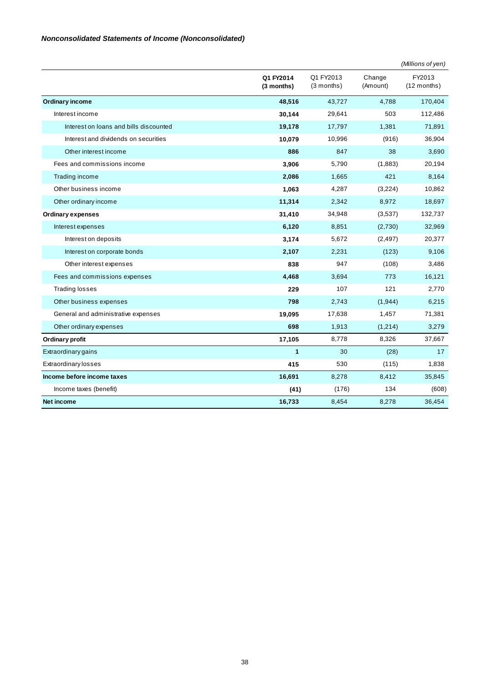|                                        |                         |                           |                    | (Millions of yen)       |
|----------------------------------------|-------------------------|---------------------------|--------------------|-------------------------|
|                                        | Q1 FY2014<br>(3 months) | Q1 FY2013<br>$(3$ months) | Change<br>(Amount) | FY2013<br>$(12$ months) |
| <b>Ordinary income</b>                 | 48,516                  | 43,727                    | 4,788              | 170,404                 |
| Interest income                        | 30,144                  | 29,641                    | 503                | 112,486                 |
| Interest on loans and bills discounted | 19,178                  | 17,797                    | 1,381              | 71,891                  |
| Interest and dividends on securities   | 10,079                  | 10,996                    | (916)              | 36,904                  |
| Other interest income                  | 886                     | 847                       | 38                 | 3,690                   |
| Fees and commissions income            | 3,906                   | 5,790                     | (1,883)            | 20,194                  |
| Trading income                         | 2,086                   | 1,665                     | 421                | 8,164                   |
| Other business income                  | 1,063                   | 4,287                     | (3,224)            | 10,862                  |
| Other ordinary income                  | 11,314                  | 2,342                     | 8,972              | 18,697                  |
| <b>Ordinary expenses</b>               | 31,410                  | 34,948                    | (3,537)            | 132,737                 |
| Interest expenses                      | 6,120                   | 8,851                     | (2,730)            | 32,969                  |
| Interest on deposits                   | 3,174                   | 5,672                     | (2, 497)           | 20,377                  |
| Interest on corporate bonds            | 2,107                   | 2,231                     | (123)              | 9,106                   |
| Other interest expenses                | 838                     | 947                       | (108)              | 3,486                   |
| Fees and commissions expenses          | 4,468                   | 3,694                     | 773                | 16,121                  |
| <b>Trading losses</b>                  | 229                     | 107                       | 121                | 2,770                   |
| Other business expenses                | 798                     | 2,743                     | (1,944)            | 6,215                   |
| General and administrative expenses    | 19,095                  | 17,638                    | 1,457              | 71,381                  |
| Other ordinary expenses                | 698                     | 1,913                     | (1,214)            | 3,279                   |
| Ordinary profit                        | 17,105                  | 8,778                     | 8,326              | 37,667                  |
| <b>Extraordinary gains</b>             | 1                       | 30                        | (28)               | 17                      |
| <b>Extraordinary losses</b>            | 415                     | 530                       | (115)              | 1,838                   |
| Income before income taxes             | 16,691                  | 8,278                     | 8,412              | 35,845                  |
| Income taxes (benefit)                 | (41)                    | (176)                     | 134                | (608)                   |
| <b>Net income</b>                      | 16,733                  | 8,454                     | 8,278              | 36,454                  |

### *Nonconsolidated Statements of Income (Nonconsolidated)*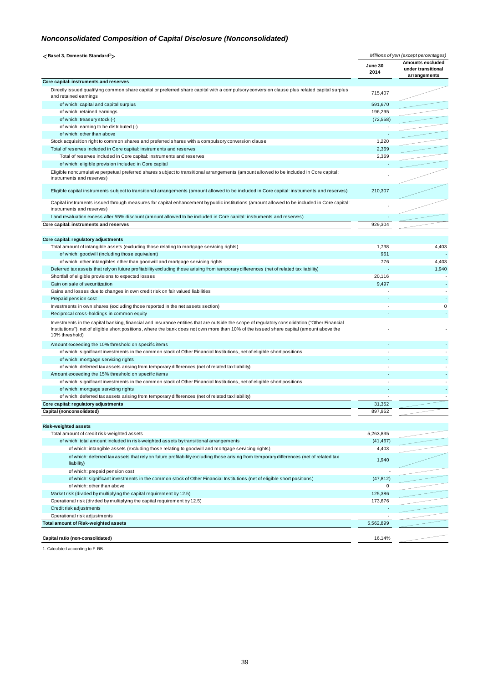### *Nonconsolidated Composition of Capital Disclosure (Nonconsolidated)*

| <basel 3,="" domestic="" standard<sup="">1&gt;</basel>                                                                                                                                                                                                                                                      | Millions of yen (except percentages) |                                                               |  |
|-------------------------------------------------------------------------------------------------------------------------------------------------------------------------------------------------------------------------------------------------------------------------------------------------------------|--------------------------------------|---------------------------------------------------------------|--|
|                                                                                                                                                                                                                                                                                                             | June 30<br>2014                      | <b>Amounts excluded</b><br>under transitional<br>arrangements |  |
| Core capital: instruments and reserves                                                                                                                                                                                                                                                                      |                                      |                                                               |  |
| Directly issued qualifying common share capital or preferred share capital with a compulsory conversion clause plus related capital surplus<br>and retained earnings                                                                                                                                        | 715,407                              |                                                               |  |
| of which: capital and capital surplus                                                                                                                                                                                                                                                                       | 591,670                              |                                                               |  |
| of which: retained earnings                                                                                                                                                                                                                                                                                 | 196,295                              |                                                               |  |
| of which: treasury stock (-)                                                                                                                                                                                                                                                                                | (72, 558)                            |                                                               |  |
| of which: earning to be distributed (-)                                                                                                                                                                                                                                                                     |                                      |                                                               |  |
| of which: other than above                                                                                                                                                                                                                                                                                  |                                      |                                                               |  |
| Stock acquisition right to common shares and preferred shares with a compulsory conversion clause                                                                                                                                                                                                           | 1,220                                | ستسب                                                          |  |
| Total of reserves included in Core capital: instruments and reserves                                                                                                                                                                                                                                        | 2,369                                |                                                               |  |
| Total of reserves included in Core capital: instruments and reserves                                                                                                                                                                                                                                        | 2,369                                |                                                               |  |
| of which: eligible provision included in Core capital                                                                                                                                                                                                                                                       |                                      |                                                               |  |
| Eligible noncumulative perpetual preferred shares subject to transitional arrangements (amount allowed to be included in Core capital:<br>instruments and reserves)                                                                                                                                         |                                      |                                                               |  |
| Eligible capital instruments subject to transitional arrangements (amount allowed to be included in Core capital: instruments and reserves)                                                                                                                                                                 | 210,307                              |                                                               |  |
| Capital instruments issued through measures for capital enhancement by public institutions (amount allowed to be included in Core capital:<br>instruments and reserves)                                                                                                                                     |                                      |                                                               |  |
| Land revaluation excess after 55% discount (amount allowed to be included in Core capital: instruments and reserves)                                                                                                                                                                                        |                                      |                                                               |  |
| Core capital: instruments and reserves                                                                                                                                                                                                                                                                      | 929,304                              |                                                               |  |
|                                                                                                                                                                                                                                                                                                             |                                      |                                                               |  |
| Core capital: regulatory adjustments                                                                                                                                                                                                                                                                        |                                      |                                                               |  |
| Total amount of intangible assets (excluding those relating to mortgage servicing rights)                                                                                                                                                                                                                   | 1,738                                | 4,403                                                         |  |
| of which: goodwill (including those equivalent)                                                                                                                                                                                                                                                             | 961                                  |                                                               |  |
| of which: other intangibles other than goodwill and mortgage servicing rights                                                                                                                                                                                                                               | 776                                  | 4,403                                                         |  |
| Deferred tax assets that rely on future profitability excluding those arising from temporary differences (net of related tax liability)                                                                                                                                                                     |                                      | 1,940                                                         |  |
| Shortfall of eligible provisions to expected losses                                                                                                                                                                                                                                                         | 20,116                               |                                                               |  |
| Gain on sale of securitization                                                                                                                                                                                                                                                                              | 9,497                                |                                                               |  |
| Gains and losses due to changes in own credit risk on fair valued liabilities                                                                                                                                                                                                                               |                                      |                                                               |  |
| Prepaid pension cost                                                                                                                                                                                                                                                                                        |                                      |                                                               |  |
| Investments in own shares (excluding those reported in the net assets section)                                                                                                                                                                                                                              |                                      | 0                                                             |  |
| Reciprocal cross-holdings in common equity                                                                                                                                                                                                                                                                  |                                      |                                                               |  |
| Investments in the capital banking, financial and insurance entities that are outside the scope of regulatory consolidation ("Other Financial<br>Institutions"), net of eligible short positions, where the bank does not own more than 10% of the issued share capital (amount above the<br>10% threshold) |                                      |                                                               |  |
| Amount exceeding the 10% threshold on specific items                                                                                                                                                                                                                                                        |                                      |                                                               |  |
| of which: significant investments in the common stock of Other Financial Institutions, net of eligible short positions                                                                                                                                                                                      |                                      |                                                               |  |
| of which: mortgage servicing rights                                                                                                                                                                                                                                                                         |                                      |                                                               |  |
| of which: deferred tax assets arising from temporary differences (net of related tax liability)                                                                                                                                                                                                             |                                      |                                                               |  |
| Amount exceeding the 15% threshold on specific items                                                                                                                                                                                                                                                        |                                      |                                                               |  |
| of which: significant investments in the common stock of Other Financial Institutions, net of eligible short positions                                                                                                                                                                                      | ٠                                    |                                                               |  |
| of which: mortgage servicing rights                                                                                                                                                                                                                                                                         |                                      |                                                               |  |
| of which: deferred tax assets arising from temporary differences (net of related tax liability)                                                                                                                                                                                                             |                                      |                                                               |  |
| Core capital: regulatory adjustments                                                                                                                                                                                                                                                                        | 31,352                               |                                                               |  |
| Capital (nonconsolidated)                                                                                                                                                                                                                                                                                   | 897.952                              |                                                               |  |
|                                                                                                                                                                                                                                                                                                             |                                      |                                                               |  |
| <b>Risk-weighted assets</b>                                                                                                                                                                                                                                                                                 |                                      |                                                               |  |
| Total amount of credit risk-weighted assets                                                                                                                                                                                                                                                                 | 5,263,835                            |                                                               |  |
| of which: total amount included in risk-weighted assets by transitional arrangements                                                                                                                                                                                                                        | (41, 467)                            |                                                               |  |
| of which: intangible assets (excluding those relating to goodwill and mortgage servicing rights)                                                                                                                                                                                                            | 4,403                                |                                                               |  |
| of which: deferred tax assets that rely on future profitability excluding those arising from temporary differences (net of related tax<br>liability)                                                                                                                                                        | 1,940                                |                                                               |  |
| of which: prepaid pension cost                                                                                                                                                                                                                                                                              |                                      |                                                               |  |
| of which: significant investments in the common stock of Other Financial Institutions (net of eligible short positions)                                                                                                                                                                                     | (47, 812)<br>0                       |                                                               |  |
| of which: other than above                                                                                                                                                                                                                                                                                  |                                      |                                                               |  |
| Market risk (divided by multiplying the capital requirement by 12.5)                                                                                                                                                                                                                                        | 125,386                              |                                                               |  |
| Operational risk (divided by multiplying the capital requirement by 12.5)                                                                                                                                                                                                                                   | 173,676                              |                                                               |  |
| Credit risk adjustments                                                                                                                                                                                                                                                                                     |                                      |                                                               |  |
| Operational risk adjustments                                                                                                                                                                                                                                                                                |                                      |                                                               |  |
| <b>Total amount of Risk-weighted assets</b>                                                                                                                                                                                                                                                                 | 5,562,899                            |                                                               |  |
| Capital ratio (non-consolidated)                                                                                                                                                                                                                                                                            | 16.14%                               |                                                               |  |

1. Calculated according to F-IRB.